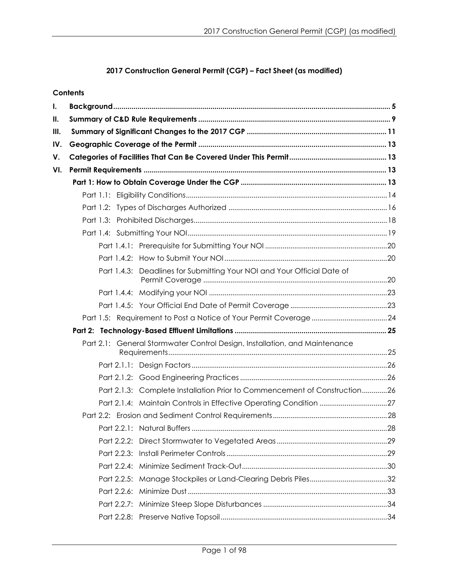# **2017 Construction General Permit (CGP) – Fact Sheet (as modified)**

|      | <b>Contents</b> |                                                                            |  |
|------|-----------------|----------------------------------------------------------------------------|--|
| I.   |                 |                                                                            |  |
| Ш.   |                 |                                                                            |  |
| III. |                 |                                                                            |  |
| IV.  |                 |                                                                            |  |
| V.   |                 |                                                                            |  |
| VI.  |                 |                                                                            |  |
|      |                 |                                                                            |  |
|      |                 |                                                                            |  |
|      |                 |                                                                            |  |
|      |                 |                                                                            |  |
|      |                 |                                                                            |  |
|      |                 |                                                                            |  |
|      |                 |                                                                            |  |
|      | Part 1.4.3:     | Deadlines for Submitting Your NOI and Your Official Date of                |  |
|      |                 |                                                                            |  |
|      |                 |                                                                            |  |
|      |                 |                                                                            |  |
|      |                 |                                                                            |  |
|      |                 | Part 2.1: General Stormwater Control Design, Installation, and Maintenance |  |
|      |                 |                                                                            |  |
|      |                 |                                                                            |  |
|      |                 | Part 2.1.3: Complete Installation Prior to Commencement of Construction26  |  |
|      |                 |                                                                            |  |
|      |                 |                                                                            |  |
|      |                 |                                                                            |  |
|      |                 |                                                                            |  |
|      |                 |                                                                            |  |
|      |                 |                                                                            |  |
|      |                 |                                                                            |  |
|      |                 |                                                                            |  |
|      |                 |                                                                            |  |
|      |                 |                                                                            |  |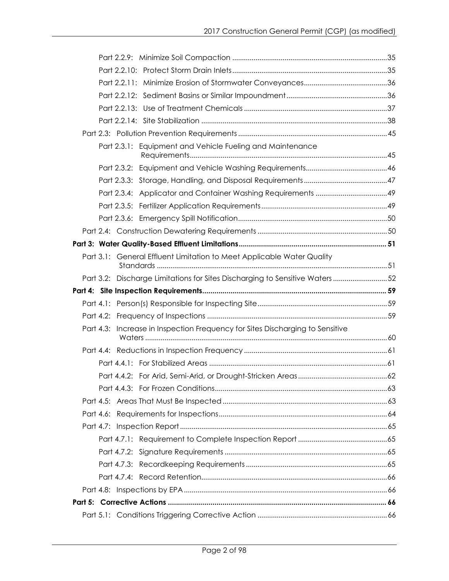| Equipment and Vehicle Fueling and Maintenance<br>Part 2.3.1:                  |                                                                               |
|-------------------------------------------------------------------------------|-------------------------------------------------------------------------------|
|                                                                               |                                                                               |
|                                                                               |                                                                               |
|                                                                               |                                                                               |
|                                                                               |                                                                               |
|                                                                               |                                                                               |
|                                                                               |                                                                               |
|                                                                               |                                                                               |
| Part 3.1: General Effluent Limitation to Meet Applicable Water Quality        |                                                                               |
|                                                                               |                                                                               |
|                                                                               | Part 3.2: Discharge Limitations for Sites Discharging to Sensitive Waters  52 |
|                                                                               |                                                                               |
|                                                                               |                                                                               |
|                                                                               |                                                                               |
|                                                                               |                                                                               |
| Part 4.3: Increase in Inspection Frequency for Sites Discharging to Sensitive |                                                                               |
|                                                                               |                                                                               |
|                                                                               |                                                                               |
|                                                                               |                                                                               |
|                                                                               |                                                                               |
|                                                                               |                                                                               |
|                                                                               |                                                                               |
|                                                                               |                                                                               |
|                                                                               |                                                                               |
|                                                                               |                                                                               |
|                                                                               |                                                                               |
|                                                                               |                                                                               |
|                                                                               |                                                                               |
|                                                                               |                                                                               |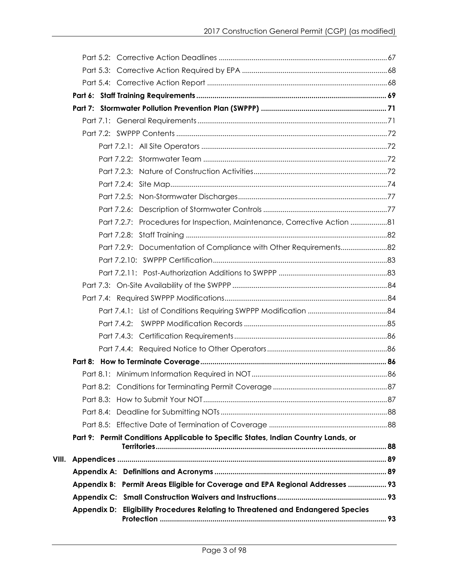|       | Part 7.2.7: Procedures for Inspection, Maintenance, Corrective Action  81         |  |
|-------|-----------------------------------------------------------------------------------|--|
|       |                                                                                   |  |
|       | Part 7.2.9: Documentation of Compliance with Other Requirements82                 |  |
|       |                                                                                   |  |
|       |                                                                                   |  |
|       |                                                                                   |  |
|       |                                                                                   |  |
|       |                                                                                   |  |
|       | Part 7.4.2:                                                                       |  |
|       |                                                                                   |  |
|       |                                                                                   |  |
|       |                                                                                   |  |
|       |                                                                                   |  |
|       |                                                                                   |  |
|       |                                                                                   |  |
|       |                                                                                   |  |
|       |                                                                                   |  |
|       | Part 9: Permit Conditions Applicable to Specific States, Indian Country Lands, or |  |
| VIII. |                                                                                   |  |
|       |                                                                                   |  |
|       | Appendix B: Permit Areas Eligible for Coverage and EPA Regional Addresses  93     |  |
|       |                                                                                   |  |
|       | Appendix D: Eligibility Procedures Relating to Threatened and Endangered Species  |  |
|       |                                                                                   |  |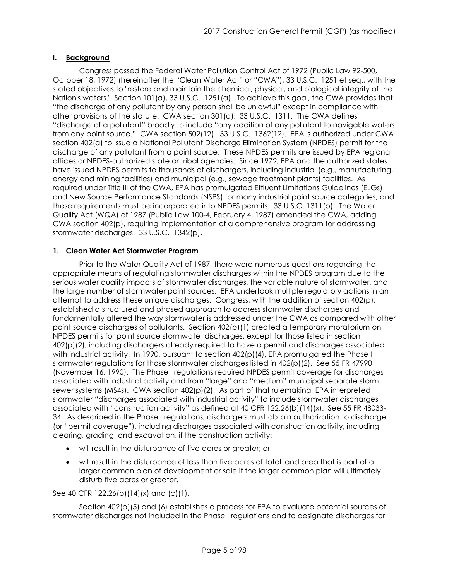## <span id="page-4-0"></span>**I. Background**

Congress passed the Federal Water Pollution Control Act of 1972 (Public Law 92-500, October 18, 1972) (hereinafter the "Clean Water Act" or "CWA"), 33 U.S.C. 1251 et seq., with the stated objectives to "restore and maintain the chemical, physical, and biological integrity of the Nation's waters." Section 101(a), 33 U.S.C. 1251(a). To achieve this goal, the CWA provides that "the discharge of any pollutant by any person shall be unlawful" except in compliance with other provisions of the statute. CWA section 301(a). 33 U.S.C. 1311. The CWA defines "discharge of a pollutant" broadly to include "any addition of any pollutant to navigable waters from any point source." CWA section 502(12). 33 U.S.C. 1362(12). EPA is authorized under CWA section 402(a) to issue a National Pollutant Discharge Elimination System (NPDES) permit for the discharge of any pollutant from a point source. These NPDES permits are issued by EPA regional offices or NPDES-authorized state or tribal agencies. Since 1972, EPA and the authorized states have issued NPDES permits to thousands of dischargers, including industrial (e.g., manufacturing, energy and mining facilities) and municipal (e.g., sewage treatment plants) facilities. As required under Title III of the CWA, EPA has promulgated Effluent Limitations Guidelines (ELGs) and New Source Performance Standards (NSPS) for many industrial point source categories, and these requirements must be incorporated into NPDES permits. 33 U.S.C. 1311(b). The Water Quality Act (WQA) of 1987 (Public Law 100-4, February 4, 1987) amended the CWA, adding CWA section 402(p), requiring implementation of a comprehensive program for addressing stormwater discharges. 33 U.S.C. 1342(p).

## **1. Clean Water Act Stormwater Program**

Prior to the Water Quality Act of 1987, there were numerous questions regarding the appropriate means of regulating stormwater discharges within the NPDES program due to the serious water quality impacts of stormwater discharges, the variable nature of stormwater, and the large number of stormwater point sources. EPA undertook multiple regulatory actions in an attempt to address these unique discharges. Congress, with the addition of section 402(p), established a structured and phased approach to address stormwater discharges and fundamentally altered the way stormwater is addressed under the CWA as compared with other point source discharges of pollutants. Section 402(p)(1) created a temporary moratorium on NPDES permits for point source stormwater discharges, except for those listed in section 402(p)(2), including dischargers already required to have a permit and discharges associated with industrial activity. In 1990, pursuant to section 402(p)(4), EPA promulgated the Phase I stormwater regulations for those stormwater discharges listed in 402(p)(2). See 55 FR 47990 (November 16, 1990). The Phase I regulations required NPDES permit coverage for discharges associated with industrial activity and from "large" and "medium" municipal separate storm sewer systems (MS4s). CWA section 402(p)(2). As part of that rulemaking, EPA interpreted stormwater "discharges associated with industrial activity" to include stormwater discharges associated with "construction activity" as defined at 40 CFR 122.26(b)(14)(x). See 55 FR 48033- 34. As described in the Phase I regulations, dischargers must obtain authorization to discharge (or "permit coverage"), including discharges associated with construction activity, including clearing, grading, and excavation, if the construction activity:

- will result in the disturbance of five acres or greater; or
- will result in the disturbance of less than five acres of total land area that is part of a larger common plan of development or sale if the larger common plan will ultimately disturb five acres or greater.

See 40 CFR 122.26(b)(14)(x) and (c)(1).

Section 402(p)(5) and (6) establishes a process for EPA to evaluate potential sources of stormwater discharges not included in the Phase I regulations and to designate discharges for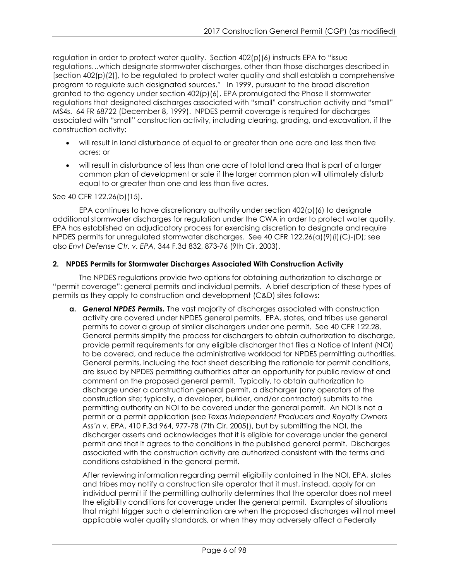regulation in order to protect water quality. Section 402(p)(6) instructs EPA to "issue regulations…which designate stormwater discharges, other than those discharges described in [section 402(p)(2)], to be regulated to protect water quality and shall establish a comprehensive program to regulate such designated sources." In 1999, pursuant to the broad discretion granted to the agency under section 402(p)(6), EPA promulgated the Phase II stormwater regulations that designated discharges associated with "small" construction activity and "small" MS4s. 64 FR 68722 (December 8, 1999). NPDES permit coverage is required for discharges associated with "small" construction activity, including clearing, grading, and excavation, if the construction activity:

- will result in land disturbance of equal to or greater than one acre and less than five acres; or
- will result in disturbance of less than one acre of total land area that is part of a larger common plan of development or sale if the larger common plan will ultimately disturb equal to or greater than one and less than five acres.

See 40 CFR 122.26(b)(15).

EPA continues to have discretionary authority under section  $402(p)(6)$  to designate additional stormwater discharges for regulation under the CWA in order to protect water quality. EPA has established an adjudicatory process for exercising discretion to designate and require NPDES permits for unregulated stormwater discharges. See 40 CFR 122.26(a)(9)(i)(C)-(D); see also *Envt Defense Ctr. v. EPA*, 344 F.3d 832, 873-76 (9th Cir. 2003).

## **2. NPDES Permits for Stormwater Discharges Associated With Construction Activity**

The NPDES regulations provide two options for obtaining authorization to discharge or "permit coverage": general permits and individual permits. A brief description of these types of permits as they apply to construction and development (C&D) sites follows:

**a.** *General NPDES Permits.* The vast majority of discharges associated with construction activity are covered under NPDES general permits. EPA, states, and tribes use general permits to cover a group of similar dischargers under one permit. See 40 CFR 122.28. General permits simplify the process for dischargers to obtain authorization to discharge, provide permit requirements for any eligible discharger that files a Notice of Intent (NOI) to be covered, and reduce the administrative workload for NPDES permitting authorities. General permits, including the fact sheet describing the rationale for permit conditions, are issued by NPDES permitting authorities after an opportunity for public review of and comment on the proposed general permit. Typically, to obtain authorization to discharge under a construction general permit, a discharger (any operators of the construction site; typically, a developer, builder, and/or contractor) submits to the permitting authority an NOI to be covered under the general permit. An NOI is not a permit or a permit application (see *Texas Independent Producers and Royalty Owners Ass'n v. EPA*, 410 F.3d 964, 977-78 (7th Cir. 2005)), but by submitting the NOI, the discharger asserts and acknowledges that it is eligible for coverage under the general permit and that it agrees to the conditions in the published general permit. Discharges associated with the construction activity are authorized consistent with the terms and conditions established in the general permit.

After reviewing information regarding permit eligibility contained in the NOI, EPA, states and tribes may notify a construction site operator that it must, instead, apply for an individual permit if the permitting authority determines that the operator does not meet the eligibility conditions for coverage under the general permit. Examples of situations that might trigger such a determination are when the proposed discharges will not meet applicable water quality standards, or when they may adversely affect a Federally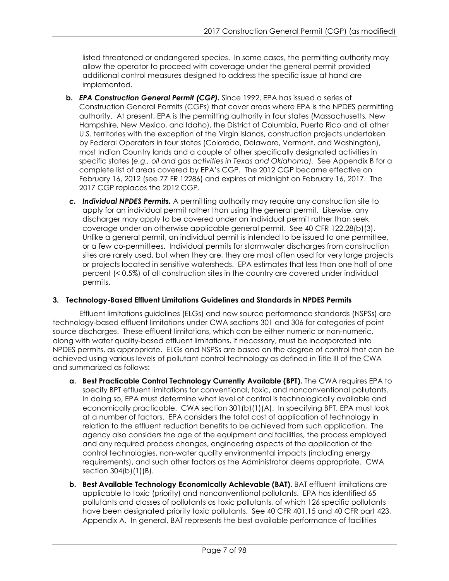listed threatened or endangered species. In some cases, the permitting authority may allow the operator to proceed with coverage under the general permit provided additional control measures designed to address the specific issue at hand are implemented.

- **b.** *EPA Construction General Permit (CGP).* Since 1992, EPA has issued a series of Construction General Permits (CGPs) that cover areas where EPA is the NPDES permitting authority. At present, EPA is the permitting authority in four states (Massachusetts, New Hampshire, New Mexico, and Idaho), the District of Columbia, Puerto Rico and all other U.S. territories with the exception of the Virgin Islands, construction projects undertaken by Federal Operators in four states (Colorado, Delaware, Vermont, and Washington), most Indian Country lands and a couple of other specifically designated activities in specific states (*e.g., oil and gas activities in Texas and Oklahoma).* See Appendix B for a complete list of areas covered by EPA's CGP. The 2012 CGP became effective on February 16, 2012 (see 77 FR 12286) and expires at midnight on February 16, 2017. The 2017 CGP replaces the 2012 CGP.
- *c. Individual NPDES Permits.* A permitting authority may require any construction site to apply for an individual permit rather than using the general permit. Likewise, any discharger may apply to be covered under an individual permit rather than seek coverage under an otherwise applicable general permit. See 40 CFR 122.28(b)(3). Unlike a general permit, an individual permit is intended to be issued to one permittee, or a few co-permittees. Individual permits for stormwater discharges from construction sites are rarely used, but when they are, they are most often used for very large projects or projects located in sensitive watersheds. EPA estimates that less than one half of one percent (< 0.5%) of all construction sites in the country are covered under individual permits.

## **3. Technology-Based Effluent Limitations Guidelines and Standards in NPDES Permits**

Effluent limitations guidelines (ELGs) and new source performance standards (NSPSs) are technology-based effluent limitations under CWA sections 301 and 306 for categories of point source discharges. These effluent limitations, which can be either numeric or non-numeric, along with water quality-based effluent limitations, if necessary, must be incorporated into NPDES permits, as appropriate. ELGs and NSPSs are based on the degree of control that can be achieved using various levels of pollutant control technology as defined in Title III of the CWA and summarized as follows:

- **a. Best Practicable Control Technology Currently Available (BPT).** The CWA requires EPA to specify BPT effluent limitations for conventional, toxic, and nonconventional pollutants. In doing so, EPA must determine what level of control is technologically available and economically practicable. CWA section 301(b)(1)(A). In specifying BPT, EPA must look at a number of factors. EPA considers the total cost of application of technology in relation to the effluent reduction benefits to be achieved from such application. The agency also considers the age of the equipment and facilities, the process employed and any required process changes, engineering aspects of the application of the control technologies, non-water quality environmental impacts (including energy requirements), and such other factors as the Administrator deems appropriate. CWA section 304(b)(1)(B).
- **b. Best Available Technology Economically Achievable (BAT)**. BAT effluent limitations are applicable to toxic (priority) and nonconventional pollutants. EPA has identified 65 pollutants and classes of pollutants as toxic pollutants, of which 126 specific pollutants have been designated priority toxic pollutants. See 40 CFR 401.15 and 40 CFR part 423, Appendix A. In general, BAT represents the best available performance of facilities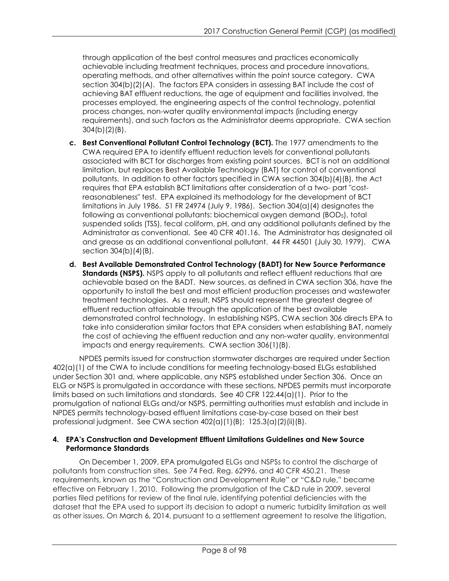through application of the best control measures and practices economically achievable including treatment techniques, process and procedure innovations, operating methods, and other alternatives within the point source category. CWA section 304(b)(2)(A). The factors EPA considers in assessing BAT include the cost of achieving BAT effluent reductions, the age of equipment and facilities involved, the processes employed, the engineering aspects of the control technology, potential process changes, non-water quality environmental impacts (including energy requirements), and such factors as the Administrator deems appropriate. CWA section 304(b)(2)(B).

- **c. Best Conventional Pollutant Control Technology (BCT).** The 1977 amendments to the CWA required EPA to identify effluent reduction levels for conventional pollutants associated with BCT for discharges from existing point sources. BCT is not an additional limitation, but replaces Best Available Technology (BAT) for control of conventional pollutants. In addition to other factors specified in CWA section 304(b)(4)(B), the Act requires that EPA establish BCT limitations after consideration of a two- part "costreasonableness" test. EPA explained its methodology for the development of BCT limitations in July 1986. 51 FR 24974 (July 9, 1986). Section 304(a)(4) designates the following as conventional pollutants: biochemical oxygen demand (BOD5), total suspended solids (TSS), fecal coliform, pH, and any additional pollutants defined by the Administrator as conventional. See 40 CFR 401.16. The Administrator has designated oil and grease as an additional conventional pollutant. 44 FR 44501 (July 30, 1979). CWA section 304(b)(4)(B).
- **d. Best Available Demonstrated Control Technology (BADT) for New Source Performance Standards (NSPS).** NSPS apply to all pollutants and reflect effluent reductions that are achievable based on the BADT. New sources, as defined in CWA section 306, have the opportunity to install the best and most efficient production processes and wastewater treatment technologies. As a result, NSPS should represent the greatest degree of effluent reduction attainable through the application of the best available demonstrated control technology. In establishing NSPS, CWA section 306 directs EPA to take into consideration similar factors that EPA considers when establishing BAT, namely the cost of achieving the effluent reduction and any non-water quality, environmental impacts and energy requirements. CWA section 306(1)(B).

NPDES permits issued for construction stormwater discharges are required under Section 402(a)(1) of the CWA to include conditions for meeting technology-based ELGs established under Section 301 and, where applicable, any NSPS established under Section 306. Once an ELG or NSPS is promulgated in accordance with these sections, NPDES permits must incorporate limits based on such limitations and standards. See 40 CFR 122.44(a)(1). Prior to the promulgation of national ELGs and/or NSPS, permitting authorities must establish and include in NPDES permits technology-based effluent limitations case-by-case based on their best professional judgment. See CWA section 402(a)(1)(B); 125.3(a)(2)(ii)(B).

### **4. EPA's Construction and Development Effluent Limitations Guidelines and New Source Performance Standards**

On December 1, 2009, EPA promulgated ELGs and NSPSs to control the discharge of pollutants from construction sites. See 74 Fed. Reg. 62996, and 40 CFR 450.21. These requirements, known as the "Construction and Development Rule" or "C&D rule," became effective on February 1, 2010. Following the promulgation of the C&D rule in 2009, several parties filed petitions for review of the final rule, identifying potential deficiencies with the dataset that the EPA used to support its decision to adopt a numeric turbidity limitation as well as other issues. On March 6, 2014, pursuant to a settlement agreement to resolve the litigation,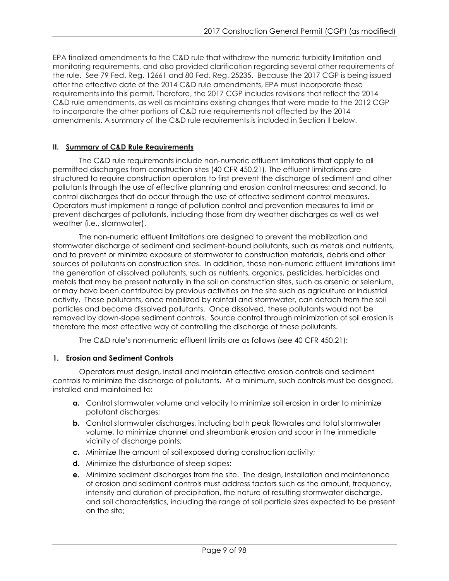EPA finalized amendments to the C&D rule that withdrew the numeric turbidity limitation and monitoring requirements, and also provided clarification regarding several other requirements of the rule. See 79 Fed. Reg. 12661 and 80 Fed. Reg. 25235. Because the 2017 CGP is being issued after the effective date of the 2014 C&D rule amendments, EPA must incorporate these requirements into this permit. Therefore, the 2017 CGP includes revisions that reflect the 2014 C&D rule amendments, as well as maintains existing changes that were made to the 2012 CGP to incorporate the other portions of C&D rule requirements not affected by the 2014 amendments. A summary of the C&D rule requirements is included in Section II below.

## <span id="page-8-0"></span>**II. Summary of C&D Rule Requirements**

The C&D rule requirements include non-numeric effluent limitations that apply to all permitted discharges from construction sites (40 CFR 450.21). The effluent limitations are structured to require construction operators to first prevent the discharge of sediment and other pollutants through the use of effective planning and erosion control measures; and second, to control discharges that do occur through the use of effective sediment control measures. Operators must implement a range of pollution control and prevention measures to limit or prevent discharges of pollutants, including those from dry weather discharges as well as wet weather (i.e., stormwater).

The non-numeric effluent limitations are designed to prevent the mobilization and stormwater discharge of sediment and sediment-bound pollutants, such as metals and nutrients, and to prevent or minimize exposure of stormwater to construction materials, debris and other sources of pollutants on construction sites. In addition, these non-numeric effluent limitations limit the generation of dissolved pollutants, such as nutrients, organics, pesticides, herbicides and metals that may be present naturally in the soil on construction sites, such as arsenic or selenium, or may have been contributed by previous activities on the site such as agriculture or industrial activity. These pollutants, once mobilized by rainfall and stormwater, can detach from the soil particles and become dissolved pollutants. Once dissolved, these pollutants would not be removed by down-slope sediment controls. Source control through minimization of soil erosion is therefore the most effective way of controlling the discharge of these pollutants.

The C&D rule's non-numeric effluent limits are as follows (see 40 CFR 450.21):

## **1. Erosion and Sediment Controls**

Operators must design, install and maintain effective erosion controls and sediment controls to minimize the discharge of pollutants. At a minimum, such controls must be designed, installed and maintained to:

- **a.** Control stormwater volume and velocity to minimize soil erosion in order to minimize pollutant discharges;
- **b.** Control stormwater discharges, including both peak flowrates and total stormwater volume, to minimize channel and streambank erosion and scour in the immediate vicinity of discharge points;
- **c.** Minimize the amount of soil exposed during construction activity;
- **d.** Minimize the disturbance of steep slopes;
- **e.** Minimize sediment discharges from the site. The design, installation and maintenance of erosion and sediment controls must address factors such as the amount, frequency, intensity and duration of precipitation, the nature of resulting stormwater discharge, and soil characteristics, including the range of soil particle sizes expected to be present on the site;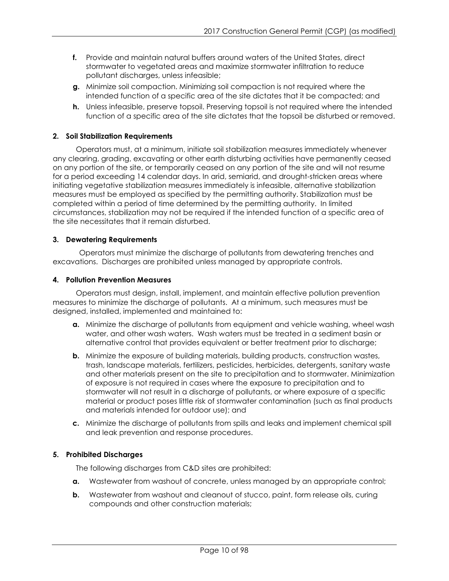- **f.** Provide and maintain natural buffers around waters of the United States, direct stormwater to vegetated areas and maximize stormwater infiltration to reduce pollutant discharges, unless infeasible;
- **g.** Minimize soil compaction. Minimizing soil compaction is not required where the intended function of a specific area of the site dictates that it be compacted; and
- **h.** Unless infeasible, preserve topsoil. Preserving topsoil is not required where the intended function of a specific area of the site dictates that the topsoil be disturbed or removed.

## **2. Soil Stabilization Requirements**

Operators must, at a minimum, initiate soil stabilization measures immediately whenever any clearing, grading, excavating or other earth disturbing activities have permanently ceased on any portion of the site, or temporarily ceased on any portion of the site and will not resume for a period exceeding 14 calendar days. In arid, semiarid, and drought-stricken areas where initiating vegetative stabilization measures immediately is infeasible, alternative stabilization measures must be employed as specified by the permitting authority. Stabilization must be completed within a period of time determined by the permitting authority. In limited circumstances, stabilization may not be required if the intended function of a specific area of the site necessitates that it remain disturbed.

## **3. Dewatering Requirements**

Operators must minimize the discharge of pollutants from dewatering trenches and excavations. Discharges are prohibited unless managed by appropriate controls.

### **4. Pollution Prevention Measures**

Operators must design, install, implement, and maintain effective pollution prevention measures to minimize the discharge of pollutants. At a minimum, such measures must be designed, installed, implemented and maintained to:

- **a.** Minimize the discharge of pollutants from equipment and vehicle washing, wheel wash water, and other wash waters. Wash waters must be treated in a sediment basin or alternative control that provides equivalent or better treatment prior to discharge;
- **b.** Minimize the exposure of building materials, building products, construction wastes, trash, landscape materials, fertilizers, pesticides, herbicides, detergents, sanitary waste and other materials present on the site to precipitation and to stormwater. Minimization of exposure is not required in cases where the exposure to precipitation and to stormwater will not result in a discharge of pollutants, or where exposure of a specific material or product poses little risk of stormwater contamination (such as final products and materials intended for outdoor use); and
- **c.** Minimize the discharge of pollutants from spills and leaks and implement chemical spill and leak prevention and response procedures.

## **5. Prohibited Discharges**

The following discharges from C&D sites are prohibited:

- **a.** Wastewater from washout of concrete, unless managed by an appropriate control;
- **b.** Wastewater from washout and cleanout of stucco, paint, form release oils, curing compounds and other construction materials;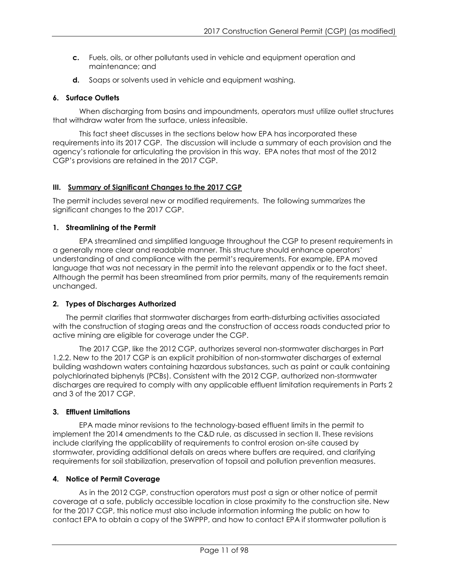- **c.** Fuels, oils, or other pollutants used in vehicle and equipment operation and maintenance; and
- **d.** Soaps or solvents used in vehicle and equipment washing.

## **6. Surface Outlets**

When discharging from basins and impoundments, operators must utilize outlet structures that withdraw water from the surface, unless infeasible.

This fact sheet discusses in the sections below how EPA has incorporated these requirements into its 2017 CGP. The discussion will include a summary of each provision and the agency's rationale for articulating the provision in this way. EPA notes that most of the 2012 CGP's provisions are retained in the 2017 CGP.

## <span id="page-10-0"></span>**III. Summary of Significant Changes to the 2017 CGP**

The permit includes several new or modified requirements. The following summarizes the significant changes to the 2017 CGP.

## **1. Streamlining of the Permit**

EPA streamlined and simplified language throughout the CGP to present requirements in a generally more clear and readable manner. This structure should enhance operators' understanding of and compliance with the permit's requirements. For example, EPA moved language that was not necessary in the permit into the relevant appendix or to the fact sheet. Although the permit has been streamlined from prior permits, many of the requirements remain unchanged.

## **2. Types of Discharges Authorized**

The permit clarifies that stormwater discharges from earth-disturbing activities associated with the construction of staging areas and the construction of access roads conducted prior to active mining are eligible for coverage under the CGP.

The 2017 CGP, like the 2012 CGP, authorizes several non-stormwater discharges in Part 1.2.2. New to the 2017 CGP is an explicit prohibition of non-stormwater discharges of external building washdown waters containing hazardous substances, such as paint or caulk containing polychlorinated biphenyls (PCBs). Consistent with the 2012 CGP, authorized non-stormwater discharges are required to comply with any applicable effluent limitation requirements in Parts 2 and 3 of the 2017 CGP.

## **3. Effluent Limitations**

EPA made minor revisions to the technology-based effluent limits in the permit to implement the 2014 amendments to the C&D rule, as discussed in section II. These revisions include clarifying the applicability of requirements to control erosion on-site caused by stormwater, providing additional details on areas where buffers are required, and clarifying requirements for soil stabilization, preservation of topsoil and pollution prevention measures.

## **4. Notice of Permit Coverage**

As in the 2012 CGP, construction operators must post a sign or other notice of permit coverage at a safe, publicly accessible location in close proximity to the construction site. New for the 2017 CGP, this notice must also include information informing the public on how to contact EPA to obtain a copy of the SWPPP, and how to contact EPA if stormwater pollution is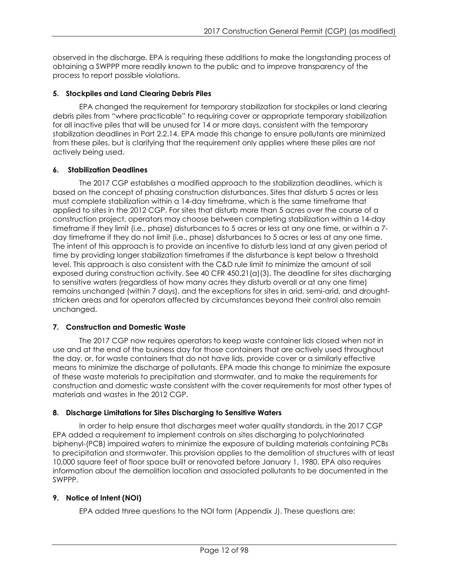observed in the discharge. EPA is requiring these additions to make the longstanding process of obtaining a SWPPP more readily known to the public and to improve transparency of the process to report possible violations.

## **5. Stockpiles and Land Clearing Debris Piles**

EPA changed the requirement for temporary stabilization for stockpiles or land clearing debris piles from "where practicable" to requiring cover or appropriate temporary stabilization for all inactive piles that will be unused for 14 or more days, consistent with the temporary stabilization deadlines in Part 2.2.14. EPA made this change to ensure pollutants are minimized from these piles, but is clarifying that the requirement only applies where these piles are not actively being used.

## **6. Stabilization Deadlines**

The 2017 CGP establishes a modified approach to the stabilization deadlines, which is based on the concept of phasing construction disturbances. Sites that disturb 5 acres or less must complete stabilization within a 14-day timeframe, which is the same timeframe that applied to sites in the 2012 CGP. For sites that disturb more than 5 acres over the course of a construction project, operators may choose between completing stabilization within a 14-day timeframe if they limit (i.e., phase) disturbances to 5 acres or less at any one time, or within a 7 day timeframe if they do not limit (i.e., phase) disturbances to 5 acres or less at any one time. The intent of this approach is to provide an incentive to disturb less land at any given period of time by providing longer stabilization timeframes if the disturbance is kept below a threshold level. This approach is also consistent with the C&D rule limit to minimize the amount of soil exposed during construction activity. See 40 CFR 450.21(a)(3). The deadline for sites discharging to sensitive waters (regardless of how many acres they disturb overall or at any one time) remains unchanged (within 7 days), and the exceptions for sites in arid, semi-arid, and droughtstricken areas and for operators affected by circumstances beyond their control also remain unchanged.

## **7. Construction and Domestic Waste**

The 2017 CGP now requires operators to keep waste container lids closed when not in use and at the end of the business day for those containers that are actively used throughout the day, or, for waste containers that do not have lids, provide cover or a similarly effective means to minimize the discharge of pollutants. EPA made this change to minimize the exposure of these waste materials to precipitation and stormwater, and to make the requirements for construction and domestic waste consistent with the cover requirements for most other types of materials and wastes in the 2012 CGP.

## **8. Discharge Limitations for Sites Discharging to Sensitive Waters**

In order to help ensure that discharges meet water quality standards, in the 2017 CGP EPA added a requirement to implement controls on sites discharging to polychlorinated biphenyl-(PCB) impaired waters to minimize the exposure of building materials containing PCBs to precipitation and stormwater. This provision applies to the demolition of structures with at least 10,000 square feet of floor space built or renovated before January 1, 1980. EPA also requires information about the demolition location and associated pollutants to be documented in the SWPPP.

## **9. Notice of Intent (NOI)**

EPA added three questions to the NOI form (Appendix J). These questions are: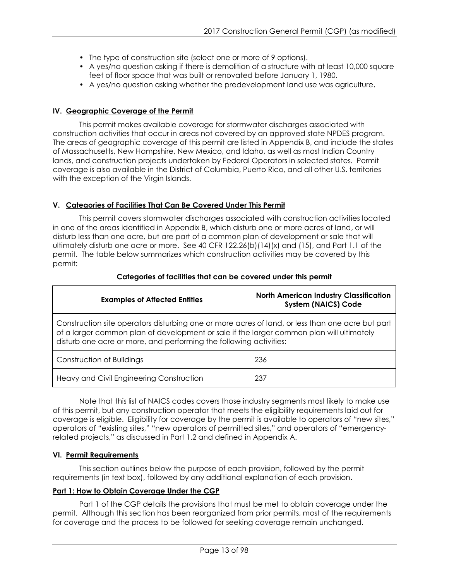- The type of construction site (select one or more of 9 options).
- A yes/no question asking if there is demolition of a structure with at least 10,000 square feet of floor space that was built or renovated before January 1, 1980.
- A yes/no question asking whether the predevelopment land use was agriculture.

## <span id="page-12-0"></span>**IV. Geographic Coverage of the Permit**

This permit makes available coverage for stormwater discharges associated with construction activities that occur in areas not covered by an approved state NPDES program. The areas of geographic coverage of this permit are listed in Appendix B, and include the states of Massachusetts, New Hampshire, New Mexico, and Idaho, as well as most Indian Country lands, and construction projects undertaken by Federal Operators in selected states. Permit coverage is also available in the District of Columbia, Puerto Rico, and all other U.S. territories with the exception of the Virgin Islands.

## <span id="page-12-1"></span>**V. Categories of Facilities That Can Be Covered Under This Permit**

This permit covers stormwater discharges associated with construction activities located in one of the areas identified in Appendix B, which disturb one or more acres of land, or will disturb less than one acre, but are part of a common plan of development or sale that will ultimately disturb one acre or more. See 40 CFR 122.26(b)(14)(x) and (15), and Part 1.1 of the permit. The table below summarizes which construction activities may be covered by this permit:

| <b>Examples of Affected Entities</b>                                                                                                                                                                                                                               | <b>North American Industry Classification</b><br><b>System (NAICS) Code</b> |
|--------------------------------------------------------------------------------------------------------------------------------------------------------------------------------------------------------------------------------------------------------------------|-----------------------------------------------------------------------------|
| Construction site operators disturbing one or more acres of land, or less than one acre but part<br>of a larger common plan of development or sale if the larger common plan will ultimately<br>disturb one acre or more, and performing the following activities: |                                                                             |
| Construction of Buildings                                                                                                                                                                                                                                          | 236                                                                         |
| Heavy and Civil Engineering Construction                                                                                                                                                                                                                           | 237                                                                         |

## **Categories of facilities that can be covered under this permit**

Note that this list of NAICS codes covers those industry segments most likely to make use of this permit, but any construction operator that meets the eligibility requirements laid out for coverage is eligible. Eligibility for coverage by the permit is available to operators of "new sites," operators of "existing sites," "new operators of permitted sites," and operators of "emergencyrelated projects," as discussed in Part 1.2 and defined in Appendix A.

## <span id="page-12-2"></span>**VI. Permit Requirements**

This section outlines below the purpose of each provision, followed by the permit requirements (in text box), followed by any additional explanation of each provision.

## <span id="page-12-3"></span>**Part 1: How to Obtain Coverage Under the CGP**

Part 1 of the CGP details the provisions that must be met to obtain coverage under the permit. Although this section has been reorganized from prior permits, most of the requirements for coverage and the process to be followed for seeking coverage remain unchanged.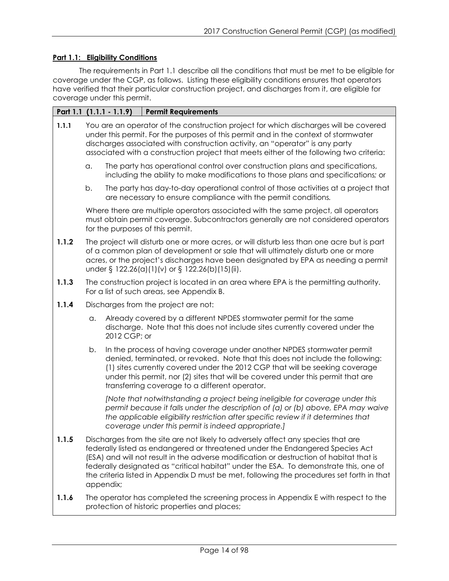## <span id="page-13-0"></span>**Part 1.1: Eligibility Conditions**

The requirements in Part 1.1 describe all the conditions that must be met to be eligible for coverage under the CGP, as follows. Listing these eligibility conditions ensures that operators have verified that their particular construction project, and discharges from it, are eligible for coverage under this permit.

|       |    | Part 1.1 (1.1.1 - 1.1.9) | <b>Permit Requirements</b>                                                                                                                                                                                                                                                                                                                                                                                                                         |
|-------|----|--------------------------|----------------------------------------------------------------------------------------------------------------------------------------------------------------------------------------------------------------------------------------------------------------------------------------------------------------------------------------------------------------------------------------------------------------------------------------------------|
| 1.1.1 |    |                          | You are an operator of the construction project for which discharges will be covered<br>under this permit. For the purposes of this permit and in the context of stormwater<br>discharges associated with construction activity, an "operator" is any party<br>associated with a construction project that meets either of the following two criteria:                                                                                             |
|       | a. |                          | The party has operational control over construction plans and specifications,<br>including the ability to make modifications to those plans and specifications; or                                                                                                                                                                                                                                                                                 |
|       | b. |                          | The party has day-to-day operational control of those activities at a project that<br>are necessary to ensure compliance with the permit conditions.                                                                                                                                                                                                                                                                                               |
|       |    |                          | Where there are multiple operators associated with the same project, all operators<br>must obtain permit coverage. Subcontractors generally are not considered operators<br>for the purposes of this permit.                                                                                                                                                                                                                                       |
| 1.1.2 |    |                          | The project will disturb one or more acres, or will disturb less than one acre but is part<br>of a common plan of development or sale that will ultimately disturb one or more<br>acres, or the project's discharges have been designated by EPA as needing a permit<br>under § 122.26(a)(1)(v) or § 122.26(b)(15)(ii).                                                                                                                            |
| 1.1.3 |    |                          | The construction project is located in an area where EPA is the permitting authority.<br>For a list of such areas, see Appendix B.                                                                                                                                                                                                                                                                                                                 |
| 1.1.4 |    |                          | Discharges from the project are not:                                                                                                                                                                                                                                                                                                                                                                                                               |
|       | a. | 2012 CGP; or             | Already covered by a different NPDES stormwater permit for the same<br>discharge. Note that this does not include sites currently covered under the                                                                                                                                                                                                                                                                                                |
|       | b. |                          | In the process of having coverage under another NPDES stormwater permit<br>denied, terminated, or revoked. Note that this does not include the following:<br>(1) sites currently covered under the 2012 CGP that will be seeking coverage<br>under this permit, nor (2) sites that will be covered under this permit that are<br>transferring coverage to a different operator.                                                                    |
|       |    |                          | [Note that notwithstanding a project being ineligible for coverage under this<br>permit because it falls under the description of (a) or (b) above, EPA may waive<br>the applicable eligibility restriction after specific review if it determines that<br>coverage under this permit is indeed appropriate.]                                                                                                                                      |
| 1.1.5 |    | appendix;                | Discharges from the site are not likely to adversely affect any species that are<br>federally listed as endangered or threatened under the Endangered Species Act<br>(ESA) and will not result in the adverse modification or destruction of habitat that is<br>federally designated as "critical habitat" under the ESA. To demonstrate this, one of<br>the criteria listed in Appendix D must be met, following the procedures set forth in that |
|       |    |                          | r has completed the sereoping precessing                                                                                                                                                                                                                                                                                                                                                                                                           |

**1.1.6** The operator has completed the screening process in Appendix E with respect to the protection of historic properties and places;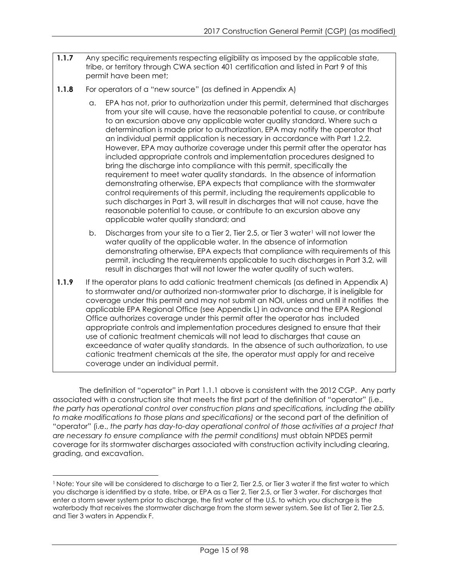- **1.1.7** Any specific requirements respecting eligibility as imposed by the applicable state, tribe, or territory through CWA section 401 certification and listed in Part 9 of this permit have been met;
- **1.1.8** For operators of a "new source" (as defined in Appendix A)
	- a. EPA has not, prior to authorization under this permit, determined that discharges from your site will cause, have the reasonable potential to cause, or contribute to an excursion above any applicable water quality standard. Where such a determination is made prior to authorization, EPA may notify the operator that an individual permit application is necessary in accordance with Part 1.2.2. However, EPA may authorize coverage under this permit after the operator has included appropriate controls and implementation procedures designed to bring the discharge into compliance with this permit, specifically the requirement to meet water quality standards. In the absence of information demonstrating otherwise, EPA expects that compliance with the stormwater control requirements of this permit, including the requirements applicable to such discharges in Part 3, will result in discharges that will not cause, have the reasonable potential to cause, or contribute to an excursion above any applicable water quality standard; and
	- b. Discharges from your site to a Tier 2, Tier 2.5, or Tier 3 water<sup>[1](#page-14-0)</sup> will not lower the water quality of the applicable water. In the absence of information demonstrating otherwise, EPA expects that compliance with requirements of this permit, including the requirements applicable to such discharges in Part 3.2, will result in discharges that will not lower the water quality of such waters.
- **1.1.9** If the operator plans to add cationic treatment chemicals (as defined in Appendix A) to stormwater and/or authorized non-stormwater prior to discharge, it is ineligible for coverage under this permit and may not submit an NOI, unless and until it notifies the applicable EPA Regional Office (see Appendix L) in advance and the EPA Regional Office authorizes coverage under this permit after the operator has included appropriate controls and implementation procedures designed to ensure that their use of cationic treatment chemicals will not lead to discharges that cause an exceedance of water quality standards. In the absence of such authorization, to use cationic treatment chemicals at the site, the operator must apply for and receive coverage under an individual permit.

The definition of "operator" in Part 1.1.1 above is consistent with the 2012 CGP. Any party associated with a construction site that meets the first part of the definition of "operator" (i.e., *the party has operational control over construction plans and specifications, including the ability to make modifications to those plans and specifications)* or the second part of the definition of "operator" (i.e., *the party has day-to-day operational control of those activities at a project that are necessary to ensure compliance with the permit conditions)* must obtain NPDES permit coverage for its stormwater discharges associated with construction activity including clearing, grading, and excavation.

<span id="page-14-0"></span> $\overline{a}$ <sup>1</sup> Note: Your site will be considered to discharge to a Tier 2, Tier 2.5, or Tier 3 water if the first water to which you discharge is identified by a state, tribe, or EPA as a Tier 2, Tier 2.5, or Tier 3 water. For discharges that enter a storm sewer system prior to discharge, the first water of the U.S. to which you discharge is the waterbody that receives the stormwater discharge from the storm sewer system. See list of Tier 2, Tier 2.5, and Tier 3 waters in Appendix F.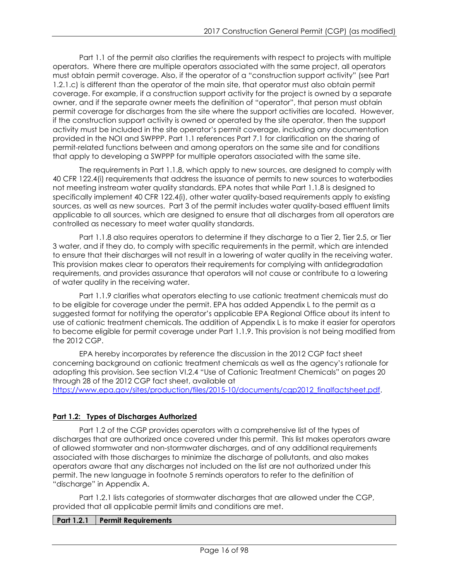Part 1.1 of the permit also clarifies the requirements with respect to projects with multiple operators. Where there are multiple operators associated with the same project, all operators must obtain permit coverage. Also, if the operator of a "construction support activity" (see Part 1.2.1.c) is different than the operator of the main site, that operator must also obtain permit coverage. For example, if a construction support activity for the project is owned by a separate owner, and if the separate owner meets the definition of "operator", that person must obtain permit coverage for discharges from the site where the support activities are located. However, if the construction support activity is owned or operated by the site operator, then the support activity must be included in the site operator's permit coverage, including any documentation provided in the NOI and SWPPP. Part 1.1 references Part 7.1 for clarification on the sharing of permit-related functions between and among operators on the same site and for conditions that apply to developing a SWPPP for multiple operators associated with the same site.

The requirements in Part 1.1.8, which apply to new sources, are designed to comply with 40 CFR 122.4(i) requirements that address the issuance of permits to new sources to waterbodies not meeting instream water quality standards. EPA notes that while Part 1.1.8 is designed to specifically implement 40 CFR 122.4(i), other water quality-based requirements apply to existing sources, as well as new sources. Part 3 of the permit includes water quality-based effluent limits applicable to all sources, which are designed to ensure that all discharges from all operators are controlled as necessary to meet water quality standards.

Part 1.1.8 also requires operators to determine if they discharge to a Tier 2, Tier 2.5, or Tier 3 water, and if they do, to comply with specific requirements in the permit, which are intended to ensure that their discharges will not result in a lowering of water quality in the receiving water. This provision makes clear to operators their requirements for complying with antidegradation requirements, and provides assurance that operators will not cause or contribute to a lowering of water quality in the receiving water.

Part 1.1.9 clarifies what operators electing to use cationic treatment chemicals must do to be eligible for coverage under the permit. EPA has added Appendix L to the permit as a suggested format for notifying the operator's applicable EPA Regional Office about its intent to use of cationic treatment chemicals. The addition of Appendix L is to make it easier for operators to become eligible for permit coverage under Part 1.1.9. This provision is not being modified from the 2012 CGP.

EPA hereby incorporates by reference the discussion in the 2012 CGP fact sheet concerning background on cationic treatment chemicals as well as the agency's rationale for adopting this provision. See section VI.2.4 "Use of Cationic Treatment Chemicals" on pages 20 through 28 of the 2012 CGP fact sheet, available at

[https://www.epa.gov/sites/production/files/2015-10/documents/cgp2012\\_finalfactsheet.pdf.](http://www.epa.gov/sites/production/files/2015-10/documents/cgp2012_finalfactsheet.pdf)

## <span id="page-15-0"></span>**Part 1.2: Types of Discharges Authorized**

Part 1.2 of the CGP provides operators with a comprehensive list of the types of discharges that are authorized once covered under this permit. This list makes operators aware of allowed stormwater and non-stormwater discharges, and of any additional requirements associated with those discharges to minimize the discharge of pollutants, and also makes operators aware that any discharges not included on the list are not authorized under this permit. The new language in footnote 5 reminds operators to refer to the definition of "discharge" in Appendix A.

Part 1.2.1 lists categories of stormwater discharges that are allowed under the CGP, provided that all applicable permit limits and conditions are met.

## **Part 1.2.1 Permit Requirements**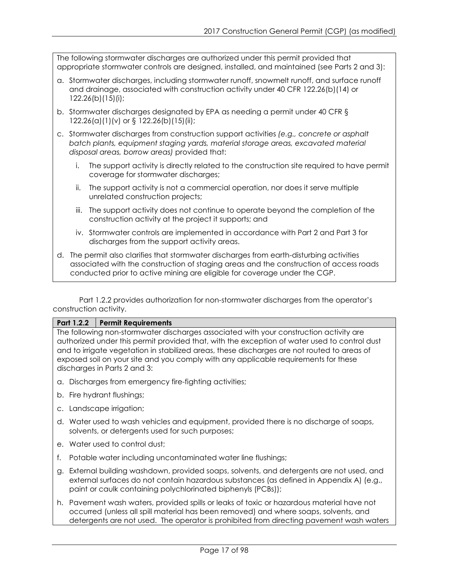The following stormwater discharges are authorized under this permit provided that appropriate stormwater controls are designed, installed, and maintained (see Parts 2 and 3):

- a. Stormwater discharges, including stormwater runoff, snowmelt runoff, and surface runoff and drainage, associated with construction activity under 40 CFR 122.26(b)(14) or 122.26(b)(15)(i);
- b. Stormwater discharges designated by EPA as needing a permit under 40 CFR § 122.26(a)(1)(v) or § 122.26(b)(15)(ii);
- c. Stormwater discharges from construction support activities *(e.g., concrete or asphalt batch plants, equipment staging yards, material storage areas, excavated material disposal areas, borrow areas)* provided that:
	- i. The support activity is directly related to the construction site required to have permit coverage for stormwater discharges;
	- ii. The support activity is not a commercial operation, nor does it serve multiple unrelated construction projects;
	- iii. The support activity does not continue to operate beyond the completion of the construction activity at the project it supports; and
	- iv. Stormwater controls are implemented in accordance with Part 2 and Part 3 for discharges from the support activity areas.
- d. The permit also clarifies that stormwater discharges from earth-disturbing activities associated with the construction of staging areas and the construction of access roads conducted prior to active mining are eligible for coverage under the CGP.

Part 1.2.2 provides authorization for non-stormwater discharges from the operator's construction activity.

#### **Part 1.2.2 Permit Requirements**

The following non-stormwater discharges associated with your construction activity are authorized under this permit provided that, with the exception of water used to control dust and to irrigate vegetation in stabilized areas, these discharges are not routed to areas of exposed soil on your site and you comply with any applicable requirements for these discharges in Parts 2 and 3:

- a. Discharges from emergency fire-fighting activities;
- b. Fire hydrant flushings;
- c. Landscape irrigation;
- d. Water used to wash vehicles and equipment, provided there is no discharge of soaps, solvents, or detergents used for such purposes;
- e. Water used to control dust;
- f. Potable water including uncontaminated water line flushings;
- g. External building washdown, provided soaps, solvents, and detergents are not used, and external surfaces do not contain hazardous substances (as defined in Appendix A) (e.g., paint or caulk containing polychlorinated biphenyls (PCBs));
- h. Pavement wash waters, provided spills or leaks of toxic or hazardous material have not occurred (unless all spill material has been removed) and where soaps, solvents, and detergents are not used. The operator is prohibited from directing pavement wash waters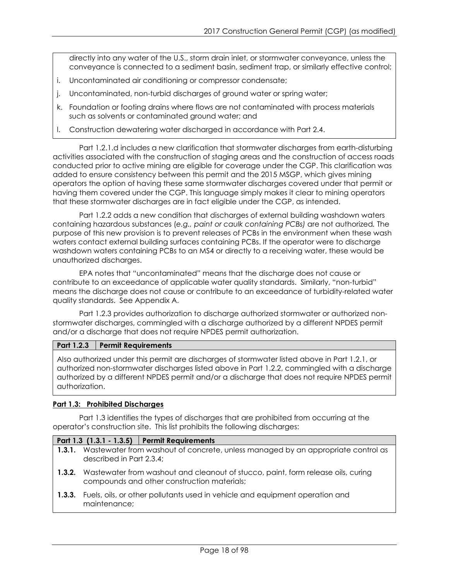directly into any water of the U.S., storm drain inlet, or stormwater conveyance, unless the conveyance is connected to a sediment basin, sediment trap, or similarly effective control;

- i. Uncontaminated air conditioning or compressor condensate;
- j. Uncontaminated, non-turbid discharges of ground water or spring water;
- k. Foundation or footing drains where flows are not contaminated with process materials such as solvents or contaminated ground water; and
- l. Construction dewatering water discharged in accordance with Part 2.4.

Part 1.2.1.d includes a new clarification that stormwater discharges from earth-disturbing activities associated with the construction of staging areas and the construction of access roads conducted prior to active mining are eligible for coverage under the CGP. This clarification was added to ensure consistency between this permit and the 2015 MSGP, which gives mining operators the option of having these same stormwater discharges covered under that permit or having them covered under the CGP. This language simply makes it clear to mining operators that these stormwater discharges are in fact eligible under the CGP, as intended.

Part 1.2.2 adds a new condition that discharges of external building washdown waters containing hazardous substances (*e.g., paint or caulk containing PCBs)* are not authorized*.* The purpose of this new provision is to prevent releases of PCBs in the environment when these wash waters contact external building surfaces containing PCBs. If the operator were to discharge washdown waters containing PCBs to an MS4 or directly to a receiving water, these would be unauthorized discharges.

EPA notes that "uncontaminated" means that the discharge does not cause or contribute to an exceedance of applicable water quality standards. Similarly, "non-turbid" means the discharge does not cause or contribute to an exceedance of turbidity-related water quality standards. See Appendix A.

Part 1.2.3 provides authorization to discharge authorized stormwater or authorized nonstormwater discharges, commingled with a discharge authorized by a different NPDES permit and/or a discharge that does not require NPDES permit authorization.

### **Part 1.2.3 Permit Requirements**

Also authorized under this permit are discharges of stormwater listed above in Part 1.2.1, or authorized non-stormwater discharges listed above in Part 1.2.2, commingled with a discharge authorized by a different NPDES permit and/or a discharge that does not require NPDES permit authorization.

#### <span id="page-17-0"></span>**Part 1.3: Prohibited Discharges**

Part 1.3 identifies the types of discharges that are prohibited from occurring at the operator's construction site. This list prohibits the following discharges:

#### **Part 1.3 (1.3.1 - 1.3.5) Permit Requirements**

- **1.3.1.** Wastewater from washout of concrete, unless managed by an appropriate control as described in Part 2.3.4;
- **1.3.2.** Wastewater from washout and cleanout of stucco, paint, form release oils, curing compounds and other construction materials;
- **1.3.3.** Fuels, oils, or other pollutants used in vehicle and equipment operation and maintenance;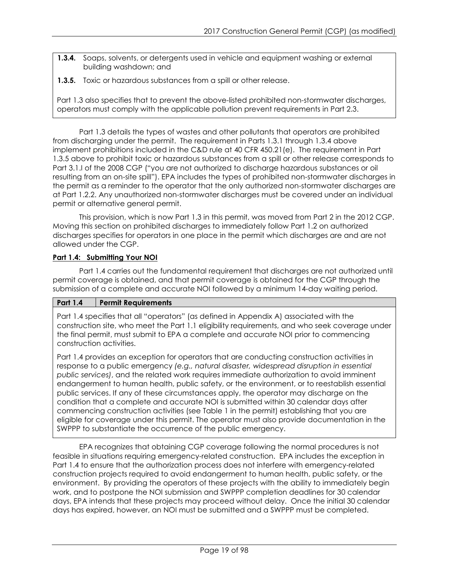- **1.3.4.** Soaps, solvents, or detergents used in vehicle and equipment washing or external building washdown; and
- **1.3.5.** Toxic or hazardous substances from a spill or other release.

Part 1.3 also specifies that to prevent the above-listed prohibited non-stormwater discharges, operators must comply with the applicable pollution prevent requirements in Part 2.3.

Part 1.3 details the types of wastes and other pollutants that operators are prohibited from discharging under the permit. The requirement in Parts 1.3.1 through 1.3.4 above implement prohibitions included in the C&D rule at 40 CFR 450.21(e). The requirement in Part 1.3.5 above to prohibit toxic or hazardous substances from a spill or other release corresponds to Part 3.1.I of the 2008 CGP ("you are not authorized to discharge hazardous substances or oil resulting from an on-site spill"). EPA includes the types of prohibited non-stormwater discharges in the permit as a reminder to the operator that the only authorized non-stormwater discharges are at Part 1.2.2. Any unauthorized non-stormwater discharges must be covered under an individual permit or alternative general permit.

This provision, which is now Part 1.3 in this permit, was moved from Part 2 in the 2012 CGP. Moving this section on prohibited discharges to immediately follow Part 1.2 on authorized discharges specifies for operators in one place in the permit which discharges are and are not allowed under the CGP.

## <span id="page-18-0"></span>**Part 1.4: Submitting Your NOI**

Part 1.4 carries out the fundamental requirement that discharges are not authorized until permit coverage is obtained, and that permit coverage is obtained for the CGP through the submission of a complete and accurate NOI followed by a minimum 14-day waiting period.

## **Part 1.4 Permit Requirements**

Part 1.4 specifies that all "operators" (as defined in Appendix A) associated with the construction site, who meet the Part 1.1 eligibility requirements, and who seek coverage under the final permit, must submit to EPA a complete and accurate NOI prior to commencing construction activities.

Part 1.4 provides an exception for operators that are conducting construction activities in response to a public emergency *(e.g., natural disaster, widespread disruption in essential public services)*, and the related work requires immediate authorization to avoid imminent endangerment to human health, public safety, or the environment, or to reestablish essential public services. If any of these circumstances apply, the operator may discharge on the condition that a complete and accurate NOI is submitted within 30 calendar days after commencing construction activities (see Table 1 in the permit) establishing that you are eligible for coverage under this permit. The operator must also provide documentation in the SWPPP to substantiate the occurrence of the public emergency.

EPA recognizes that obtaining CGP coverage following the normal procedures is not feasible in situations requiring emergency-related construction. EPA includes the exception in Part 1.4 to ensure that the authorization process does not interfere with emergency-related construction projects required to avoid endangerment to human health, public safety, or the environment. By providing the operators of these projects with the ability to immediately begin work, and to postpone the NOI submission and SWPPP completion deadlines for 30 calendar days, EPA intends that these projects may proceed without delay. Once the initial 30 calendar days has expired, however, an NOI must be submitted and a SWPPP must be completed.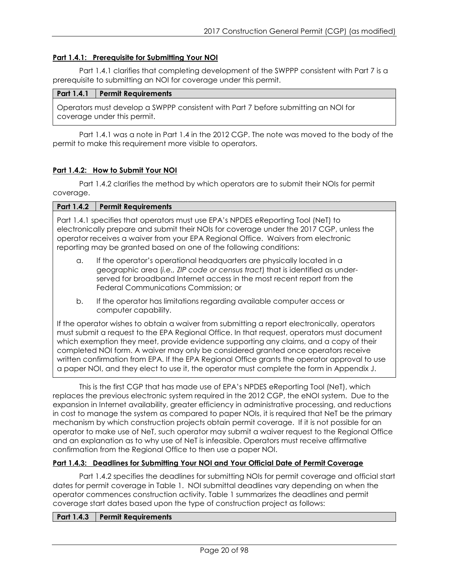### <span id="page-19-0"></span>**Part 1.4.1: Prerequisite for Submitting Your NOI**

Part 1.4.1 clarifies that completing development of the SWPPP consistent with Part 7 is a prerequisite to submitting an NOI for coverage under this permit.

#### **Part 1.4.1 Permit Requirements**

Operators must develop a SWPPP consistent with Part 7 before submitting an NOI for coverage under this permit.

Part 1.4.1 was a note in Part 1.4 in the 2012 CGP. The note was moved to the body of the permit to make this requirement more visible to operators.

#### <span id="page-19-1"></span>**Part 1.4.2: How to Submit Your NOI**

Part 1.4.2 clarifies the method by which operators are to submit their NOIs for permit coverage.

| Part 1.4.2                                                                                                                                                                                                                                                                                                                                                                                                                                                                                                                                                               | <b>Permit Requirements</b>                                                                                                                                                                                                                                                  |  |
|--------------------------------------------------------------------------------------------------------------------------------------------------------------------------------------------------------------------------------------------------------------------------------------------------------------------------------------------------------------------------------------------------------------------------------------------------------------------------------------------------------------------------------------------------------------------------|-----------------------------------------------------------------------------------------------------------------------------------------------------------------------------------------------------------------------------------------------------------------------------|--|
| Part 1.4.1 specifies that operators must use EPA's NPDES eReporting Tool (NeT) to<br>electronically prepare and submit their NOIs for coverage under the 2017 CGP, unless the<br>operator receives a waiver from your EPA Regional Office. Waivers from electronic<br>reporting may be granted based on one of the following conditions:                                                                                                                                                                                                                                 |                                                                                                                                                                                                                                                                             |  |
| a.                                                                                                                                                                                                                                                                                                                                                                                                                                                                                                                                                                       | If the operator's operational headquarters are physically located in a<br>geographic area (i.e., ZIP code or census tract) that is identified as under-<br>served for broadband Internet access in the most recent report from the<br>Federal Communications Commission; or |  |
| b.                                                                                                                                                                                                                                                                                                                                                                                                                                                                                                                                                                       | If the operator has limitations regarding available computer access or<br>computer capability.                                                                                                                                                                              |  |
| If the operator wishes to obtain a waiver from submitting a report electronically, operators<br>must submit a request to the EPA Regional Office. In that request, operators must document<br>which exemption they meet, provide evidence supporting any claims, and a copy of their<br>completed NOI form. A waiver may only be considered granted once operators receive<br>written confirmation from EPA. If the EPA Regional Office grants the operator approval to use<br>a paper NOI, and they elect to use it, the operator must complete the form in Appendix J. |                                                                                                                                                                                                                                                                             |  |
|                                                                                                                                                                                                                                                                                                                                                                                                                                                                                                                                                                          |                                                                                                                                                                                                                                                                             |  |

This is the first CGP that has made use of EPA's NPDES eReporting Tool (NeT), which replaces the previous electronic system required in the 2012 CGP, the eNOI system. Due to the expansion in Internet availability, greater efficiency in administrative processing, and reductions in cost to manage the system as compared to paper NOIs, it is required that NeT be the primary mechanism by which construction projects obtain permit coverage. If it is not possible for an operator to make use of NeT, such operator may submit a waiver request to the Regional Office and an explanation as to why use of NeT is infeasible. Operators must receive affirmative confirmation from the Regional Office to then use a paper NOI.

#### <span id="page-19-2"></span>**Part 1.4.3: Deadlines for Submitting Your NOI and Your Official Date of Permit Coverage**

Part 1.4.2 specifies the deadlines for submitting NOIs for permit coverage and official start dates for permit coverage in Table 1. NOI submittal deadlines vary depending on when the operator commences construction activity. Table 1 summarizes the deadlines and permit coverage start dates based upon the type of construction project as follows:

|--|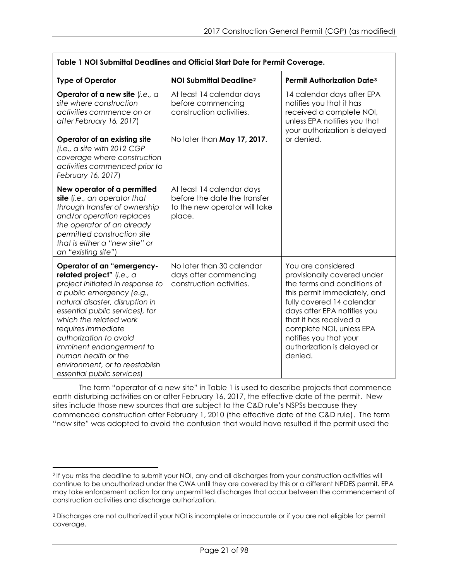|                                                                                                                                                                                                                                                                                                                                                                                             | Table 1 NOI Submittal Deadlines and Official Start Date for Permit Coverage.                         |                                                                                                                                                                                                                                                                                                        |  |
|---------------------------------------------------------------------------------------------------------------------------------------------------------------------------------------------------------------------------------------------------------------------------------------------------------------------------------------------------------------------------------------------|------------------------------------------------------------------------------------------------------|--------------------------------------------------------------------------------------------------------------------------------------------------------------------------------------------------------------------------------------------------------------------------------------------------------|--|
| <b>Type of Operator</b>                                                                                                                                                                                                                                                                                                                                                                     | <b>NOI Submittal Deadline2</b>                                                                       | <b>Permit Authorization Date3</b>                                                                                                                                                                                                                                                                      |  |
| Operator of a new site (i.e., a<br>site where construction<br>activities commence on or<br>after February 16, 2017)                                                                                                                                                                                                                                                                         | At least 14 calendar days<br>before commencing<br>construction activities.                           | 14 calendar days after EPA<br>notifies you that it has<br>received a complete NOI,<br>unless EPA notifies you that<br>your authorization is delayed                                                                                                                                                    |  |
| Operator of an existing site<br>(i.e., a site with $2012$ CGP<br>coverage where construction<br>activities commenced prior to<br>February 16, 2017)                                                                                                                                                                                                                                         | No later than May 17, 2017.                                                                          | or denied.                                                                                                                                                                                                                                                                                             |  |
| New operator of a permitted<br>site (i.e., an operator that<br>through transfer of ownership<br>and/or operation replaces<br>the operator of an already<br>permitted construction site<br>that is either a "new site" or<br>an "existing site")                                                                                                                                             | At least 14 calendar days<br>before the date the transfer<br>to the new operator will take<br>place. |                                                                                                                                                                                                                                                                                                        |  |
| Operator of an "emergency-<br>related project" (i.e., a<br>project initiated in response to<br>a public emergency (e.g.,<br>natural disaster, disruption in<br>essential public services), for<br>which the related work<br>requires immediate<br>authorization to avoid<br>imminent endangerment to<br>human health or the<br>environment, or to reestablish<br>essential public services) | No later than 30 calendar<br>days after commencing<br>construction activities.                       | You are considered<br>provisionally covered under<br>the terms and conditions of<br>this permit immediately, and<br>fully covered 14 calendar<br>days after EPA notifies you<br>that it has received a<br>complete NOI, unless EPA<br>notifies you that your<br>authorization is delayed or<br>denied. |  |

The term "operator of a new site" in Table 1 is used to describe projects that commence earth disturbing activities on or after February 16, 2017, the effective date of the permit. New sites include those new sources that are subject to the C&D rule's NSPSs because they commenced construction after February 1, 2010 (the effective date of the C&D rule). The term "new site" was adopted to avoid the confusion that would have resulted if the permit used the

<span id="page-20-0"></span> $\overline{a}$ <sup>2</sup> If you miss the deadline to submit your NOI, any and all discharges from your construction activities will continue to be unauthorized under the CWA until they are covered by this or a different NPDES permit. EPA may take enforcement action for any unpermitted discharges that occur between the commencement of construction activities and discharge authorization.

<span id="page-20-1"></span><sup>3</sup> Discharges are not authorized if your NOI is incomplete or inaccurate or if you are not eligible for permit coverage.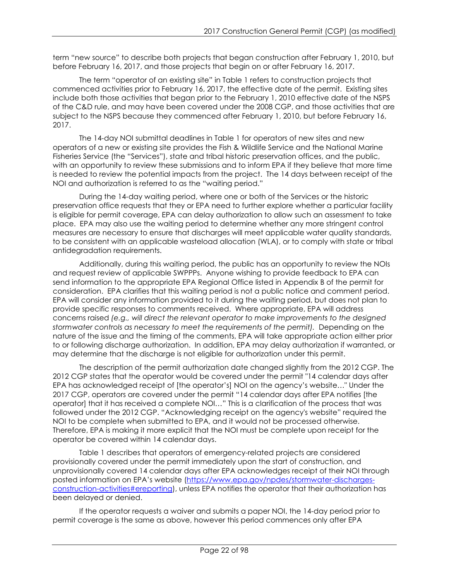term "new source" to describe both projects that began construction after February 1, 2010, but before February 16, 2017, and those projects that begin on or after February 16, 2017.

The term "operator of an existing site" in Table 1 refers to construction projects that commenced activities prior to February 16, 2017, the effective date of the permit. Existing sites include both those activities that began prior to the February 1, 2010 effective date of the NSPS of the C&D rule, and may have been covered under the 2008 CGP, and those activities that are subject to the NSPS because they commenced after February 1, 2010, but before February 16, 2017.

The 14-day NOI submittal deadlines in Table 1 for operators of new sites and new operators of a new or existing site provides the Fish & Wildlife Service and the National Marine Fisheries Service (the "Services"), state and tribal historic preservation offices, and the public, with an opportunity to review these submissions and to inform EPA if they believe that more time is needed to review the potential impacts from the project. The 14 days between receipt of the NOI and authorization is referred to as the "waiting period."

During the 14-day waiting period, where one or both of the Services or the historic preservation office requests that they or EPA need to further explore whether a particular facility is eligible for permit coverage, EPA can delay authorization to allow such an assessment to take place. EPA may also use the waiting period to determine whether any more stringent control measures are necessary to ensure that discharges will meet applicable water quality standards, to be consistent with an applicable wasteload allocation (WLA), or to comply with state or tribal antidegradation requirements.

Additionally, during this waiting period, the public has an opportunity to review the NOIs and request review of applicable SWPPPs. Anyone wishing to provide feedback to EPA can send information to the appropriate EPA Regional Office listed in Appendix B of the permit for consideration. EPA clarifies that this waiting period is not a public notice and comment period. EPA will consider any information provided to it during the waiting period, but does not plan to provide specific responses to comments received. Where appropriate, EPA will address concerns raised *(e.g., will direct the relevant operator to make improvements to the designed stormwater controls as necessary to meet the requirements of the permit).* Depending on the nature of the issue and the timing of the comments, EPA will take appropriate action either prior to or following discharge authorization. In addition, EPA may delay authorization if warranted, or may determine that the discharge is not eligible for authorization under this permit.

The description of the permit authorization date changed slightly from the 2012 CGP. The 2012 CGP states that the operator would be covered under the permit "14 calendar days after EPA has acknowledged receipt of [the operator's] NOI on the agency's website…" Under the 2017 CGP, operators are covered under the permit "14 calendar days after EPA notifies [the operator] that it has received a complete NOI…" This is a clarification of the process that was followed under the 2012 CGP. "Acknowledging receipt on the agency's website" required the NOI to be complete when submitted to EPA, and it would not be processed otherwise. Therefore, EPA is making it more explicit that the NOI must be complete upon receipt for the operator be covered within 14 calendar days.

Table 1 describes that operators of emergency-related projects are considered provisionally covered under the permit immediately upon the start of construction, and unprovisionally covered 14 calendar days after EPA acknowledges receipt of their NOI through posted information on EPA's website [\(https://www.epa.gov/npdes/stormwater-discharges](http://www.epa.gov/npdes/stormwater-discharges-construction-activities)[construction-activities#ereporting\)](http://www.epa.gov/npdes/stormwater-discharges-construction-activities), unless EPA notifies the operator that their authorization has been delayed or denied.

If the operator requests a waiver and submits a paper NOI, the 14-day period prior to permit coverage is the same as above, however this period commences only after EPA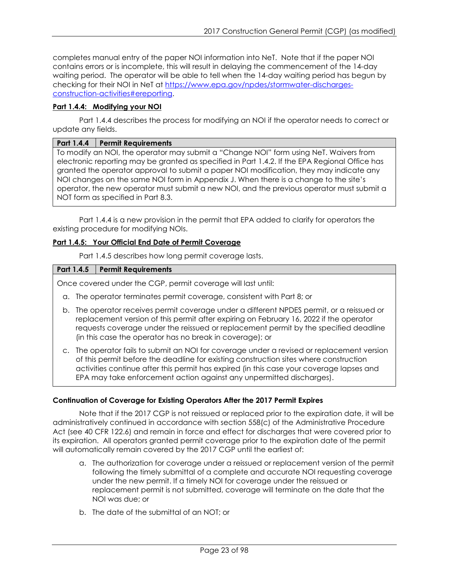completes manual entry of the paper NOI information into NeT. Note that if the paper NOI contains errors or is incomplete, this will result in delaying the commencement of the 14-day waiting period. The operator will be able to tell when the 14-day waiting period has begun by checking for their NOI in NeT at [https://www.epa.gov/npdes/stormwater-discharges](http://www.epa.gov/npdes/stormwater-discharges-construction-activities)[construction-activities#ereporting.](http://www.epa.gov/npdes/stormwater-discharges-construction-activities)

## <span id="page-22-0"></span>**Part 1.4.4: Modifying your NOI**

Part 1.4.4 describes the process for modifying an NOI if the operator needs to correct or update any fields.

#### **Part 1.4.4 Permit Requirements**

To modify an NOI, the operator may submit a "Change NOI" form using NeT. Waivers from electronic reporting may be granted as specified in Part 1.4.2. If the EPA Regional Office has granted the operator approval to submit a paper NOI modification, they may indicate any NOI changes on the same NOI form in Appendix J. When there is a change to the site's operator, the new operator must submit a new NOI, and the previous operator must submit a NOT form as specified in Part 8.3.

Part 1.4.4 is a new provision in the permit that EPA added to clarify for operators the existing procedure for modifying NOIs.

#### <span id="page-22-1"></span>**Part 1.4.5: Your Official End Date of Permit Coverage**

Part 1.4.5 describes how long permit coverage lasts.

#### **Part 1.4.5 Permit Requirements**

Once covered under the CGP, permit coverage will last until:

- a. The operator terminates permit coverage, consistent with Part 8; or
- b. The operator receives permit coverage under a different NPDES permit, or a reissued or replacement version of this permit after expiring on February 16, 2022 if the operator requests coverage under the reissued or replacement permit by the specified deadline (in this case the operator has no break in coverage); or
- c. The operator fails to submit an NOI for coverage under a revised or replacement version of this permit before the deadline for existing construction sites where construction activities continue after this permit has expired (in this case your coverage lapses and EPA may take enforcement action against any unpermitted discharges).

#### **Continuation of Coverage for Existing Operators After the 2017 Permit Expires**

Note that if the 2017 CGP is not reissued or replaced prior to the expiration date, it will be administratively continued in accordance with section 558(c) of the Administrative Procedure Act (see 40 CFR 122.6) and remain in force and effect for discharges that were covered prior to its expiration. All operators granted permit coverage prior to the expiration date of the permit will automatically remain covered by the 2017 CGP until the earliest of:

- a. The authorization for coverage under a reissued or replacement version of the permit following the timely submittal of a complete and accurate NOI requesting coverage under the new permit. If a timely NOI for coverage under the reissued or replacement permit is not submitted, coverage will terminate on the date that the NOI was due; or
- b. The date of the submittal of an NOT; or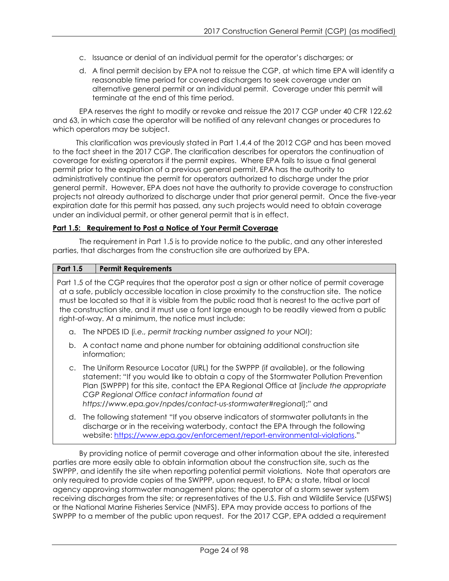- c. Issuance or denial of an individual permit for the operator's discharges; or
- d. A final permit decision by EPA not to reissue the CGP, at which time EPA will identify a reasonable time period for covered dischargers to seek coverage under an alternative general permit or an individual permit. Coverage under this permit will terminate at the end of this time period.

EPA reserves the right to modify or revoke and reissue the 2017 CGP under 40 CFR 122.62 and 63, in which case the operator will be notified of any relevant changes or procedures to which operators may be subject.

This clarification was previously stated in Part 1.4.4 of the 2012 CGP and has been moved to the fact sheet in the 2017 CGP. The clarification describes for operators the continuation of coverage for existing operators if the permit expires. Where EPA fails to issue a final general permit prior to the expiration of a previous general permit, EPA has the authority to administratively continue the permit for operators authorized to discharge under the prior general permit. However, EPA does not have the authority to provide coverage to construction projects not already authorized to discharge under that prior general permit. Once the five-year expiration date for this permit has passed, any such projects would need to obtain coverage under an individual permit, or other general permit that is in effect.

### <span id="page-23-0"></span>**Part 1.5: Requirement to Post a Notice of Your Permit Coverage**

The requirement in Part 1.5 is to provide notice to the public, and any other interested parties, that discharges from the construction site are authorized by EPA.

### **Part 1.5 Permit Requirements**

Part 1.5 of the CGP requires that the operator post a sign or other notice of permit coverage at a safe, publicly accessible location in close proximity to the construction site. The notice must be located so that it is visible from the public road that is nearest to the active part of the construction site, and it must use a font large enough to be readily viewed from a public right-of-way. At a minimum, the notice must include:

- a. The NPDES ID (*i.e., permit tracking number assigned to your NOI*);
- b. A contact name and phone number for obtaining additional construction site information;
- c. The Uniform Resource Locator (URL) for the SWPPP (if available), or the following statement: "If you would like to obtain a copy of the Stormwater Pollution Prevention Plan (SWPPP) for this site, contact the EPA Regional Office at [*include the appropriate CGP Regional Office contact information found at https://www.epa.gov/npdes/contact-us-stormwater#regiona*l];" and
- d. The following statement "If you observe indicators of stormwater pollutants in the discharge or in the receiving waterbody, contact the EPA through the following website: [https://www.epa.gov/enforcement/report-environmental-violations.](https://www.epa.gov/enforcement/report-environmental-violations)"

By providing notice of permit coverage and other information about the site, interested parties are more easily able to obtain information about the construction site, such as the SWPPP, and identify the site when reporting potential permit violations. Note that operators are only required to provide copies of the SWPPP, upon request, to EPA; a state, tribal or local agency approving stormwater management plans; the operator of a storm sewer system receiving discharges from the site; or representatives of the U.S. Fish and Wildlife Service (USFWS) or the National Marine Fisheries Service (NMFS). EPA may provide access to portions of the SWPPP to a member of the public upon request. For the 2017 CGP, EPA added a requirement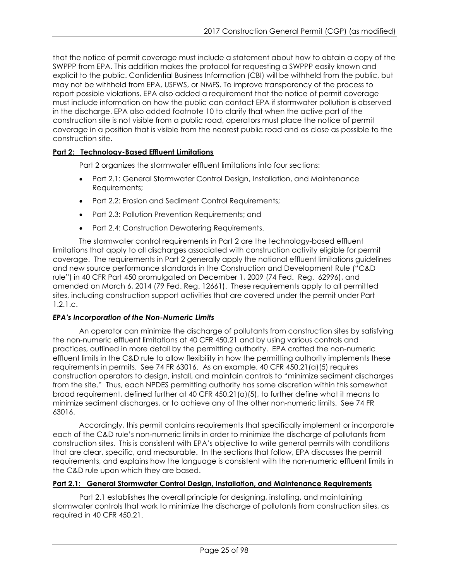that the notice of permit coverage must include a statement about how to obtain a copy of the SWPPP from EPA. This addition makes the protocol for requesting a SWPPP easily known and explicit to the public. Confidential Business Information (CBI) will be withheld from the public, but may not be withheld from EPA, USFWS, or NMFS. To improve transparency of the process to report possible violations, EPA also added a requirement that the notice of permit coverage must include information on how the public can contact EPA if stormwater pollution is observed in the discharge. EPA also added footnote 10 to clarify that when the active part of the construction site is not visible from a public road, operators must place the notice of permit coverage in a position that is visible from the nearest public road and as close as possible to the construction site.

## <span id="page-24-0"></span>**Part 2: Technology-Based Effluent Limitations**

Part 2 organizes the stormwater effluent limitations into four sections:

- Part 2.1: General Stormwater Control Design, Installation, and Maintenance Requirements;
- Part 2.2: Erosion and Sediment Control Requirements;
- Part 2.3: Pollution Prevention Requirements; and
- Part 2.4: Construction Dewatering Requirements.

The stormwater control requirements in Part 2 are the technology-based effluent limitations that apply to all discharges associated with construction activity eligible for permit coverage. The requirements in Part 2 generally apply the national effluent limitations guidelines and new source performance standards in the Construction and Development Rule ("C&D rule") in 40 CFR Part 450 promulgated on December 1, 2009 (74 Fed. Reg. 62996), and amended on March 6, 2014 (79 Fed. Reg. 12661). These requirements apply to all permitted sites, including construction support activities that are covered under the permit under Part 1.2.1.c.

## *EPA's Incorporation of the Non-Numeric Limits*

An operator can minimize the discharge of pollutants from construction sites by satisfying the non-numeric effluent limitations at 40 CFR 450.21 and by using various controls and practices, outlined in more detail by the permitting authority. EPA crafted the non-numeric effluent limits in the C&D rule to allow flexibility in how the permitting authority implements these requirements in permits. See 74 FR 63016. As an example, 40 CFR 450.21(a)(5) requires construction operators to design, install, and maintain controls to "minimize sediment discharges from the site." Thus, each NPDES permitting authority has some discretion within this somewhat broad requirement, defined further at 40 CFR 450.21(a)(5), to further define what it means to minimize sediment discharges, or to achieve any of the other non-numeric limits. See 74 FR 63016.

Accordingly, this permit contains requirements that specifically implement or incorporate each of the C&D rule's non-numeric limits in order to minimize the discharge of pollutants from construction sites. This is consistent with EPA's objective to write general permits with conditions that are clear, specific, and measurable. In the sections that follow, EPA discusses the permit requirements, and explains how the language is consistent with the non-numeric effluent limits in the C&D rule upon which they are based.

## <span id="page-24-1"></span>**Part 2.1: General Stormwater Control Design, Installation, and Maintenance Requirements**

Part 2.1 establishes the overall principle for designing, installing, and maintaining stormwater controls that work to minimize the discharge of pollutants from construction sites, as required in 40 CFR 450.21.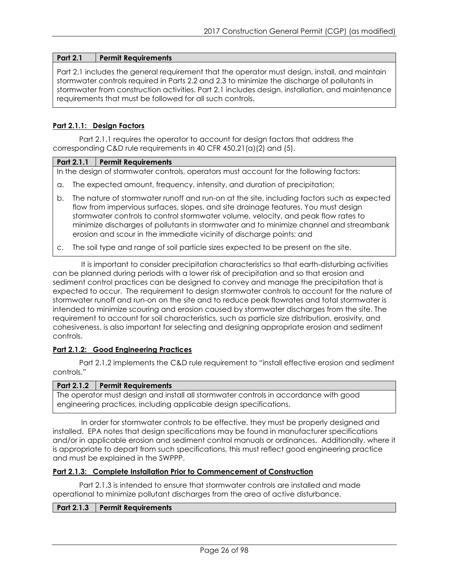### **Part 2.1 Permit Requirements**

Part 2.1 includes the general requirement that the operator must design, install, and maintain stormwater controls required in Parts 2.2 and 2.3 to minimize the discharge of pollutants in stormwater from construction activities. Part 2.1 includes design, installation, and maintenance requirements that must be followed for all such controls.

### <span id="page-25-0"></span>**Part 2.1.1: Design Factors**

Part 2.1.1 requires the operator to account for design factors that address the corresponding C&D rule requirements in 40 CFR 450.21(a)(2) and (5).

#### **Part 2.1.1 Permit Requirements**

In the design of stormwater controls, operators must account for the following factors:

- a. The expected amount, frequency, intensity, and duration of precipitation;
- b. The nature of stormwater runoff and run-on at the site, including factors such as expected flow from impervious surfaces, slopes, and site drainage features. You must design stormwater controls to control stormwater volume, velocity, and peak flow rates to minimize discharges of pollutants in stormwater and to minimize channel and streambank erosion and scour in the immediate vicinity of discharge points; and
- c. The soil type and range of soil particle sizes expected to be present on the site.

It is important to consider precipitation characteristics so that earth-disturbing activities can be planned during periods with a lower risk of precipitation and so that erosion and sediment control practices can be designed to convey and manage the precipitation that is expected to occur. The requirement to design stormwater controls to account for the nature of stormwater runoff and run-on on the site and to reduce peak flowrates and total stormwater is intended to minimize scouring and erosion caused by stormwater discharges from the site. The requirement to account for soil characteristics, such as particle size distribution, erosivity, and cohesiveness, is also important for selecting and designing appropriate erosion and sediment controls.

#### <span id="page-25-1"></span>**Part 2.1.2: Good Engineering Practices**

Part 2.1.2 implements the C&D rule requirement to "install effective erosion and sediment controls."

#### **Part 2.1.2 Permit Requirements**

The operator must design and install all stormwater controls in accordance with good engineering practices, including applicable design specifications.

In order for stormwater controls to be effective, they must be properly designed and installed. EPA notes that design specifications may be found in manufacturer specifications and/or in applicable erosion and sediment control manuals or ordinances. Additionally, where it is appropriate to depart from such specifications, this must reflect good engineering practice and must be explained in the SWPPP.

#### <span id="page-25-2"></span>**Part 2.1.3: Complete Installation Prior to Commencement of Construction**

Part 2.1.3 is intended to ensure that stormwater controls are installed and made operational to minimize pollutant discharges from the area of active disturbance.

#### **Part 2.1.3 Permit Requirements**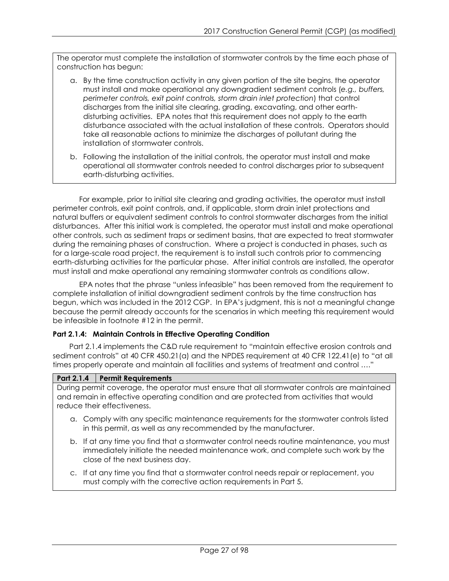The operator must complete the installation of stormwater controls by the time each phase of construction has begun:

- a. By the time construction activity in any given portion of the site begins, the operator must install and make operational any downgradient sediment controls (*e.g., buffers, perimeter controls, exit point controls, storm drain inlet protection*) that control discharges from the initial site clearing, grading, excavating, and other earthdisturbing activities. EPA notes that this requirement does not apply to the earth disturbance associated with the actual installation of these controls. Operators should take all reasonable actions to minimize the discharges of pollutant during the installation of stormwater controls.
- b. Following the installation of the initial controls, the operator must install and make operational all stormwater controls needed to control discharges prior to subsequent earth-disturbing activities.

For example, prior to initial site clearing and grading activities, the operator must install perimeter controls, exit point controls, and, if applicable, storm drain inlet protections and natural buffers or equivalent sediment controls to control stormwater discharges from the initial disturbances. After this initial work is completed, the operator must install and make operational other controls, such as sediment traps or sediment basins, that are expected to treat stormwater during the remaining phases of construction. Where a project is conducted in phases, such as for a large-scale road project, the requirement is to install such controls prior to commencing earth-disturbing activities for the particular phase. After initial controls are installed, the operator must install and make operational any remaining stormwater controls as conditions allow.

EPA notes that the phrase "unless infeasible" has been removed from the requirement to complete installation of initial downgradient sediment controls by the time construction has begun, which was included in the 2012 CGP. In EPA's judgment, this is not a meaningful change because the permit already accounts for the scenarios in which meeting this requirement would be infeasible in footnote #12 in the permit.

## <span id="page-26-0"></span>**Part 2.1.4: Maintain Controls in Effective Operating Condition**

Part 2.1.4 implements the C&D rule requirement to "maintain effective erosion controls and sediment controls" at 40 CFR 450.21(a) and the NPDES requirement at 40 CFR 122.41(e) to "at all times properly operate and maintain all facilities and systems of treatment and control …."

## **Part 2.1.4 Permit Requirements**

During permit coverage, the operator must ensure that all stormwater controls are maintained and remain in effective operating condition and are protected from activities that would reduce their effectiveness.

- a. Comply with any specific maintenance requirements for the stormwater controls listed in this permit, as well as any recommended by the manufacturer.
- b. If at any time you find that a stormwater control needs routine maintenance, you must immediately initiate the needed maintenance work, and complete such work by the close of the next business day.
- c. If at any time you find that a stormwater control needs repair or replacement, you must comply with the corrective action requirements in Part 5.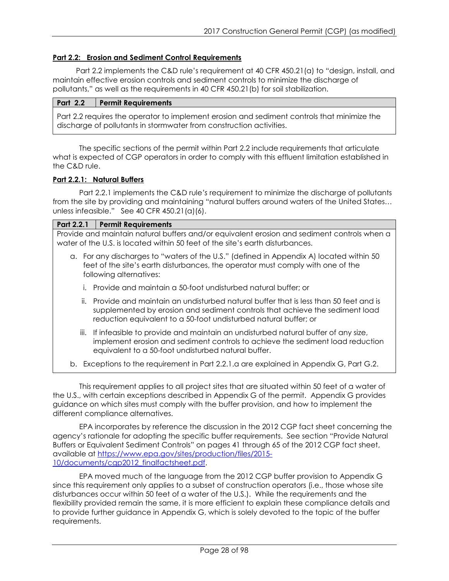### <span id="page-27-0"></span>**Part 2.2: Erosion and Sediment Control Requirements**

Part 2.2 implements the C&D rule's requirement at 40 CFR 450.21(a) to "design, install, and maintain effective erosion controls and sediment controls to minimize the discharge of pollutants," as well as the requirements in 40 CFR 450.21(b) for soil stabilization.

| <b>Part 2.2</b>                                                                             | <b>Permit Requirements</b> |
|---------------------------------------------------------------------------------------------|----------------------------|
| Part 2.2 requires the operator to implement erosion and sediment controls that minimize the |                            |
| discharge of pollutants in stormwater from construction activities.                         |                            |

The specific sections of the permit within Part 2.2 include requirements that articulate what is expected of CGP operators in order to comply with this effluent limitation established in the C&D rule.

### <span id="page-27-1"></span>**Part 2.2.1: Natural Buffers**

Part 2.2.1 implements the C&D rule*'s* requirement to minimize the discharge of pollutants from the site by providing and maintaining "natural buffers around waters of the United States… unless infeasible." See 40 CFR 450.21(a)(6).

#### **Part 2.2.1 Permit Requirements**

Provide and maintain natural buffers and/or equivalent erosion and sediment controls when a water of the U.S. is located within 50 feet of the site's earth disturbances.

- a. For any discharges to "waters of the U.S." (defined in Appendix A) located within 50 feet of the site's earth disturbances, the operator must comply with one of the following alternatives:
	- i. Provide and maintain a 50-foot undisturbed natural buffer; or
	- ii. Provide and maintain an undisturbed natural buffer that is less than 50 feet and is supplemented by erosion and sediment controls that achieve the sediment load reduction equivalent to a 50-foot undisturbed natural buffer; or
	- iii. If infeasible to provide and maintain an undisturbed natural buffer of any size, implement erosion and sediment controls to achieve the sediment load reduction equivalent to a 50-foot undisturbed natural buffer.
- b. Exceptions to the requirement in Part 2.2.1.a are explained in Appendix G, Part G.2.

This requirement applies to all project sites that are situated within 50 feet of a water of the U.S., with certain exceptions described in Appendix G of the permit. Appendix G provides guidance on which sites must comply with the buffer provision, and how to implement the different compliance alternatives.

EPA incorporates by reference the discussion in the 2012 CGP fact sheet concerning the agency's rationale for adopting the specific buffer requirements. See section "Provide Natural Buffers or Equivalent Sediment Controls" on pages 41 through 65 of the 2012 CGP fact sheet, available at [https://www.epa.gov/sites/production/files/2015-](http://www.epa.gov/sites/production/files/2015-10/documents/cgp2012_finalfactsheet.pdf) 10/documents/cap2012\_finalfactsheet.pdf.

EPA moved much of the language from the 2012 CGP buffer provision to Appendix G since this requirement only applies to a subset of construction operators (i.e., those whose site disturbances occur within 50 feet of a water of the U.S.). While the requirements and the flexibility provided remain the same, it is more efficient to explain these compliance details and to provide further guidance in Appendix G, which is solely devoted to the topic of the buffer requirements.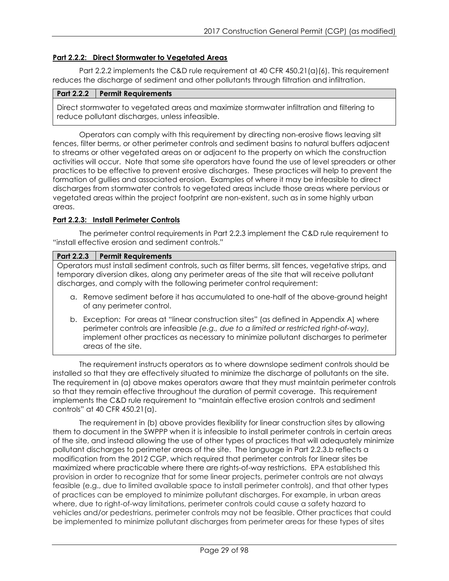#### <span id="page-28-0"></span>**Part 2.2.2: Direct Stormwater to Vegetated Areas**

Part 2.2.2 implements the C&D rule requirement at 40 CFR 450.21(a)(6). This requirement reduces the discharge of sediment and other pollutants through filtration and infiltration.

#### **Part 2.2.2 Permit Requirements**

Direct stormwater to vegetated areas and maximize stormwater infiltration and filtering to reduce pollutant discharges, unless infeasible.

Operators can comply with this requirement by directing non-erosive flows leaving silt fences, filter berms, or other perimeter controls and sediment basins to natural buffers adjacent to streams or other vegetated areas on or adjacent to the property on which the construction activities will occur. Note that some site operators have found the use of level spreaders or other practices to be effective to prevent erosive discharges. These practices will help to prevent the formation of gullies and associated erosion. Examples of where it may be infeasible to direct discharges from stormwater controls to vegetated areas include those areas where pervious or vegetated areas within the project footprint are non-existent, such as in some highly urban areas.

#### <span id="page-28-1"></span>**Part 2.2.3: Install Perimeter Controls**

The perimeter control requirements in Part 2.2.3 implement the C&D rule requirement to "install effective erosion and sediment controls."

| <b>Part 2.2.3</b><br><b>Permit Requirements</b> |
|-------------------------------------------------|
|-------------------------------------------------|

Operators must install sediment controls, such as filter berms, silt fences, vegetative strips, and temporary diversion dikes, along any perimeter areas of the site that will receive pollutant discharges, and comply with the following perimeter control requirement:

- a. Remove sediment before it has accumulated to one-half of the above-ground height of any perimeter control.
- b. Exception: For areas at "linear construction sites" (as defined in Appendix A) where perimeter controls are infeasible *(e.g., due to a limited or restricted right-of-way),*  implement other practices as necessary to minimize pollutant discharges to perimeter areas of the site.

The requirement instructs operators as to where downslope sediment controls should be installed so that they are effectively situated to minimize the discharge of pollutants on the site. The requirement in (a) above makes operators aware that they must maintain perimeter controls so that they remain effective throughout the duration of permit coverage. This requirement implements the C&D rule requirement to "maintain effective erosion controls and sediment controls" at 40 CFR 450.21(a).

The requirement in (b) above provides flexibility for linear construction sites by allowing them to document in the SWPPP when it is infeasible to install perimeter controls in certain areas of the site, and instead allowing the use of other types of practices that will adequately minimize pollutant discharges to perimeter areas of the site. The language in Part 2.2.3.b reflects a modification from the 2012 CGP, which required that perimeter controls for linear sites be maximized where practicable where there are rights-of-way restrictions. EPA established this provision in order to recognize that for some linear projects, perimeter controls are not always feasible (e.g., due to limited available space to install perimeter controls), and that other types of practices can be employed to minimize pollutant discharges. For example, in urban areas where, due to right-of-way limitations, perimeter controls could cause a safety hazard to vehicles and/or pedestrians, perimeter controls may not be feasible. Other practices that could be implemented to minimize pollutant discharges from perimeter areas for these types of sites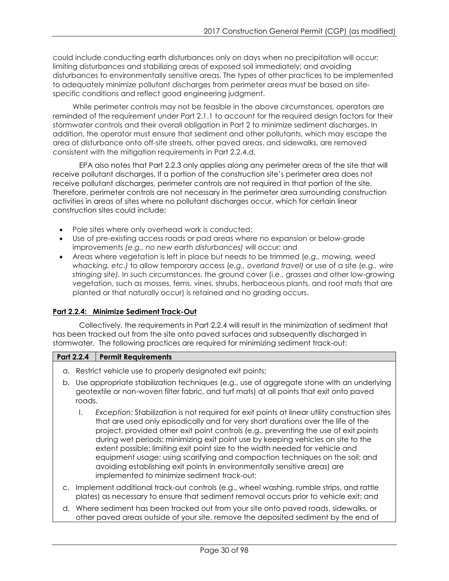could include conducting earth disturbances only on days when no precipitation will occur; limiting disturbances and stabilizing areas of exposed soil immediately; and avoiding disturbances to environmentally sensitive areas. The types of other practices to be implemented to adequately minimize pollutant discharges from perimeter areas must be based on sitespecific conditions and reflect good engineering judgment.

While perimeter controls may not be feasible in the above circumstances, operators are reminded of the requirement under Part 2.1.1 to account for the required design factors for their stormwater controls and their overall obligation in Part 2 to minimize sediment discharges. In addition, the operator must ensure that sediment and other pollutants, which may escape the area of disturbance onto off-site streets, other paved areas, and sidewalks, are removed consistent with the mitigation requirements in Part 2.2.4.d.

EPA also notes that Part 2.2.3 only applies along any perimeter areas of the site that will receive pollutant discharges. If a portion of the construction site's perimeter area does not receive pollutant discharges, perimeter controls are not required in that portion of the site. Therefore, perimeter controls are not necessary in the perimeter area surrounding construction activities in areas of sites where no pollutant discharges occur, which for certain linear construction sites could include:

- Pole sites where only overhead work is conducted;
- Use of pre-existing access roads or pad areas where no expansion or below-grade improvements *(e.g., no new earth disturbances)* will occur; and
- Areas where vegetation is left in place but needs to be trimmed (*e.g., mowing, weed whacking, etc.)* to allow temporary access (*e.g., overland travel)* or use of a site (*e.g., wire stringing site).* In such circumstances, the ground cover (i.e., grasses and other low-growing vegetation, such as mosses, ferns, vines, shrubs, herbaceous plants, and root mats that are planted or that naturally occur) is retained and no grading occurs.

## <span id="page-29-0"></span>**Part 2.2.4: Minimize Sediment Track-Out**

Collectively, the requirements in Part 2.2.4 will result in the minimization of sediment that has been tracked out from the site onto paved surfaces and subsequently discharged in stormwater. The following practices are required for minimizing sediment track-out:

## **Part 2.2.4 Permit Requirements**

- a. Restrict vehicle use to properly designated exit points;
- b. Use appropriate stabilization techniques (e.g., use of aggregate stone with an underlying geotextile or non-woven filter fabric, and turf mats) at all points that exit onto paved roads.
	- I. *Exception*: Stabilization is not required for exit points at linear utility construction sites that are used only episodically and for very short durations over the life of the project, provided other exit point controls (e.g., preventing the use of exit points during wet periods; minimizing exit point use by keeping vehicles on site to the extent possible; limiting exit point size to the width needed for vehicle and equipment usage; using scarifying and compaction techniques on the soil; and avoiding establishing exit points in environmentally sensitive areas) are implemented to minimize sediment track-out;
- c. Implement additional track-out controls (e.g., wheel washing, rumble strips, and rattle plates) as necessary to ensure that sediment removal occurs prior to vehicle exit; and
- d. Where sediment has been tracked out from your site onto paved roads, sidewalks, or other paved areas outside of your site, remove the deposited sediment by the end of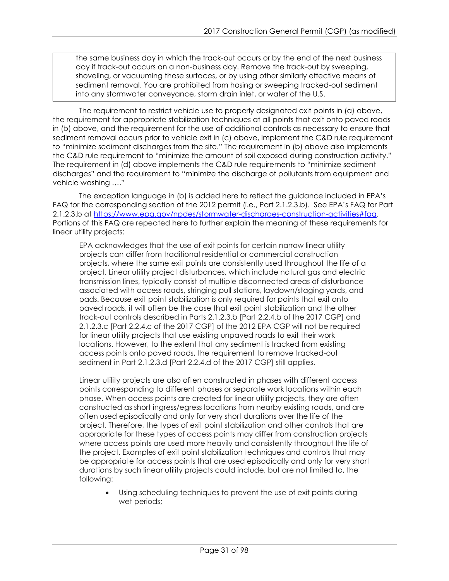the same business day in which the track-out occurs or by the end of the next business day if track-out occurs on a non-business day. Remove the track-out by sweeping, shoveling, or vacuuming these surfaces, or by using other similarly effective means of sediment removal. You are prohibited from hosing or sweeping tracked-out sediment into any stormwater conveyance, storm drain inlet, or water of the U.S.

The requirement to restrict vehicle use to properly designated exit points in (a) above, the requirement for appropriate stabilization techniques at all points that exit onto paved roads in (b) above, and the requirement for the use of additional controls as necessary to ensure that sediment removal occurs prior to vehicle exit in (c) above, implement the C&D rule requirement to "minimize sediment discharges from the site." The requirement in (b) above also implements the C&D rule requirement to "minimize the amount of soil exposed during construction activity." The requirement in (d) above implements the C&D rule requirements to "minimize sediment discharges" and the requirement to "minimize the discharge of pollutants from equipment and vehicle washing …."

The exception language in (b) is added here to reflect the guidance included in EPA's FAQ for the corresponding section of the 2012 permit (i.e., Part 2.1.2.3.b). See EPA's FAQ for Part 2.1.2.3.b at [https://www.epa.gov/npdes/stormwater-discharges-construction-activities#faq.](http://www.epa.gov/npdes/stormwater-discharges-construction-activities) Portions of this FAQ are repeated here to further explain the meaning of these requirements for linear utility projects:

EPA acknowledges that the use of exit points for certain narrow linear utility projects can differ from traditional residential or commercial construction projects, where the same exit points are consistently used throughout the life of a project. Linear utility project disturbances, which include natural gas and electric transmission lines, typically consist of multiple disconnected areas of disturbance associated with access roads, stringing pull stations, laydown/staging yards, and pads. Because exit point stabilization is only required for points that exit onto paved roads, it will often be the case that exit point stabilization and the other track-out controls described in Parts 2.1.2.3.b [Part 2.2.4.b of the 2017 CGP] and 2.1.2.3.c [Part 2.2.4.c of the 2017 CGP] of the 2012 EPA CGP will not be required for linear utility projects that use existing unpaved roads to exit their work locations. However, to the extent that any sediment is tracked from existing access points onto paved roads, the requirement to remove tracked-out sediment in Part 2.1.2.3.d [Part 2.2.4.d of the 2017 CGP] still applies.

Linear utility projects are also often constructed in phases with different access points corresponding to different phases or separate work locations within each phase. When access points are created for linear utility projects, they are often constructed as short ingress/egress locations from nearby existing roads, and are often used episodically and only for very short durations over the life of the project. Therefore, the types of exit point stabilization and other controls that are appropriate for these types of access points may differ from construction projects where access points are used more heavily and consistently throughout the life of the project. Examples of exit point stabilization techniques and controls that may be appropriate for access points that are used episodically and only for very short durations by such linear utility projects could include, but are not limited to, the following:

Using scheduling techniques to prevent the use of exit points during wet periods;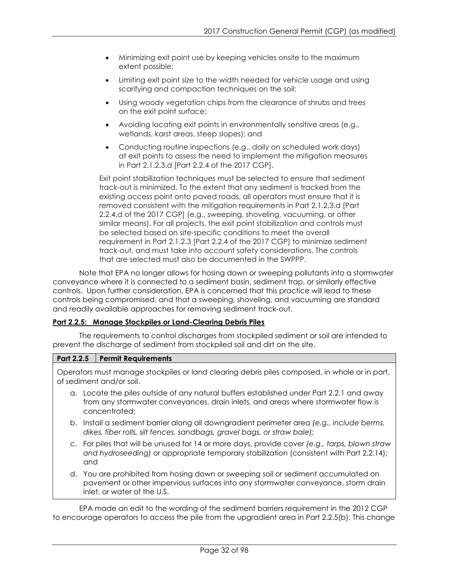- Minimizing exit point use by keeping vehicles onsite to the maximum extent possible;
- Limiting exit point size to the width needed for vehicle usage and using scarifying and compaction techniques on the soil;
- Using woody vegetation chips from the clearance of shrubs and trees on the exit point surface;
- Avoiding locating exit points in environmentally sensitive areas (e.g., wetlands, karst areas, steep slopes); and
- Conducting routine inspections (e.g., daily on scheduled work days) at exit points to assess the need to implement the mitigation measures in Part 2.1.2.3.d [Part 2.2.4 of the 2017 CGP].

Exit point stabilization techniques must be selected to ensure that sediment track-out is minimized. To the extent that any sediment is tracked from the existing access point onto paved roads, all operators must ensure that it is removed consistent with the mitigation requirements in Part 2.1.2.3.d [Part 2.2.4.d of the 2017 CGP] (e.g., sweeping, shoveling, vacuuming, or other similar means). For all projects, the exit point stabilization and controls must be selected based on site-specific conditions to meet the overall requirement in Part 2.1.2.3 [Part 2.2.4 of the 2017 CGP] to minimize sediment track-out, and must take into account safety considerations. The controls that are selected must also be documented in the SWPPP.

Note that EPA no longer allows for hosing down or sweeping pollutants into a stormwater conveyance where it is connected to a sediment basin, sediment trap, or similarly effective controls. Upon further consideration, EPA is concerned that this practice will lead to these controls being compromised, and that a sweeping, shoveling, and vacuuming are standard and readily available approaches for removing sediment track-out.

## <span id="page-31-0"></span>**Part 2.2.5: Manage Stockpiles or Land-Clearing Debris Piles**

The requirements to control discharges from stockpiled sediment or soil are intended to prevent the discharge of sediment from stockpiled soil and dirt on the site.

## **Part 2.2.5 Permit Requirements**

Operators must manage stockpiles or land clearing debris piles composed, in whole or in part, of sediment and/or soil.

- a. Locate the piles outside of any natural buffers established under Part 2.2.1 and away from any stormwater conveyances, drain inlets, and areas where stormwater flow is concentrated;
- b. Install a sediment barrier along all downgradient perimeter area *(e.g., include berms, dikes, fiber rolls, silt fences, sandbags, gravel bags, or straw bale);*
- c. For piles that will be unused for 14 or more days, provide cover *(e.g., tarps, blown straw and hydroseeding)* or appropriate temporary stabilization (consistent with Part 2.2.14); and
- d. You are prohibited from hosing down or sweeping soil or sediment accumulated on pavement or other impervious surfaces into any stormwater conveyance, storm drain inlet, or water of the U.S.

EPA made an edit to the wording of the sediment barriers requirement in the 2012 CGP to encourage operators to access the pile from the upgradient area in Part 2.2.5(b). This change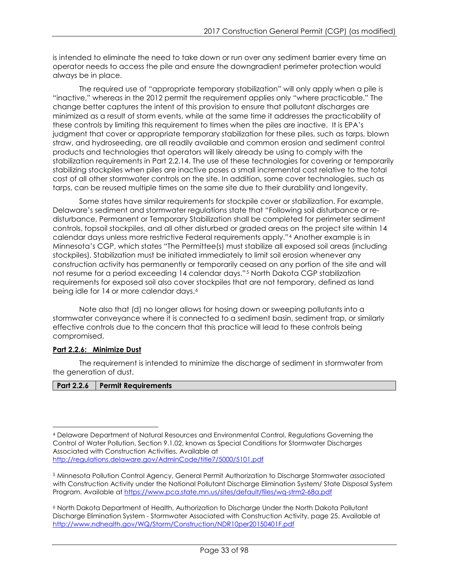is intended to eliminate the need to take down or run over any sediment barrier every time an operator needs to access the pile and ensure the downgradient perimeter protection would always be in place.

The required use of "appropriate temporary stabilization" will only apply when a pile is "inactive," whereas in the 2012 permit the requirement applies only "where practicable." The change better captures the intent of this provision to ensure that pollutant discharges are minimized as a result of storm events, while at the same time it addresses the practicability of these controls by limiting this requirement to times when the piles are inactive. It is EPA's judgment that cover or appropriate temporary stabilization for these piles, such as tarps, blown straw, and hydroseeding, are all readily available and common erosion and sediment control products and technologies that operators will likely already be using to comply with the stabilization requirements in Part 2.2.14. The use of these technologies for covering or temporarily stabilizing stockpiles when piles are inactive poses a small incremental cost relative to the total cost of all other stormwater controls on the site. In addition, some cover technologies, such as tarps, can be reused multiple times on the same site due to their durability and longevity.

Some states have similar requirements for stockpile cover or stabilization. For example, Delaware's sediment and stormwater regulations state that "Following soil disturbance or redisturbance, Permanent or Temporary Stabilization shall be completed for perimeter sediment controls, topsoil stockpiles, and all other disturbed or graded areas on the project site within 14 calendar days unless more restrictive Federal requirements apply."[4](#page-32-1) Another example is in Minnesota's CGP, which states "The Permittee(s) must stabilize all exposed soil areas (including stockpiles). Stabilization must be initiated immediately to limit soil erosion whenever any construction activity has permanently or temporarily ceased on any portion of the site and will not resume for a period exceeding 14 calendar days."[5](#page-32-2) North Dakota CGP stabilization requirements for exposed soil also cover stockpiles that are not temporary, defined as land being idle for 14 or more calendar days.<sup>[6](#page-32-3)</sup>

Note also that (d) no longer allows for hosing down or sweeping pollutants into a stormwater conveyance where it is connected to a sediment basin, sediment trap, or similarly effective controls due to the concern that this practice will lead to these controls being compromised.

## <span id="page-32-0"></span>**Part 2.2.6: Minimize Dust**

The requirement is intended to minimize the discharge of sediment in stormwater from the generation of dust.

## **Part 2.2.6 Permit Requirements**

<span id="page-32-1"></span> $\overline{a}$ <sup>4</sup> Delaware Department of Natural Resources and Environmental Control, Regulations Governing the Control of Water Pollution, Section 9.1.02, known as Special Conditions for Stormwater Discharges Associated with Construction Activities. Available at <http://regulations.delaware.gov/AdminCode/title7/5000/5101.pdf>

<span id="page-32-2"></span><sup>5</sup> Minnesota Pollution Control Agency, General Permit Authorization to Discharge Stormwater associated with Construction Activity under the National Pollutant Discharge Elimination System/ State Disposal System Program. Available at<https://www.pca.state.mn.us/sites/default/files/wq-strm2-68a.pdf>

<span id="page-32-3"></span><sup>6</sup> North Dakota Department of Health, Authorization to Discharge Under the North Dakota Pollutant Discharge Elimination System - Stormwater Associated with Construction Activity, page 25. Available at <http://www.ndhealth.gov/WQ/Storm/Construction/NDR10per20150401F.pdf>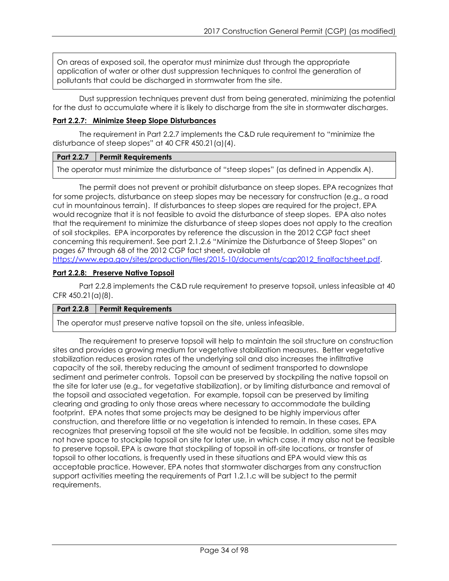On areas of exposed soil, the operator must minimize dust through the appropriate application of water or other dust suppression techniques to control the generation of pollutants that could be discharged in stormwater from the site.

Dust suppression techniques prevent dust from being generated, minimizing the potential for the dust to accumulate where it is likely to discharge from the site in stormwater discharges.

### <span id="page-33-0"></span>**Part 2.2.7: Minimize Steep Slope Disturbances**

The requirement in Part 2.2.7 implements the C&D rule requirement to "minimize the disturbance of steep slopes" at 40 CFR 450.21(a)(4).

### **Part 2.2.7 Permit Requirements**

The operator must minimize the disturbance of "steep slopes" (as defined in Appendix A).

The permit does not prevent or prohibit disturbance on steep slopes. EPA recognizes that for some projects, disturbance on steep slopes may be necessary for construction (e.g., a road cut in mountainous terrain). If disturbances to steep slopes are required for the project, EPA would recognize that it is not feasible to avoid the disturbance of steep slopes. EPA also notes that the requirement to minimize the disturbance of steep slopes does not apply to the creation of soil stockpiles. EPA incorporates by reference the discussion in the 2012 CGP fact sheet concerning this requirement. See part 2.1.2.6 "Minimize the Disturbance of Steep Slopes" on pages 67 through 68 of the 2012 CGP fact sheet, available at [https://www.epa.gov/sites/production/files/2015-10/documents/cgp2012\\_finalfactsheet.pdf.](http://www.epa.gov/sites/production/files/2015-10/documents/cgp2012_finalfactsheet.pdf)

### <span id="page-33-1"></span>**Part 2.2.8: Preserve Native Topsoil**

Part 2.2.8 implements the C&D rule requirement to preserve topsoil, unless infeasible at 40 CFR 450.21(a)(8).

## **Part 2.2.8 Permit Requirements**

The operator must preserve native topsoil on the site, unless infeasible.

The requirement to preserve topsoil will help to maintain the soil structure on construction sites and provides a growing medium for vegetative stabilization measures. Better vegetative stabilization reduces erosion rates of the underlying soil and also increases the infiltrative capacity of the soil, thereby reducing the amount of sediment transported to downslope sediment and perimeter controls. Topsoil can be preserved by stockpiling the native topsoil on the site for later use (e.g., for vegetative stabilization), or by limiting disturbance and removal of the topsoil and associated vegetation. For example, topsoil can be preserved by limiting clearing and grading to only those areas where necessary to accommodate the building footprint. EPA notes that some projects may be designed to be highly impervious after construction, and therefore little or no vegetation is intended to remain. In these cases, EPA recognizes that preserving topsoil at the site would not be feasible. In addition, some sites may not have space to stockpile topsoil on site for later use, in which case, it may also not be feasible to preserve topsoil. EPA is aware that stockpiling of topsoil in off-site locations, or transfer of topsoil to other locations, is frequently used in these situations and EPA would view this as acceptable practice. However, EPA notes that stormwater discharges from any construction support activities meeting the requirements of Part 1.2.1.c will be subject to the permit requirements.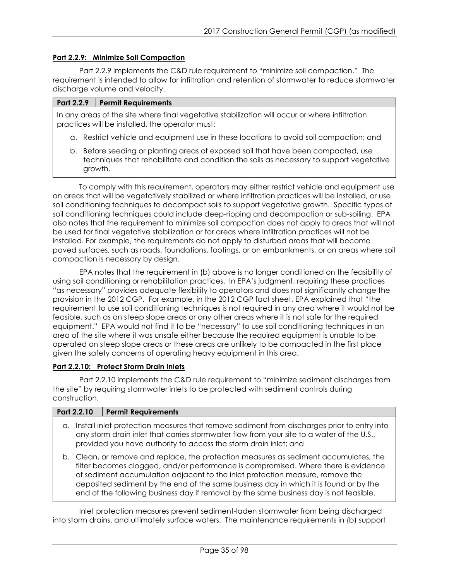### <span id="page-34-0"></span>**Part 2.2.9: Minimize Soil Compaction**

Part 2.2.9 implements the C&D rule requirement to "minimize soil compaction." The requirement is intended to allow for infiltration and retention of stormwater to reduce stormwater discharge volume and velocity.

#### **Part 2.2.9 Permit Requirements**

In any areas of the site where final vegetative stabilization will occur or where infiltration practices will be installed, the operator must:

- a. Restrict vehicle and equipment use in these locations to avoid soil compaction; and
- b. Before seeding or planting areas of exposed soil that have been compacted, use techniques that rehabilitate and condition the soils as necessary to support vegetative growth.

To comply with this requirement, operators may either restrict vehicle and equipment use on areas that will be vegetatively stabilized or where infiltration practices will be installed, or use soil conditioning techniques to decompact soils to support vegetative growth. Specific types of soil conditioning techniques could include deep-ripping and decompaction or sub-soiling. EPA also notes that the requirement to minimize soil compaction does not apply to areas that will not be used for final vegetative stabilization or for areas where infiltration practices will not be installed. For example, the requirements do not apply to disturbed areas that will become paved surfaces, such as roads, foundations, footings, or on embankments, or on areas where soil compaction is necessary by design.

EPA notes that the requirement in (b) above is no longer conditioned on the feasibility of using soil conditioning or rehabilitation practices. In EPA's judgment, requiring these practices "as necessary" provides adequate flexibility to operators and does not significantly change the provision in the 2012 CGP. For example, in the 2012 CGP fact sheet, EPA explained that "the requirement to use soil conditioning techniques is not required in any area where it would not be feasible, such as on steep slope areas or any other areas where it is not safe for the required equipment." EPA would not find it to be "necessary" to use soil conditioning techniques in an area of the site where it was unsafe either because the required equipment is unable to be operated on steep slope areas or these areas are unlikely to be compacted in the first place given the safety concerns of operating heavy equipment in this area.

#### <span id="page-34-1"></span>**Part 2.2.10: Protect Storm Drain Inlets**

Part 2.2.10 implements the C&D rule requirement to "minimize sediment discharges from the site" by requiring stormwater inlets to be protected with sediment controls during construction.

|  | Part 2.2.10 | <b>Permit Requirements</b>                                                                                                                                                                                                                                                                                                                                                                                                                      |
|--|-------------|-------------------------------------------------------------------------------------------------------------------------------------------------------------------------------------------------------------------------------------------------------------------------------------------------------------------------------------------------------------------------------------------------------------------------------------------------|
|  |             | a. Install inlet protection measures that remove sediment from discharges prior to entry into<br>any storm drain inlet that carries stormwater flow from your site to a water of the U.S.,<br>provided you have authority to access the storm drain inlet; and                                                                                                                                                                                  |
|  |             | b. Clean, or remove and replace, the protection measures as sediment accumulates, the<br>filter becomes clogged, and/or performance is compromised. Where there is evidence<br>of sediment accumulation adjacent to the inlet protection measure, remove the<br>deposited sediment by the end of the same business day in which it is found or by the<br>end of the following business day if removal by the same business day is not feasible. |

Inlet protection measures prevent sediment-laden stormwater from being discharged into storm drains, and ultimately surface waters. The maintenance requirements in (b) support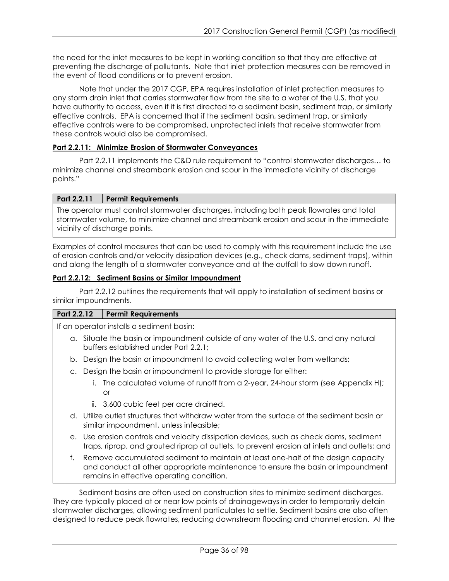the need for the inlet measures to be kept in working condition so that they are effective at preventing the discharge of pollutants. Note that inlet protection measures can be removed in the event of flood conditions or to prevent erosion.

Note that under the 2017 CGP, EPA requires installation of inlet protection measures to any storm drain inlet that carries stormwater flow from the site to a water of the U.S. that you have authority to access, even if it is first directed to a sediment basin, sediment trap, or similarly effective controls. EPA is concerned that if the sediment basin, sediment trap, or similarly effective controls were to be compromised, unprotected inlets that receive stormwater from these controls would also be compromised.

## <span id="page-35-0"></span>**Part 2.2.11: Minimize Erosion of Stormwater Conveyances**

Part 2.2.11 implements the C&D rule requirement to "control stormwater discharges… to minimize channel and streambank erosion and scour in the immediate vicinity of discharge points."

## **Part 2.2.11 Permit Requirements**

The operator must control stormwater discharges, including both peak flowrates and total stormwater volume, to minimize channel and streambank erosion and scour in the immediate vicinity of discharge points.

Examples of control measures that can be used to comply with this requirement include the use of erosion controls and/or velocity dissipation devices (e.g., check dams, sediment traps), within and along the length of a stormwater conveyance and at the outfall to slow down runoff.

## <span id="page-35-1"></span>**Part 2.2.12: Sediment Basins or Similar Impoundment**

Part 2.2.12 outlines the requirements that will apply to installation of sediment basins or similar impoundments.

## **Part 2.2.12 Permit Requirements**

If an operator installs a sediment basin:

- a. Situate the basin or impoundment outside of any water of the U.S. and any natural buffers established under Part 2.2.1;
- b. Design the basin or impoundment to avoid collecting water from wetlands;
- c. Design the basin or impoundment to provide storage for either:
	- i. The calculated volume of runoff from a 2-year, 24-hour storm (see Appendix H); or
	- ii. 3,600 cubic feet per acre drained.
- d. Utilize outlet structures that withdraw water from the surface of the sediment basin or similar impoundment, unless infeasible;
- e. Use erosion controls and velocity dissipation devices, such as check dams, sediment traps, riprap, and grouted riprap at outlets, to prevent erosion at inlets and outlets; and
- f. Remove accumulated sediment to maintain at least one-half of the design capacity and conduct all other appropriate maintenance to ensure the basin or impoundment remains in effective operating condition.

Sediment basins are often used on construction sites to minimize sediment discharges. They are typically placed at or near low points of drainageways in order to temporarily detain stormwater discharges, allowing sediment particulates to settle. Sediment basins are also often designed to reduce peak flowrates, reducing downstream flooding and channel erosion. At the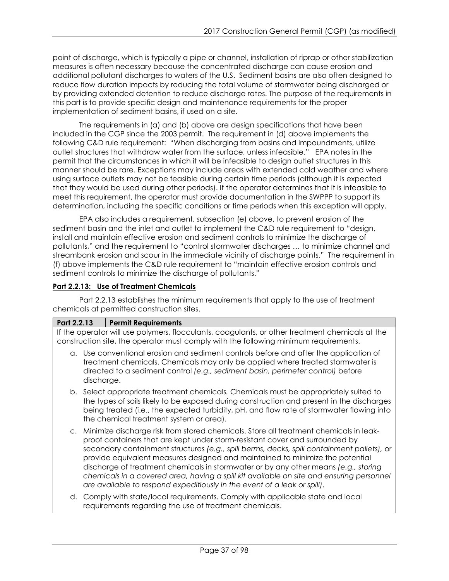point of discharge, which is typically a pipe or channel, installation of riprap or other stabilization measures is often necessary because the concentrated discharge can cause erosion and additional pollutant discharges to waters of the U.S. Sediment basins are also often designed to reduce flow duration impacts by reducing the total volume of stormwater being discharged or by providing extended detention to reduce discharge rates. The purpose of the requirements in this part is to provide specific design and maintenance requirements for the proper implementation of sediment basins, if used on a site.

The requirements in (a) and (b) above are design specifications that have been included in the CGP since the 2003 permit. The requirement in (d) above implements the following C&D rule requirement: "When discharging from basins and impoundments, utilize outlet structures that withdraw water from the surface, unless infeasible." EPA notes in the permit that the circumstances in which it will be infeasible to design outlet structures in this manner should be rare. Exceptions may include areas with extended cold weather and where using surface outlets may not be feasible during certain time periods (although it is expected that they would be used during other periods). If the operator determines that it is infeasible to meet this requirement, the operator must provide documentation in the SWPPP to support its determination, including the specific conditions or time periods when this exception will apply.

EPA also includes a requirement, subsection (e) above, to prevent erosion of the sediment basin and the inlet and outlet to implement the C&D rule requirement to "design, install and maintain effective erosion and sediment controls to minimize the discharge of pollutants," and the requirement to "control stormwater discharges … to minimize channel and streambank erosion and scour in the immediate vicinity of discharge points." The requirement in (f) above implements the C&D rule requirement to "maintain effective erosion controls and sediment controls to minimize the discharge of pollutants."

# **Part 2.2.13: Use of Treatment Chemicals**

Part 2.2.13 establishes the minimum requirements that apply to the use of treatment chemicals at permitted construction sites.

# **Part 2.2.13 Permit Requirements**

If the operator will use polymers, flocculants, coagulants, or other treatment chemicals at the construction site, the operator must comply with the following minimum requirements.

- a. Use conventional erosion and sediment controls before and after the application of treatment chemicals. Chemicals may only be applied where treated stormwater is directed to a sediment control *(e.g., sediment basin, perimeter control)* before discharge.
- b. Select appropriate treatment chemicals*.* Chemicals must be appropriately suited to the types of soils likely to be exposed during construction and present in the discharges being treated (i.e., the expected turbidity, pH, and flow rate of stormwater flowing into the chemical treatment system or area).
- c. Minimize discharge risk from stored chemicals. Store all treatment chemicals in leakproof containers that are kept under storm-resistant cover and surrounded by secondary containment structures *(e.g., spill berms, decks, spill containment pallets),* or provide equivalent measures designed and maintained to minimize the potential discharge of treatment chemicals in stormwater or by any other means *(e.g., storing chemicals in a covered area, having a spill kit available on site and ensuring personnel are available to respond expeditiously in the event of a leak or spill)*.
- d. Comply with state/local requirements. Comply with applicable state and local requirements regarding the use of treatment chemicals.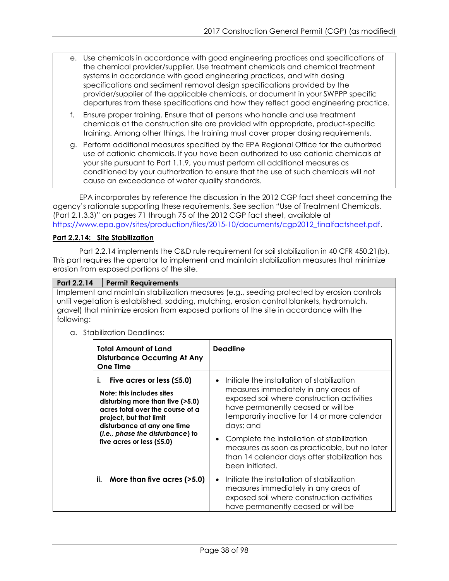- e. Use chemicals in accordance with good engineering practices and specifications of the chemical provider/supplier. Use treatment chemicals and chemical treatment systems in accordance with good engineering practices, and with dosing specifications and sediment removal design specifications provided by the provider/supplier of the applicable chemicals, or document in your SWPPP specific departures from these specifications and how they reflect good engineering practice.
- f. Ensure proper training. Ensure that all persons who handle and use treatment chemicals at the construction site are provided with appropriate, product-specific training. Among other things, the training must cover proper dosing requirements.
- g. Perform additional measures specified by the EPA Regional Office for the authorized use of cationic chemicals. If you have been authorized to use cationic chemicals at your site pursuant to Part 1.1.9, you must perform all additional measures as conditioned by your authorization to ensure that the use of such chemicals will not cause an exceedance of water quality standards.

EPA incorporates by reference the discussion in the 2012 CGP fact sheet concerning the agency's rationale supporting these requirements. See section "Use of Treatment Chemicals. (Part 2.1.3.3)" on pages 71 through 75 of the 2012 CGP fact sheet, available at [https://www.epa.gov/sites/production/files/2015-10/documents/cgp2012\\_finalfactsheet.pdf.](http://www.epa.gov/sites/production/files/2015-10/documents/cgp2012_finalfactsheet.pdf)

# **Part 2.2.14: Site Stabilization**

Part 2.2.14 implements the C&D rule requirement for soil stabilization in 40 CFR 450.21(b). This part requires the operator to implement and maintain stabilization measures that minimize erosion from exposed portions of the site.

## **Part 2.2.14 Permit Requirements**

Implement and maintain stabilization measures (e.g., seeding protected by erosion controls until vegetation is established, sodding, mulching, erosion control blankets, hydromulch, gravel) that minimize erosion from exposed portions of the site in accordance with the following:

a. Stabilization Deadlines:

| <b>Total Amount of Land</b><br><b>Disturbance Occurring At Any</b><br><b>One Time</b>                                                                                                                                                                                | <b>Deadline</b>                                                                                                                                                                                                                     |
|----------------------------------------------------------------------------------------------------------------------------------------------------------------------------------------------------------------------------------------------------------------------|-------------------------------------------------------------------------------------------------------------------------------------------------------------------------------------------------------------------------------------|
| Five acres or less $(5.0)$<br>i.<br>Note: this includes sites<br>disturbing more than five $($ >5.0)<br>acres total over the course of a<br>project, but that limit<br>disturbance at any one time<br>(i.e., phase the disturbance) to<br>five acres or less $(5.0)$ | Initiate the installation of stabilization<br>measures immediately in any areas of<br>exposed soil where construction activities<br>have permanently ceased or will be<br>temporarily inactive for 14 or more calendar<br>days; and |
|                                                                                                                                                                                                                                                                      | Complete the installation of stabilization<br>measures as soon as practicable, but no later<br>than 14 calendar days after stabilization has<br>been initiated.                                                                     |
| ii.<br>More than five acres (>5.0)                                                                                                                                                                                                                                   | Initiate the installation of stabilization<br>measures immediately in any areas of<br>exposed soil where construction activities<br>have permanently ceased or will be                                                              |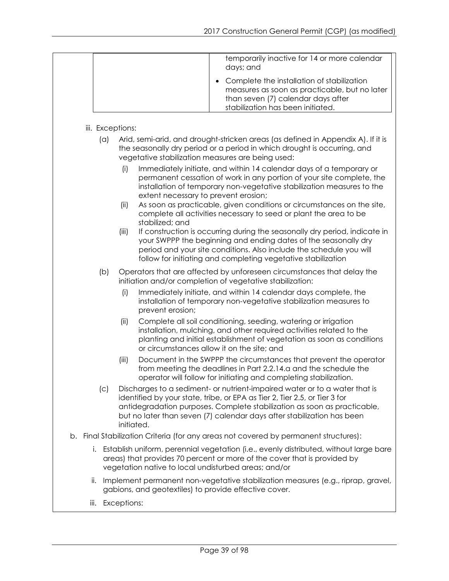|                         | temporarily inactive for 14 or more calendar<br>days; and                                                                                                                                                                                                                                                                                      |
|-------------------------|------------------------------------------------------------------------------------------------------------------------------------------------------------------------------------------------------------------------------------------------------------------------------------------------------------------------------------------------|
|                         | Complete the installation of stabilization<br>measures as soon as practicable, but no later<br>than seven (7) calendar days after<br>stabilization has been initiated.                                                                                                                                                                         |
|                         |                                                                                                                                                                                                                                                                                                                                                |
| iii. Exceptions:<br>(a) | Arid, semi-arid, and drought-stricken areas (as defined in Appendix A). If it is<br>the seasonally dry period or a period in which drought is occurring, and<br>vegetative stabilization measures are being used:<br>Immediately initiate, and within 14 calendar days of a temporary or<br>(i)                                                |
|                         | permanent cessation of work in any portion of your site complete, the<br>installation of temporary non-vegetative stabilization measures to the<br>extent necessary to prevent erosion;<br>As soon as practicable, given conditions or circumstances on the site,<br>(ii)<br>complete all activities necessary to seed or plant the area to be |
|                         | stabilized; and<br>If construction is occurring during the seasonally dry period, indicate in<br>(iii)<br>your SWPPP the beginning and ending dates of the seasonally dry<br>period and your site conditions. Also include the schedule you will<br>follow for initiating and completing vegetative stabilization                              |
| (b)                     | Operators that are affected by unforeseen circumstances that delay the<br>initiation and/or completion of vegetative stabilization:                                                                                                                                                                                                            |
|                         | Immediately initiate, and within 14 calendar days complete, the<br>(i)<br>installation of temporary non-vegetative stabilization measures to<br>prevent erosion;                                                                                                                                                                               |
|                         | (ii)<br>Complete all soil conditioning, seeding, watering or irrigation<br>installation, mulching, and other required activities related to the<br>planting and initial establishment of vegetation as soon as conditions<br>or circumstances allow it on the site; and                                                                        |
|                         | Document in the SWPPP the circumstances that prevent the operator<br>(iii)<br>from meeting the deadlines in Part 2.2.14.a and the schedule the<br>operator will follow for initiating and completing stabilization.                                                                                                                            |
| (c)                     | Discharges to a sediment- or nutrient-impaired water or to a water that is<br>identified by your state, tribe, or EPA as Tier 2, Tier 2.5, or Tier 3 for<br>antidegradation purposes. Complete stabilization as soon as practicable,<br>but no later than seven (7) calendar days after stabilization has been<br>initiated.                   |
|                         | b. Final Stabilization Criteria (for any areas not covered by permanent structures):                                                                                                                                                                                                                                                           |
| İ.                      | Establish uniform, perennial vegetation (i.e., evenly distributed, without large bare<br>areas) that provides 70 percent or more of the cover that is provided by<br>vegetation native to local undisturbed areas; and/or                                                                                                                      |
| ii.                     | Implement permanent non-vegetative stabilization measures (e.g., riprap, gravel,<br>gabions, and geotextiles) to provide effective cover.                                                                                                                                                                                                      |

iii. Exceptions: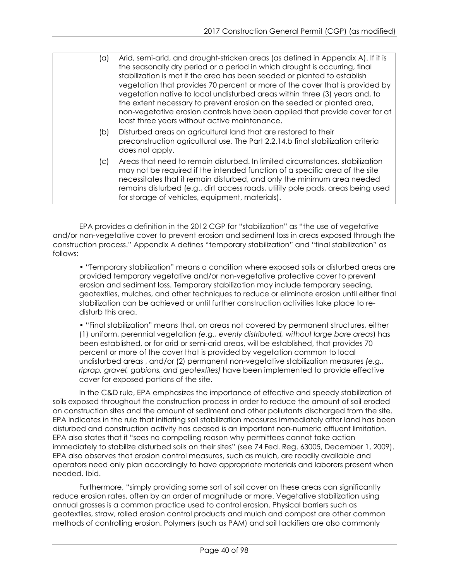| (a)  | Arid, semi-arid, and drought-stricken areas (as defined in Appendix A). If it is<br>the seasonally dry period or a period in which drought is occurring, final<br>stabilization is met if the area has been seeded or planted to establish<br>vegetation that provides 70 percent or more of the cover that is provided by<br>vegetation native to local undisturbed areas within three (3) years and, to<br>the extent necessary to prevent erosion on the seeded or planted area,<br>non-vegetative erosion controls have been applied that provide cover for at<br>least three years without active maintenance. |
|------|---------------------------------------------------------------------------------------------------------------------------------------------------------------------------------------------------------------------------------------------------------------------------------------------------------------------------------------------------------------------------------------------------------------------------------------------------------------------------------------------------------------------------------------------------------------------------------------------------------------------|
| (b)  | Disturbed areas on agricultural land that are restored to their<br>preconstruction agricultural use. The Part 2.2.14.b final stabilization criteria<br>does not apply.                                                                                                                                                                                                                                                                                                                                                                                                                                              |
| (C). | Areas that need to remain disturbed. In limited circumstances, stabilization<br>may not be required if the intended function of a specific area of the site<br>necessitates that it remain disturbed, and only the minimum area needed<br>remains disturbed (e.g., dirt access roads, utility pole pads, areas being used<br>for storage of vehicles, equipment, materials).                                                                                                                                                                                                                                        |

EPA provides a definition in the 2012 CGP for "stabilization" as "the use of vegetative and/or non-vegetative cover to prevent erosion and sediment loss in areas exposed through the construction process." Appendix A defines "temporary stabilization" and "final stabilization" as follows:

• "Temporary stabilization" means a condition where exposed soils or disturbed areas are provided temporary vegetative and/or non-vegetative protective cover to prevent erosion and sediment loss. Temporary stabilization may include temporary seeding, geotextiles, mulches, and other techniques to reduce or eliminate erosion until either final stabilization can be achieved or until further construction activities take place to redisturb this area.

• "Final stabilization" means that, on areas not covered by permanent structures, either (1) uniform, perennial vegetation *(e.g., evenly distributed, without large bare areas*) has been established, or for arid or semi-arid areas, will be established, that provides 70 percent or more of the cover that is provided by vegetation common to local undisturbed areas , and/or (2) permanent non-vegetative stabilization measures *(e.g., riprap, gravel, gabions, and geotextiles)* have been implemented to provide effective cover for exposed portions of the site.

In the C&D rule, EPA emphasizes the importance of effective and speedy stabilization of soils exposed throughout the construction process in order to reduce the amount of soil eroded on construction sites and the amount of sediment and other pollutants discharged from the site. EPA indicates in the rule that initiating soil stabilization measures immediately after land has been disturbed and construction activity has ceased is an important non-numeric effluent limitation. EPA also states that it "sees no compelling reason why permittees cannot take action immediately to stabilize disturbed soils on their sites" (see 74 Fed. Reg. 63005, December 1, 2009). EPA also observes that erosion control measures, such as mulch, are readily available and operators need only plan accordingly to have appropriate materials and laborers present when needed. Ibid.

Furthermore, "simply providing some sort of soil cover on these areas can significantly reduce erosion rates, often by an order of magnitude or more. Vegetative stabilization using annual grasses is a common practice used to control erosion. Physical barriers such as geotextiles, straw, rolled erosion control products and mulch and compost are other common methods of controlling erosion. Polymers (such as PAM) and soil tackifiers are also commonly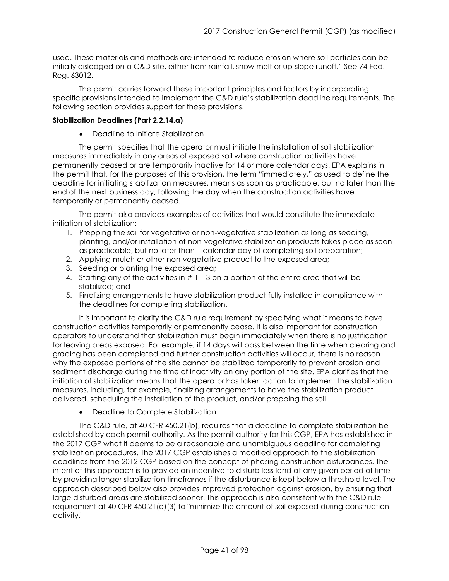used. These materials and methods are intended to reduce erosion where soil particles can be initially dislodged on a C&D site, either from rainfall, snow melt or up-slope runoff." See 74 Fed. Reg. 63012.

The permit carries forward these important principles and factors by incorporating specific provisions intended to implement the C&D rule's stabilization deadline requirements. The following section provides support for these provisions.

# **Stabilization Deadlines (Part 2.2.14.a)**

• Deadline to Initiate Stabilization

The permit specifies that the operator must initiate the installation of soil stabilization measures immediately in any areas of exposed soil where construction activities have permanently ceased or are temporarily inactive for 14 or more calendar days. EPA explains in the permit that, for the purposes of this provision, the term "immediately," as used to define the deadline for initiating stabilization measures, means as soon as practicable, but no later than the end of the next business day, following the day when the construction activities have temporarily or permanently ceased.

The permit also provides examples of activities that would constitute the immediate initiation of stabilization:

- 1. Prepping the soil for vegetative or non-vegetative stabilization as long as seeding, planting, and/or installation of non-vegetative stabilization products takes place as soon as practicable, but no later than 1 calendar day of completing soil preparation;
- 2. Applying mulch or other non-vegetative product to the exposed area;
- 3. Seeding or planting the exposed area;
- 4. Starting any of the activities in  $# 1 3$  on a portion of the entire area that will be stabilized; and
- 5. Finalizing arrangements to have stabilization product fully installed in compliance with the deadlines for completing stabilization.

It is important to clarify the C&D rule requirement by specifying what it means to have construction activities temporarily or permanently cease. It is also important for construction operators to understand that stabilization must begin immediately when there is no justification for leaving areas exposed. For example, if 14 days will pass between the time when clearing and grading has been completed and further construction activities will occur, there is no reason why the exposed portions of the site cannot be stabilized temporarily to prevent erosion and sediment discharge during the time of inactivity on any portion of the site. EPA clarifies that the initiation of stabilization means that the operator has taken action to implement the stabilization measures, including, for example, finalizing arrangements to have the stabilization product delivered, scheduling the installation of the product, and/or prepping the soil.

• Deadline to Complete Stabilization

The C&D rule, at 40 CFR 450.21(b), requires that a deadline to complete stabilization be established by each permit authority. As the permit authority for this CGP, EPA has established in the 2017 CGP what it deems to be a reasonable and unambiguous deadline for completing stabilization procedures. The 2017 CGP establishes a modified approach to the stabilization deadlines from the 2012 CGP based on the concept of phasing construction disturbances. The intent of this approach is to provide an incentive to disturb less land at any given period of time by providing longer stabilization timeframes if the disturbance is kept below a threshold level. The approach described below also provides improved protection against erosion, by ensuring that large disturbed areas are stabilized sooner. This approach is also consistent with the C&D rule requirement at 40 CFR  $450.21$  (a)(3) to "minimize the amount of soil exposed during construction activity."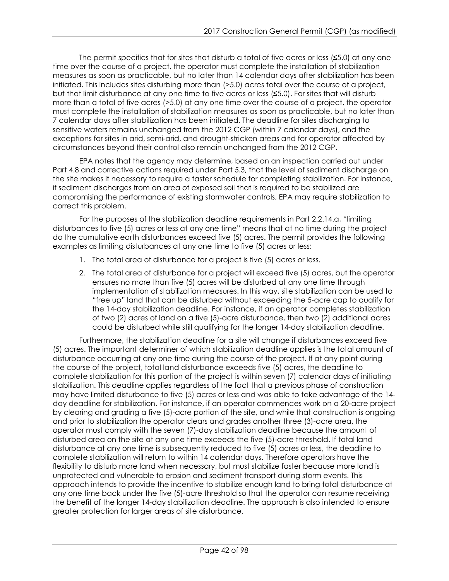The permit specifies that for sites that disturb a total of five acres or less (≤5.0) at any one time over the course of a project, the operator must complete the installation of stabilization measures as soon as practicable, but no later than 14 calendar days after stabilization has been initiated. This includes sites disturbing more than (>5.0) acres total over the course of a project, but that limit disturbance at any one time to five acres or less (≤5.0). For sites that will disturb more than a total of five acres (>5.0) at any one time over the course of a project, the operator must complete the installation of stabilization measures as soon as practicable, but no later than 7 calendar days after stabilization has been initiated. The deadline for sites discharging to sensitive waters remains unchanged from the 2012 CGP (within 7 calendar days), and the exceptions for sites in arid, semi-arid, and drought-stricken areas and for operator affected by circumstances beyond their control also remain unchanged from the 2012 CGP.

EPA notes that the agency may determine, based on an inspection carried out under Part 4.8 and corrective actions required under Part 5.3, that the level of sediment discharge on the site makes it necessary to require a faster schedule for completing stabilization. For instance, if sediment discharges from an area of exposed soil that is required to be stabilized are compromising the performance of existing stormwater controls, EPA may require stabilization to correct this problem.

For the purposes of the stabilization deadline requirements in Part 2.2.14.a, "limiting disturbances to five (5) acres or less at any one time" means that at no time during the project do the cumulative earth disturbances exceed five (5) acres. The permit provides the following examples as limiting disturbances at any one time to five (5) acres or less:

- 1. The total area of disturbance for a project is five (5) acres or less.
- 2. The total area of disturbance for a project will exceed five (5) acres, but the operator ensures no more than five (5) acres will be disturbed at any one time through implementation of stabilization measures. In this way, site stabilization can be used to "free up" land that can be disturbed without exceeding the 5-acre cap to qualify for the 14-day stabilization deadline. For instance, if an operator completes stabilization of two (2) acres of land on a five (5)-acre disturbance, then two (2) additional acres could be disturbed while still qualifying for the longer 14-day stabilization deadline.

Furthermore, the stabilization deadline for a site will change if disturbances exceed five (5) acres. The important determiner of which stabilization deadline applies is the total amount of disturbance occurring at any one time during the course of the project. If at any point during the course of the project, total land disturbance exceeds five (5) acres, the deadline to complete stabilization for this portion of the project is within seven (7) calendar days of initiating stabilization. This deadline applies regardless of the fact that a previous phase of construction may have limited disturbance to five (5) acres or less and was able to take advantage of the 14 day deadline for stabilization. For instance, if an operator commences work on a 20-acre project by clearing and grading a five (5)-acre portion of the site, and while that construction is ongoing and prior to stabilization the operator clears and grades another three (3)-acre area, the operator must comply with the seven (7)-day stabilization deadline because the amount of disturbed area on the site at any one time exceeds the five (5)-acre threshold. If total land disturbance at any one time is subsequently reduced to five (5) acres or less, the deadline to complete stabilization will return to within 14 calendar days. Therefore operators have the flexibility to disturb more land when necessary, but must stabilize faster because more land is unprotected and vulnerable to erosion and sediment transport during storm events. This approach intends to provide the incentive to stabilize enough land to bring total disturbance at any one time back under the five (5)-acre threshold so that the operator can resume receiving the benefit of the longer 14-day stabilization deadline. The approach is also intended to ensure greater protection for larger areas of site disturbance.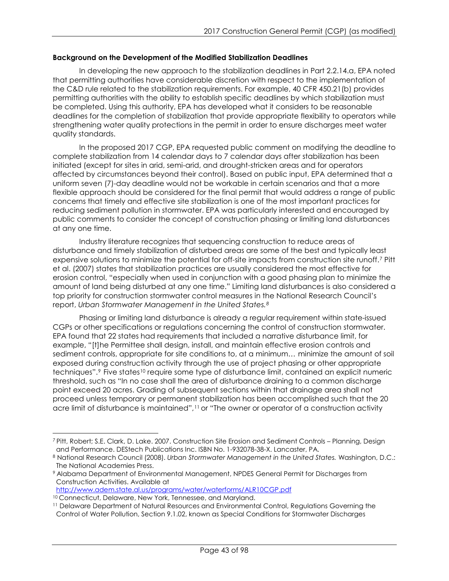## **Background on the Development of the Modified Stabilization Deadlines**

In developing the new approach to the stabilization deadlines in Part 2.2.14.a, EPA noted that permitting authorities have considerable discretion with respect to the implementation of the C&D rule related to the stabilization requirements. For example, 40 CFR 450.21(b) provides permitting authorities with the ability to establish specific deadlines by which stabilization must be completed. Using this authority, EPA has developed what it considers to be reasonable deadlines for the completion of stabilization that provide appropriate flexibility to operators while strengthening water quality protections in the permit in order to ensure discharges meet water quality standards.

In the proposed 2017 CGP, EPA requested public comment on modifying the deadline to complete stabilization from 14 calendar days to 7 calendar days after stabilization has been initiated (except for sites in arid, semi-arid, and drought-stricken areas and for operators affected by circumstances beyond their control). Based on public input, EPA determined that a uniform seven (7)-day deadline would not be workable in certain scenarios and that a more flexible approach should be considered for the final permit that would address a range of public concerns that timely and effective site stabilization is one of the most important practices for reducing sediment pollution in stormwater. EPA was particularly interested and encouraged by public comments to consider the concept of construction phasing or limiting land disturbances at any one time.

Industry literature recognizes that sequencing construction to reduce areas of disturbance and timely stabilization of disturbed areas are some of the best and typically least expensive solutions to minimize the potential for off-site impacts from construction site runoff.[7](#page-42-0) Pitt et al. (2007) states that stabilization practices are usually considered the most effective for erosion control, "especially when used in conjunction with a good phasing plan to minimize the amount of land being disturbed at any one time." Limiting land disturbances is also considered a top priority for construction stormwater control measures in the National Research Council's report, *Urban Stormwater Management in the United States.[8](#page-42-1)*

Phasing or limiting land disturbance is already a regular requirement within state-issued CGPs or other specifications or regulations concerning the control of construction stormwater. EPA found that 22 states had requirements that included a narrative disturbance limit, for example, "[t]he Permittee shall design, install, and maintain effective erosion controls and sediment controls, appropriate for site conditions to, at a minimum… minimize the amount of soil exposed during construction activity through the use of project phasing or other appropriate techniques".<sup>9</sup> Five states<sup>[10](#page-42-3)</sup> require some type of disturbance limit, contained an explicit numeric threshold, such as "In no case shall the area of disturbance draining to a common discharge point exceed 20 acres. Grading of subsequent sections within that drainage area shall not proceed unless temporary or permanent stabilization has been accomplished such that the 20 acre limit of disturbance is maintained",<sup>[11](#page-42-4)</sup> or "The owner or operator of a construction activity

<http://www.adem.state.al.us/programs/water/waterforms/ALR10CGP.pdf>

<span id="page-42-3"></span><sup>10</sup> Connecticut, Delaware, New York, Tennessee, and Maryland.

<span id="page-42-0"></span> $\overline{a}$ <sup>7</sup> Pitt, Robert; S.E. Clark, D. Lake. 2007. Construction Site Erosion and Sediment Controls – Planning, Design and Performance. DEStech Publications Inc. ISBN No. 1-932078-38-X. Lancaster, PA.

<span id="page-42-1"></span><sup>8</sup> National Research Council (2008). *Urban Stormwater Management in the United States.* Washington, D.C.: The National Academies Press.

<span id="page-42-2"></span><sup>9</sup> Alabama Department of Environmental Management, NPDES General Permit for Discharges from Construction Activities. Available at

<span id="page-42-4"></span><sup>11</sup> Delaware Department of Natural Resources and Environmental Control, Regulations Governing the Control of Water Pollution, Section 9.1.02, known as Special Conditions for Stormwater Discharges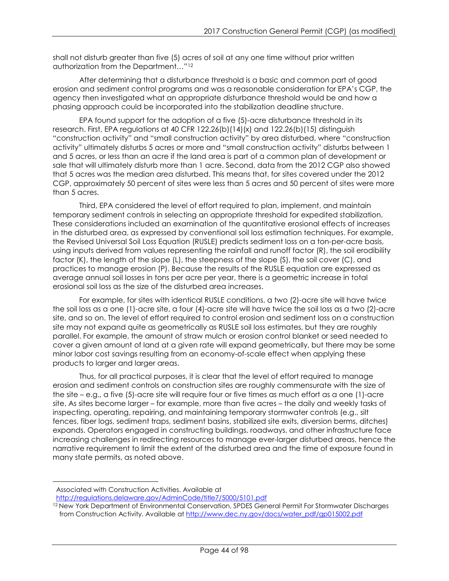shall not disturb greater than five (5) acres of soil at any one time without prior written authorization from the Department…"[12](#page-43-0)

After determining that a disturbance threshold is a basic and common part of good erosion and sediment control programs and was a reasonable consideration for EPA's CGP, the agency then investigated what an appropriate disturbance threshold would be and how a phasing approach could be incorporated into the stabilization deadline structure.

EPA found support for the adoption of a five (5)-acre disturbance threshold in its research. First, EPA regulations at 40 CFR 122.26(b)(14)(x) and 122.26(b)(15) distinguish "construction activity" and "small construction activity" by area disturbed, where "construction activity" ultimately disturbs 5 acres or more and "small construction activity" disturbs between 1 and 5 acres, or less than an acre if the land area is part of a common plan of development or sale that will ultimately disturb more than 1 acre. Second, data from the 2012 CGP also showed that 5 acres was the median area disturbed. This means that, for sites covered under the 2012 CGP, approximately 50 percent of sites were less than 5 acres and 50 percent of sites were more than 5 acres.

Third, EPA considered the level of effort required to plan, implement, and maintain temporary sediment controls in selecting an appropriate threshold for expedited stabilization. These considerations included an examination of the quantitative erosional effects of increases in the disturbed area, as expressed by conventional soil loss estimation techniques. For example, the Revised Universal Soil Loss Equation (RUSLE) predicts sediment loss on a ton-per-acre basis, using inputs derived from values representing the rainfall and runoff factor (R), the soil erodibility factor (K), the length of the slope (L), the steepness of the slope (S), the soil cover (C), and practices to manage erosion (P). Because the results of the RUSLE equation are expressed as average annual soil losses in tons per acre per year, there is a geometric increase in total erosional soil loss as the size of the disturbed area increases.

For example, for sites with identical RUSLE conditions, a two (2)-acre site will have twice the soil loss as a one (1)-acre site, a four (4)-acre site will have twice the soil loss as a two (2)-acre site, and so on. The level of effort required to control erosion and sediment loss on a construction site may not expand quite as geometrically as RUSLE soil loss estimates, but they are roughly parallel. For example, the amount of straw mulch or erosion control blanket or seed needed to cover a given amount of land at a given rate will expand geometrically, but there may be some minor labor cost savings resulting from an economy-of-scale effect when applying these products to larger and larger areas.

Thus, for all practical purposes, it is clear that the level of effort required to manage erosion and sediment controls on construction sites are roughly commensurate with the size of the site – e.g., a five (5)-acre site will require four or five times as much effort as a one (1)-acre site. As sites become larger – for example, more than five acres – the daily and weekly tasks of inspecting, operating, repairing, and maintaining temporary stormwater controls (e.g., silt fences, fiber logs, sediment traps, sediment basins, stabilized site exits, diversion berms, ditches) expands. Operators engaged in constructing buildings, roadways, and other infrastructure face increasing challenges in redirecting resources to manage ever-larger disturbed areas, hence the narrative requirement to limit the extent of the disturbed area and the time of exposure found in many state permits, as noted above.

 $\overline{a}$ Associated with Construction Activities. Available at

<http://regulations.delaware.gov/AdminCode/title7/5000/5101.pdf>

<span id="page-43-0"></span><sup>12</sup> New York Department of Environmental Conservation, SPDES General Permit For Stormwater Discharges from Construction Activity. Available at [http://www.dec.ny.gov/docs/water\\_pdf/gp015002.pdf](http://www.dec.ny.gov/docs/water_pdf/gp015002.pdf)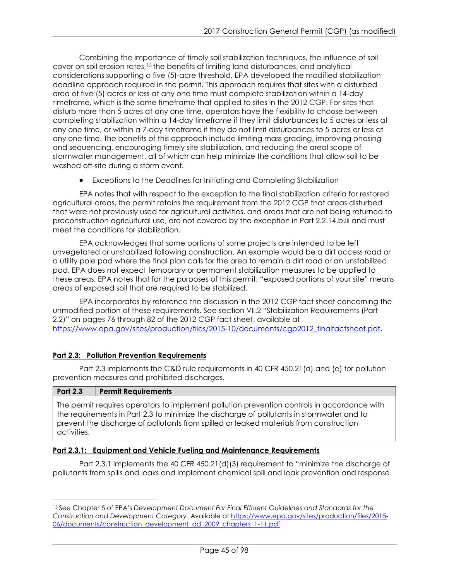Combining the importance of timely soil stabilization techniques, the influence of soil cover on soil erosion rates,[13](#page-44-0) the benefits of limiting land disturbances, and analytical considerations supporting a five (5)-acre threshold, EPA developed the modified stabilization deadline approach required in the permit. This approach requires that sites with a disturbed area of five (5) acres or less at any one time must complete stabilization within a 14-day timeframe, which is the same timeframe that applied to sites in the 2012 CGP. For sites that disturb more than 5 acres at any one time, operators have the flexibility to choose between completing stabilization within a 14-day timeframe if they limit disturbances to 5 acres or less at any one time, or within a 7-day timeframe if they do not limit disturbances to 5 acres or less at any one time. The benefits of this approach include limiting mass grading, improving phasing and sequencing, encouraging timely site stabilization, and reducing the areal scope of stormwater management, all of which can help minimize the conditions that allow soil to be washed off-site during a storm event.

• Exceptions to the Deadlines for Initiating and Completing Stabilization

EPA notes that with respect to the exception to the final stabilization criteria for restored agricultural areas, the permit retains the requirement from the 2012 CGP that areas disturbed that were not previously used for agricultural activities, and areas that are not being returned to preconstruction agricultural use, are not covered by the exception in Part 2.2.14.b.iii and must meet the conditions for stabilization.

EPA acknowledges that some portions of some projects are intended to be left unvegetated or unstabilized following construction. An example would be a dirt access road or a utility pole pad where the final plan calls for the area to remain a dirt road or an unstabilized pad. EPA does not expect temporary or permanent stabilization measures to be applied to these areas. EPA notes that for the purposes of this permit, "exposed portions of your site" means areas of exposed soil that are required to be stabilized.

EPA incorporates by reference the discussion in the 2012 CGP fact sheet concerning the unmodified portion of these requirements. See section VII.2 "Stabilization Requirements (Part 2.2)" on pages 76 through 82 of the 2012 CGP fact sheet, available at [https://www.epa.gov/sites/production/files/2015-10/documents/cgp2012\\_finalfactsheet.pdf.](http://www.epa.gov/sites/production/files/2015-10/documents/cgp2012_finalfactsheet.pdf)

# **Part 2.3: Pollution Prevention Requirements**

Part 2.3 implements the C&D rule requirements in 40 CFR 450.21(d) and (e) for pollution prevention measures and prohibited discharges.

| <b>Part 2.3</b> | <b>Permit Requirements</b>                                                                                                                                                                                                                                                         |
|-----------------|------------------------------------------------------------------------------------------------------------------------------------------------------------------------------------------------------------------------------------------------------------------------------------|
| activities.     | The permit requires operators to implement pollution prevention controls in accordance with<br>the requirements in Part 2.3 to minimize the discharge of pollutants in stormwater and to<br>prevent the discharge of pollutants from spilled or leaked materials from construction |

# **Part 2.3.1: Equipment and Vehicle Fueling and Maintenance Requirements**

Part 2.3.1 implements the 40 CFR 450.21(d)(3) requirement to "minimize the discharge of pollutants from spills and leaks and implement chemical spill and leak prevention and response

<span id="page-44-0"></span> $\overline{a}$ <sup>13</sup> See Chapter 5 of EPA's *Development Document For Final Effluent Guidelines and Standards for the Construction and Development Category.* Available at [https://www.epa.gov/sites/production/files/2015-](https://www.epa.gov/sites/production/files/2015-06/documents/construction_development_dd_2009_chapters_1-11.pdf) [06/documents/construction\\_development\\_dd\\_2009\\_chapters\\_1-11.pdf](https://www.epa.gov/sites/production/files/2015-06/documents/construction_development_dd_2009_chapters_1-11.pdf)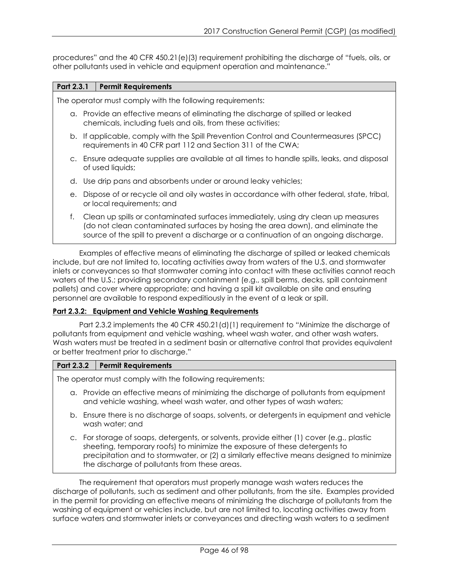procedures" and the 40 CFR 450.21(e)(3) requirement prohibiting the discharge of "fuels, oils, or other pollutants used in vehicle and equipment operation and maintenance."

## **Part 2.3.1 Permit Requirements**

The operator must comply with the following requirements:

- a. Provide an effective means of eliminating the discharge of spilled or leaked chemicals, including fuels and oils, from these activities;
- b. If applicable, comply with the Spill Prevention Control and Countermeasures (SPCC) requirements in 40 CFR part 112 and Section 311 of the CWA;
- c. Ensure adequate supplies are available at all times to handle spills, leaks, and disposal of used liquids;
- d. Use drip pans and absorbents under or around leaky vehicles;
- e. Dispose of or recycle oil and oily wastes in accordance with other federal, state, tribal, or local requirements; and
- f. Clean up spills or contaminated surfaces immediately, using dry clean up measures (do not clean contaminated surfaces by hosing the area down), and eliminate the source of the spill to prevent a discharge or a continuation of an ongoing discharge.

Examples of effective means of eliminating the discharge of spilled or leaked chemicals include, but are not limited to, locating activities away from waters of the U.S. and stormwater inlets or conveyances so that stormwater coming into contact with these activities cannot reach waters of the U.S.; providing secondary containment (e.g., spill berms, decks, spill containment pallets) and cover where appropriate; and having a spill kit available on site and ensuring personnel are available to respond expeditiously in the event of a leak or spill.

## **Part 2.3.2: Equipment and Vehicle Washing Requirements**

Part 2.3.2 implements the 40 CFR 450.21(d)(1) requirement to "Minimize the discharge of pollutants from equipment and vehicle washing, wheel wash water, and other wash waters. Wash waters must be treated in a sediment basin or alternative control that provides equivalent or better treatment prior to discharge."

## **Part 2.3.2 Permit Requirements**

The operator must comply with the following requirements:

- a. Provide an effective means of minimizing the discharge of pollutants from equipment and vehicle washing, wheel wash water, and other types of wash waters;
- b. Ensure there is no discharge of soaps, solvents, or detergents in equipment and vehicle wash water; and
- c. For storage of soaps, detergents, or solvents, provide either (1) cover (e.g., plastic sheeting, temporary roofs) to minimize the exposure of these detergents to precipitation and to stormwater, or (2) a similarly effective means designed to minimize the discharge of pollutants from these areas.

The requirement that operators must properly manage wash waters reduces the discharge of pollutants, such as sediment and other pollutants, from the site. Examples provided in the permit for providing an effective means of minimizing the discharge of pollutants from the washing of equipment or vehicles include, but are not limited to, locating activities away from surface waters and stormwater inlets or conveyances and directing wash waters to a sediment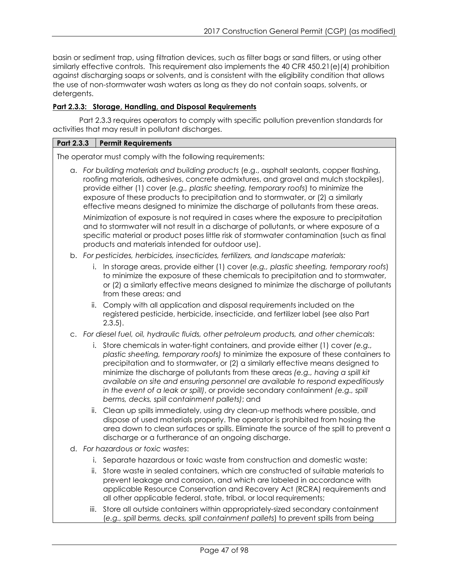basin or sediment trap, using filtration devices, such as filter bags or sand filters, or using other similarly effective controls. This requirement also implements the 40 CFR 450.21(e)(4) prohibition against discharging soaps or solvents, and is consistent with the eligibility condition that allows the use of non-stormwater wash waters as long as they do not contain soaps, solvents, or detergents.

# **Part 2.3.3: Storage, Handling, and Disposal Requirements**

Part 2.3.3 requires operators to comply with specific pollution prevention standards for activities that may result in pollutant discharges.

## **Part 2.3.3 Permit Requirements**

The operator must comply with the following requirements:

- a. *For building materials and building products* (e.g., asphalt sealants, copper flashing, roofing materials, adhesives, concrete admixtures, and gravel and mulch stockpiles), provide either (1) cover (*e.g., plastic sheeting, temporary roofs*) to minimize the exposure of these products to precipitation and to stormwater, or (2) a similarly effective means designed to minimize the discharge of pollutants from these areas. Minimization of exposure is not required in cases where the exposure to precipitation and to stormwater will not result in a discharge of pollutants, or where exposure of a specific material or product poses little risk of stormwater contamination (such as final products and materials intended for outdoor use).
- b. *For pesticides, herbicides, insecticides, fertilizers, and landscape materials:*
	- i. In storage areas, provide either (1) cover (*e.g., plastic sheeting, temporary roofs*) to minimize the exposure of these chemicals to precipitation and to stormwater, or (2) a similarly effective means designed to minimize the discharge of pollutants from these areas; and
	- ii. Comply with all application and disposal requirements included on the registered pesticide, herbicide, insecticide, and fertilizer label (see also Part  $2.3.5$ ).

## c. *For diesel fuel, oil, hydraulic fluids, other petroleum products, and other chemicals*:

- i. Store chemicals in water-tight containers, and provide either (1) cover *(e.g., plastic sheeting, temporary roofs)* to minimize the exposure of these containers to precipitation and to stormwater, or (2) a similarly effective means designed to minimize the discharge of pollutants from these areas *(e.g., having a spill kit available on site and ensuring personnel are available to respond expeditiously in the event of a leak or spill)*, or provide secondary containment *(e.g., spill berms, decks, spill containment pallets)*; and
- ii. Clean up spills immediately, using dry clean-up methods where possible, and dispose of used materials properly. The operator is prohibited from hosing the area down to clean surfaces or spills. Eliminate the source of the spill to prevent a discharge or a furtherance of an ongoing discharge.
- d. *For hazardous or toxic wastes*:
	- i. Separate hazardous or toxic waste from construction and domestic waste;
	- ii. Store waste in sealed containers, which are constructed of suitable materials to prevent leakage and corrosion, and which are labeled in accordance with applicable Resource Conservation and Recovery Act (RCRA) requirements and all other applicable federal, state, tribal, or local requirements;
	- iii. Store all outside containers within appropriately-sized secondary containment (*e.g., spill berms, decks, spill containment pallets*) to prevent spills from being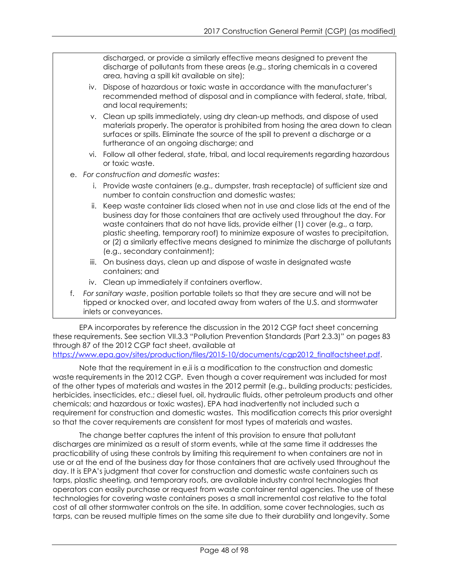discharged, or provide a similarly effective means designed to prevent the discharge of pollutants from these areas (e.g., storing chemicals in a covered area, having a spill kit available on site);

- iv. Dispose of hazardous or toxic waste in accordance with the manufacturer's recommended method of disposal and in compliance with federal, state, tribal, and local requirements;
- v. Clean up spills immediately, using dry clean-up methods, and dispose of used materials properly. The operator is prohibited from hosing the area down to clean surfaces or spills. Eliminate the source of the spill to prevent a discharge or a furtherance of an ongoing discharge; and
- vi. Follow all other federal, state, tribal, and local requirements regarding hazardous or toxic waste.
- e. *For construction and domestic wastes*:
	- i. Provide waste containers (e.g., dumpster, trash receptacle) of sufficient size and number to contain construction and domestic wastes;
	- ii. Keep waste container lids closed when not in use and close lids at the end of the business day for those containers that are actively used throughout the day. For waste containers that do not have lids, provide either (1) cover (e.g., a tarp, plastic sheeting, temporary roof) to minimize exposure of wastes to precipitation, or (2) a similarly effective means designed to minimize the discharge of pollutants (e.g., secondary containment);
	- iii. On business days, clean up and dispose of waste in designated waste containers; and
	- iv. Clean up immediately if containers overflow.
- f. *For sanitary waste*, position portable toilets so that they are secure and will not be tipped or knocked over, and located away from waters of the U.S. and stormwater inlets or conveyances.

EPA incorporates by reference the discussion in the 2012 CGP fact sheet concerning these requirements. See section VII.3.3 "Pollution Prevention Standards (Part 2.3.3)" on pages 83 through 87 of the 2012 CGP fact sheet, available at [https://www.epa.gov/sites/production/files/2015-10/documents/cgp2012\\_finalfactsheet.pdf.](http://www.epa.gov/sites/production/files/2015-10/documents/cgp2012_finalfactsheet.pdf)

Note that the requirement in e.ii is a modification to the construction and domestic waste requirements in the 2012 CGP. Even though a cover requirement was included for most of the other types of materials and wastes in the 2012 permit (e.g., building products; pesticides, herbicides, insecticides, etc.; diesel fuel, oil, hydraulic fluids, other petroleum products and other chemicals; and hazardous or toxic wastes), EPA had inadvertently not included such a requirement for construction and domestic wastes. This modification corrects this prior oversight so that the cover requirements are consistent for most types of materials and wastes.

The change better captures the intent of this provision to ensure that pollutant discharges are minimized as a result of storm events, while at the same time it addresses the practicability of using these controls by limiting this requirement to when containers are not in use or at the end of the business day for those containers that are actively used throughout the day. It is EPA's judgment that cover for construction and domestic waste containers such as tarps, plastic sheeting, and temporary roofs, are available industry control technologies that operators can easily purchase or request from waste container rental agencies. The use of these technologies for covering waste containers poses a small incremental cost relative to the total cost of all other stormwater controls on the site. In addition, some cover technologies, such as tarps, can be reused multiple times on the same site due to their durability and longevity. Some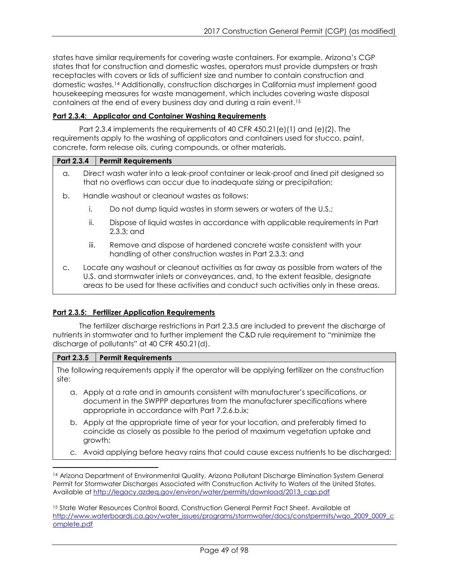states have similar requirements for covering waste containers. For example, Arizona's CGP states that for construction and domestic wastes, operators must provide dumpsters or trash receptacles with covers or lids of sufficient size and number to contain construction and domestic wastes.[14](#page-48-0) Additionally, construction discharges in California must implement good housekeeping measures for waste management, which includes covering waste disposal containers at the end of every business day and during a rain event.[15](#page-48-1)

## **Part 2.3.4: Applicator and Container Washing Requirements**

Part 2.3.4 implements the requirements of 40 CFR 450.21(e)(1) and (e)(2). The requirements apply to the washing of applicators and containers used for stucco, paint, concrete, form release oils, curing compounds, or other materials.

## **Part 2.3.4 Permit Requirements**

- a. Direct wash water into a leak-proof container or leak-proof and lined pit designed so that no overflows can occur due to inadequate sizing or precipitation;
- b. Handle washout or cleanout wastes as follows:
	- i. Do not dump liquid wastes in storm sewers or waters of the U.S.;
	- ii. Dispose of liquid wastes in accordance with applicable requirements in Part 2.3.3; and
	- iii. Remove and dispose of hardened concrete waste consistent with your handling of other construction wastes in Part 2.3.3; and
- c. Locate any washout or cleanout activities as far away as possible from waters of the U.S. and stormwater inlets or conveyances, and, to the extent feasible, designate areas to be used for these activities and conduct such activities only in these areas.

# **Part 2.3.5: Fertilizer Application Requirements**

The fertilizer discharge restrictions in Part 2.3.5 are included to prevent the discharge of nutrients in stormwater and to further implement the C&D rule requirement to "minimize the discharge of pollutants" at 40 CFR 450.21(d).

## **Part 2.3.5 Permit Requirements**

The following requirements apply if the operator will be applying fertilizer on the construction site:

- a. Apply at a rate and in amounts consistent with manufacturer's specifications, or document in the SWPPP departures from the manufacturer specifications where appropriate in accordance with Part 7.2.6.b.ix;
- b. Apply at the appropriate time of year for your location, and preferably timed to coincide as closely as possible to the period of maximum vegetation uptake and growth;
- c. Avoid applying before heavy rains that could cause excess nutrients to be discharged;

<span id="page-48-0"></span> $\overline{a}$ <sup>14</sup> Arizona Department of Environmental Quality, Arizona Pollutant Discharge Elimination System General Permit for Stormwater Discharges Associated with Construction Activity to Waters of the United States. Available at [http://legacy.azdeq.gov/environ/water/permits/download/2013\\_cgp.pdf](http://legacy.azdeq.gov/environ/water/permits/download/2013_cgp.pdf)

<span id="page-48-1"></span><sup>15</sup> State Water Resources Control Board, Construction General Permit Fact Sheet. Available at [http://www.waterboards.ca.gov/water\\_issues/programs/stormwater/docs/constpermits/wqo\\_2009\\_0009\\_c](http://www.waterboards.ca.gov/water_issues/programs/stormwater/docs/constpermits/wqo_2009_0009_complete.pdf) [omplete.pdf](http://www.waterboards.ca.gov/water_issues/programs/stormwater/docs/constpermits/wqo_2009_0009_complete.pdf)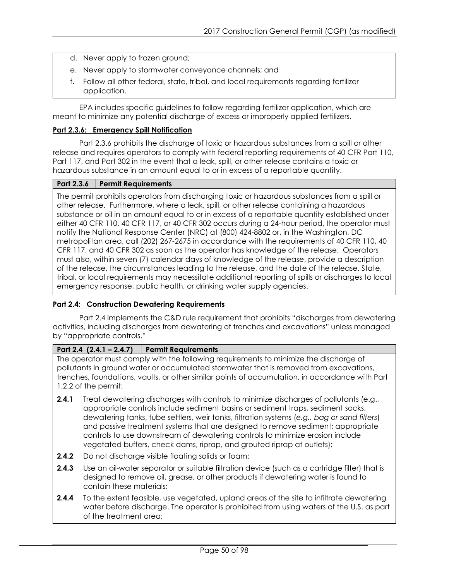- d. Never apply to frozen ground;
- e. Never apply to stormwater conveyance channels; and
- f. Follow all other federal, state, tribal, and local requirements regarding fertilizer application.

EPA includes specific guidelines to follow regarding fertilizer application, which are meant to minimize any potential discharge of excess or improperly applied fertilizers.

## **Part 2.3.6: Emergency Spill Notification**

Part 2.3.6 prohibits the discharge of toxic or hazardous substances from a spill or other release and requires operators to comply with federal reporting requirements of 40 CFR Part 110, Part 117, and Part 302 in the event that a leak, spill, or other release contains a toxic or hazardous substance in an amount equal to or in excess of a reportable quantity.

#### **Part 2.3.6 Permit Requirements**

The permit prohibits operators from discharging toxic or hazardous substances from a spill or other release. Furthermore, where a leak, spill, or other release containing a hazardous substance or oil in an amount equal to or in excess of a reportable quantity established under either 40 CFR 110, 40 CFR 117, or 40 CFR 302 occurs during a 24-hour period, the operator must notify the National Response Center (NRC) at (800) 424-8802 or, in the Washington, DC metropolitan area, call (202) 267-2675 in accordance with the requirements of 40 CFR 110, 40 CFR 117, and 40 CFR 302 as soon as the operator has knowledge of the release. Operators must also, within seven (7) calendar days of knowledge of the release, provide a description of the release, the circumstances leading to the release, and the date of the release. State, tribal, or local requirements may necessitate additional reporting of spills or discharges to local emergency response, public health, or drinking water supply agencies.

## **Part 2.4: Construction Dewatering Requirements**

Part 2.4 implements the C&D rule requirement that prohibits "discharges from dewatering activities, including discharges from dewatering of trenches and excavations" unless managed by "appropriate controls."

## **Part 2.4 (2.4.1 – 2.4.7) Permit Requirements**

The operator must comply with the following requirements to minimize the discharge of pollutants in ground water or accumulated stormwater that is removed from excavations, trenches, foundations, vaults, or other similar points of accumulation, in accordance with Part 1.2.2 of the permit:

- **2.4.1** Treat dewatering discharges with controls to minimize discharges of pollutants (e.g., appropriate controls include sediment basins or sediment traps, sediment socks, dewatering tanks, tube settlers, weir tanks, filtration systems (*e.g., bag or sand filters*) and passive treatment systems that are designed to remove sediment; appropriate controls to use downstream of dewatering controls to minimize erosion include vegetated buffers, check dams, riprap, and grouted riprap at outlets);
- **2.4.2** Do not discharge visible floating solids or foam;
- **2.4.3** Use an oil-water separator or suitable filtration device (such as a cartridge filter) that is designed to remove oil, grease, or other products if dewatering water is found to contain these materials;
- **2.4.4** To the extent feasible, use vegetated, upland areas of the site to infiltrate dewatering water before discharge. The operator is prohibited from using waters of the U.S. as part of the treatment area;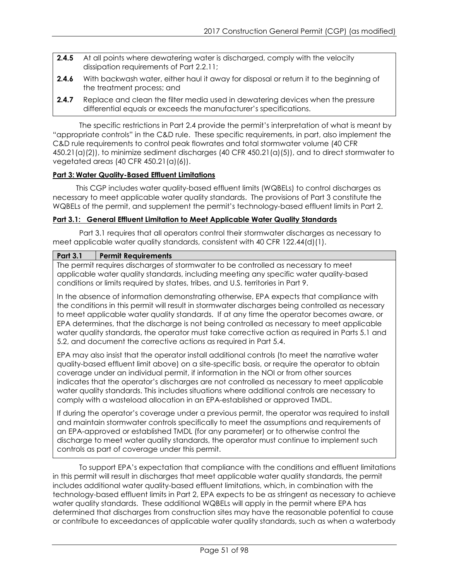- **2.4.5** At all points where dewatering water is discharged, comply with the velocity dissipation requirements of Part 2.2.11;
- **2.4.6** With backwash water, either haul it away for disposal or return it to the beginning of the treatment process; and
- **2.4.7** Replace and clean the filter media used in dewatering devices when the pressure differential equals or exceeds the manufacturer's specifications.

The specific restrictions in Part 2.4 provide the permit's interpretation of what is meant by "appropriate controls" in the C&D rule. These specific requirements, in part, also implement the C&D rule requirements to control peak flowrates and total stormwater volume (40 CFR 450.21(a)(2)), to minimize sediment discharges (40 CFR 450.21(a)(5)), and to direct stormwater to vegetated areas (40 CFR 450.21(a)(6)).

# **Part 3: Water Quality-Based Effluent Limitations**

This CGP includes water quality-based effluent limits (WQBELs) to control discharges as necessary to meet applicable water quality standards. The provisions of Part 3 constitute the WQBELs of the permit, and supplement the permit's technology-based effluent limits in Part 2.

## **Part 3.1: General Effluent Limitation to Meet Applicable Water Quality Standards**

Part 3.1 requires that all operators control their stormwater discharges as necessary to meet applicable water quality standards, consistent with 40 CFR 122.44(d)(1).

## **Part 3.1 Permit Requirements**

The permit requires discharges of stormwater to be controlled as necessary to meet applicable water quality standards, including meeting any specific water quality-based conditions or limits required by states, tribes, and U.S. territories in Part 9.

In the absence of information demonstrating otherwise, EPA expects that compliance with the conditions in this permit will result in stormwater discharges being controlled as necessary to meet applicable water quality standards. If at any time the operator becomes aware, or EPA determines, that the discharge is not being controlled as necessary to meet applicable water quality standards, the operator must take corrective action as required in Parts 5.1 and 5.2, and document the corrective actions as required in Part 5.4.

EPA may also insist that the operator install additional controls (to meet the narrative water quality-based effluent limit above) on a site-specific basis, or require the operator to obtain coverage under an individual permit, if information in the NOI or from other sources indicates that the operator's discharges are not controlled as necessary to meet applicable water quality standards. This includes situations where additional controls are necessary to comply with a wasteload allocation in an EPA-established or approved TMDL.

If during the operator's coverage under a previous permit, the operator was required to install and maintain stormwater controls specifically to meet the assumptions and requirements of an EPA-approved or established TMDL (for any parameter) or to otherwise control the discharge to meet water quality standards, the operator must continue to implement such controls as part of coverage under this permit.

To support EPA's expectation that compliance with the conditions and effluent limitations in this permit will result in discharges that meet applicable water quality standards, the permit includes additional water quality-based effluent limitations, which, in combination with the technology-based effluent limits in Part 2, EPA expects to be as stringent as necessary to achieve water quality standards. These additional WQBELs will apply in the permit where EPA has determined that discharges from construction sites may have the reasonable potential to cause or contribute to exceedances of applicable water quality standards, such as when a waterbody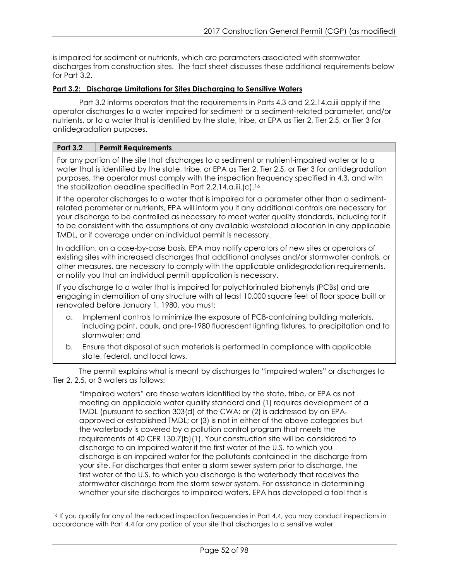is impaired for sediment or nutrients, which are parameters associated with stormwater discharges from construction sites. The fact sheet discusses these additional requirements below for Part 3.2.

## **Part 3.2: Discharge Limitations for Sites Discharging to Sensitive Waters**

Part 3.2 informs operators that the requirements in Parts 4.3 and 2.2.14.a.iii apply if the operator discharges to a water impaired for sediment or a sediment-related parameter, and/or nutrients, or to a water that is identified by the state, tribe, or EPA as Tier 2, Tier 2.5, or Tier 3 for antidegradation purposes.

## **Part 3.2 Permit Requirements**

 $\overline{a}$ 

For any portion of the site that discharges to a sediment or nutrient-impaired water or to a water that is identified by the state, tribe, or EPA as Tier 2, Tier 2.5, or Tier 3 for antidegradation purposes, the operator must comply with the inspection frequency specified in 4.3, and with the stabilization deadline specified in Part 2.2.14.a.iii.(c).[16](#page-51-0)

If the operator discharges to a water that is impaired for a parameter other than a sedimentrelated parameter or nutrients, EPA will inform you if any additional controls are necessary for your discharge to be controlled as necessary to meet water quality standards, including for it to be consistent with the assumptions of any available wasteload allocation in any applicable TMDL, or if coverage under an individual permit is necessary.

In addition, on a case-by-case basis, EPA may notify operators of new sites or operators of existing sites with increased discharges that additional analyses and/or stormwater controls, or other measures, are necessary to comply with the applicable antidegradation requirements, or notify you that an individual permit application is necessary.

If you discharge to a water that is impaired for polychlorinated biphenyls (PCBs) and are engaging in demolition of any structure with at least 10,000 square feet of floor space built or renovated before January 1, 1980, you must:

- a. Implement controls to minimize the exposure of PCB-containing building materials, including paint, caulk, and pre-1980 fluorescent lighting fixtures, to precipitation and to stormwater; and
- b. Ensure that disposal of such materials is performed in compliance with applicable state, federal, and local laws.

The permit explains what is meant by discharges to "impaired waters" or discharges to Tier 2, 2.5, or 3 waters as follows:

"Impaired waters" are those waters identified by the state, tribe, or EPA as not meeting an applicable water quality standard and (1) requires development of a TMDL (pursuant to section 303(d) of the CWA; or (2) is addressed by an EPAapproved or established TMDL; or (3) is not in either of the above categories but the waterbody is covered by a pollution control program that meets the requirements of 40 CFR 130.7(b)(1). Your construction site will be considered to discharge to an impaired water if the first water of the U.S. to which you discharge is an impaired water for the pollutants contained in the discharge from your site. For discharges that enter a storm sewer system prior to discharge, the first water of the U.S. to which you discharge is the waterbody that receives the stormwater discharge from the storm sewer system. For assistance in determining whether your site discharges to impaired waters, EPA has developed a tool that is

<span id="page-51-0"></span><sup>16</sup> If you qualify for any of the reduced inspection frequencies in Part 4.4, you may conduct inspections in accordance with Part 4.4 for any portion of your site that discharges to a sensitive water.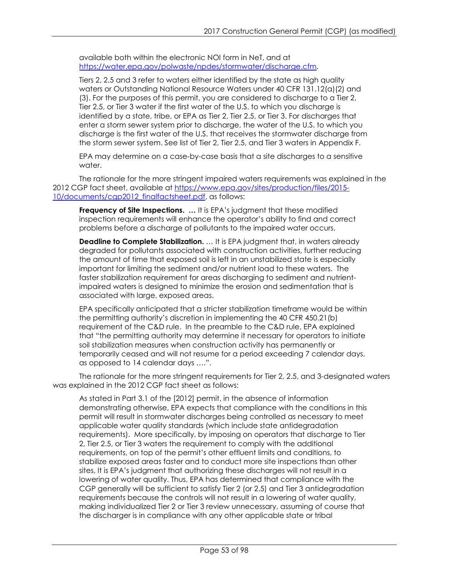available both within the electronic NOI form in NeT, and at [https://water.epa.gov/polwaste/npdes/stormwater/discharge.cfm.](http://water.epa.gov/polwaste/npdes/stormwater/discharge.cfm)

Tiers 2, 2.5 and 3 refer to waters either identified by the state as high quality waters or Outstanding National Resource Waters under 40 CFR 131.12(a)(2) and (3). For the purposes of this permit, you are considered to discharge to a Tier 2, Tier 2.5, or Tier 3 water if the first water of the U.S. to which you discharge is identified by a state, tribe, or EPA as Tier 2, Tier 2.5, or Tier 3. For discharges that enter a storm sewer system prior to discharge, the water of the U.S. to which you discharge is the first water of the U.S. that receives the stormwater discharge from the storm sewer system. See list of Tier 2, Tier 2.5, and Tier 3 waters in Appendix F.

EPA may determine on a case-by-case basis that a site discharges to a sensitive water.

The rationale for the more stringent impaired waters requirements was explained in the 2012 CGP fact sheet, available at [https://www.epa.gov/sites/production/files/2015-](http://www.epa.gov/sites/production/files/2015-10/documents/cgp2012_finalfactsheet.pdf) [10/documents/cgp2012\\_finalfactsheet.pdf,](http://www.epa.gov/sites/production/files/2015-10/documents/cgp2012_finalfactsheet.pdf) as follows:

**Frequency of Site Inspections.** ... It is EPA's judgment that these modified inspection requirements will enhance the operator's ability to find and correct problems before a discharge of pollutants to the impaired water occurs.

**Deadline to Complete Stabilization.** ... It is EPA judgment that, in waters already degraded for pollutants associated with construction activities, further reducing the amount of time that exposed soil is left in an unstabilized state is especially important for limiting the sediment and/or nutrient load to these waters. The faster stabilization requirement for areas discharging to sediment and nutrientimpaired waters is designed to minimize the erosion and sedimentation that is associated with large, exposed areas.

EPA specifically anticipated that a stricter stabilization timeframe would be within the permitting authority's discretion in implementing the 40 CFR 450.21(b) requirement of the C&D rule. In the preamble to the C&D rule, EPA explained that "the permitting authority may determine it necessary for operators to initiate soil stabilization measures when construction activity has permanently or temporarily ceased and will not resume for a period exceeding 7 calendar days, as opposed to 14 calendar days ….".

The rationale for the more stringent requirements for Tier 2, 2.5, and 3-designated waters was explained in the 2012 CGP fact sheet as follows:

As stated in Part 3.1 of the [2012] permit, in the absence of information demonstrating otherwise, EPA expects that compliance with the conditions in this permit will result in stormwater discharges being controlled as necessary to meet applicable water quality standards (which include state antidegradation requirements). More specifically, by imposing on operators that discharge to Tier 2, Tier 2.5, or Tier 3 waters the requirement to comply with the additional requirements, on top of the permit's other effluent limits and conditions, to stabilize exposed areas faster and to conduct more site inspections than other sites, It is EPA's judgment that authorizing these discharges will not result in a lowering of water quality. Thus, EPA has determined that compliance with the CGP generally will be sufficient to satisfy Tier 2 (or 2.5) and Tier 3 antidegradation requirements because the controls will not result in a lowering of water quality, making individualized Tier 2 or Tier 3 review unnecessary, assuming of course that the discharger is in compliance with any other applicable state or tribal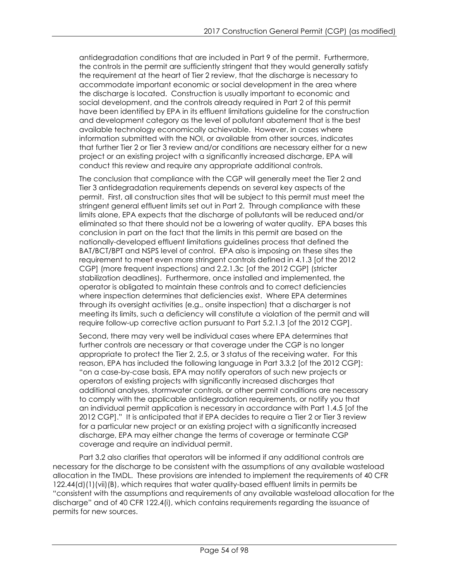antidegradation conditions that are included in Part 9 of the permit. Furthermore, the controls in the permit are sufficiently stringent that they would generally satisfy the requirement at the heart of Tier 2 review, that the discharge is necessary to accommodate important economic or social development in the area where the discharge is located. Construction is usually important to economic and social development, and the controls already required in Part 2 of this permit have been identified by EPA in its effluent limitations guideline for the construction and development category as the level of pollutant abatement that is the best available technology economically achievable. However, in cases where information submitted with the NOI, or available from other sources, indicates that further Tier 2 or Tier 3 review and/or conditions are necessary either for a new project or an existing project with a significantly increased discharge, EPA will conduct this review and require any appropriate additional controls.

The conclusion that compliance with the CGP will generally meet the Tier 2 and Tier 3 antidegradation requirements depends on several key aspects of the permit. First, all construction sites that will be subject to this permit must meet the stringent general effluent limits set out in Part 2. Through compliance with these limits alone, EPA expects that the discharge of pollutants will be reduced and/or eliminated so that there should not be a lowering of water quality. EPA bases this conclusion in part on the fact that the limits in this permit are based on the nationally-developed effluent limitations guidelines process that defined the BAT/BCT/BPT and NSPS level of control. EPA also is imposing on these sites the requirement to meet even more stringent controls defined in 4.1.3 [of the 2012 CGP] (more frequent inspections) and 2.2.1.3c [of the 2012 CGP] (stricter stabilization deadlines). Furthermore, once installed and implemented, the operator is obligated to maintain these controls and to correct deficiencies where inspection determines that deficiencies exist. Where EPA determines through its oversight activities (e.g., onsite inspection) that a discharger is not meeting its limits, such a deficiency will constitute a violation of the permit and will require follow-up corrective action pursuant to Part 5.2.1.3 [of the 2012 CGP].

Second, there may very well be individual cases where EPA determines that further controls are necessary or that coverage under the CGP is no longer appropriate to protect the Tier 2, 2.5, or 3 status of the receiving water. For this reason, EPA has included the following language in Part 3.3.2 [of the 2012 CGP]: "on a case-by-case basis, EPA may notify operators of such new projects or operators of existing projects with significantly increased discharges that additional analyses, stormwater controls, or other permit conditions are necessary to comply with the applicable antidegradation requirements, or notify you that an individual permit application is necessary in accordance with Part 1.4.5 [of the 2012 CGP]." It is anticipated that if EPA decides to require a Tier 2 or Tier 3 review for a particular new project or an existing project with a significantly increased discharge, EPA may either change the terms of coverage or terminate CGP coverage and require an individual permit.

Part 3.2 also clarifies that operators will be informed if any additional controls are necessary for the discharge to be consistent with the assumptions of any available wasteload allocation in the TMDL. These provisions are intended to implement the requirements of 40 CFR 122.44(d)(1)(vii)(B), which requires that water quality-based effluent limits in permits be "consistent with the assumptions and requirements of any available wasteload allocation for the discharge" and of 40 CFR 122.4(i), which contains requirements regarding the issuance of permits for new sources.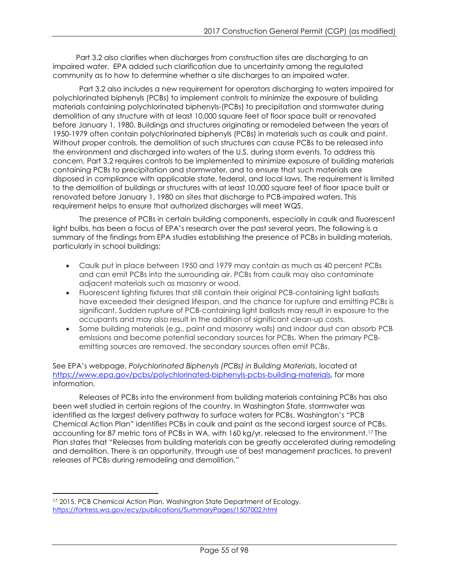Part 3.2 also clarifies when discharges from construction sites are discharging to an impaired water. EPA added such clarification due to uncertainty among the regulated community as to how to determine whether a site discharges to an impaired water.

Part 3.2 also includes a new requirement for operators discharging to waters impaired for polychlorinated biphenyls (PCBs) to implement controls to minimize the exposure of building materials containing polychlorinated biphenyls-(PCBs) to precipitation and stormwater during demolition of any structure with at least 10,000 square feet of floor space built or renovated before January 1, 1980. Buildings and structures originating or remodeled between the years of 1950-1979 often contain polychlorinated biphenyls (PCBs) in materials such as caulk and paint. Without proper controls, the demolition of such structures can cause PCBs to be released into the environment and discharged into waters of the U.S. during storm events. To address this concern, Part 3.2 requires controls to be implemented to minimize exposure of building materials containing PCBs to precipitation and stormwater, and to ensure that such materials are disposed in compliance with applicable state, federal, and local laws. The requirement is limited to the demolition of buildings or structures with at least 10,000 square feet of floor space built or renovated before January 1, 1980 on sites that discharge to PCB-impaired waters. This requirement helps to ensure that authorized discharges will meet WQS.

The presence of PCBs in certain building components, especially in caulk and fluorescent light bulbs, has been a focus of EPA's research over the past several years. The following is a summary of the findings from EPA studies establishing the presence of PCBs in building materials, particularly in school buildings:

- Caulk put in place between 1950 and 1979 may contain as much as 40 percent PCBs and can emit PCBs into the surrounding air. PCBs from caulk may also contaminate adjacent materials such as masonry or wood.
- Fluorescent lighting fixtures that still contain their original PCB-containing light ballasts have exceeded their designed lifespan, and the chance for rupture and emitting PCBs is significant. Sudden rupture of PCB-containing light ballasts may result in exposure to the occupants and may also result in the addition of significant clean-up costs.
- Some building materials (e.g., paint and masonry walls) and indoor dust can absorb PCB emissions and become potential secondary sources for PCBs. When the primary PCBemitting sources are removed, the secondary sources often emit PCBs.

## See EPA's webpage, *Polychlorinated Biphenyls (PCBs) in Building Materials*, located at [https://www.epa.gov/pcbs/polychlorinated-biphenyls-pcbs-building-materials,](https://www.epa.gov/pcbs/polychlorinated-biphenyls-pcbs-building-materials) for more information.

Releases of PCBs into the environment from building materials containing PCBs has also been well studied in certain regions of the country. In Washington State, stormwater was identified as the largest delivery pathway to surface waters for PCBs. Washington's "PCB Chemical Action Plan" identifies PCBs in caulk and paint as the second largest source of PCBs, accounting for 87 metric tons of PCBs in WA, with 160 kg/yr. released to the environment.<sup>[17](#page-54-0)</sup> The Plan states that "Releases from building materials can be greatly accelerated during remodeling and demolition. There is an opportunity, through use of best management practices, to prevent releases of PCBs during remodeling and demolition."

<span id="page-54-0"></span> $\overline{a}$ <sup>17</sup> 2015. PCB Chemical Action Plan. Washington State Department of Ecology. <https://fortress.wa.gov/ecy/publications/SummaryPages/1507002.html>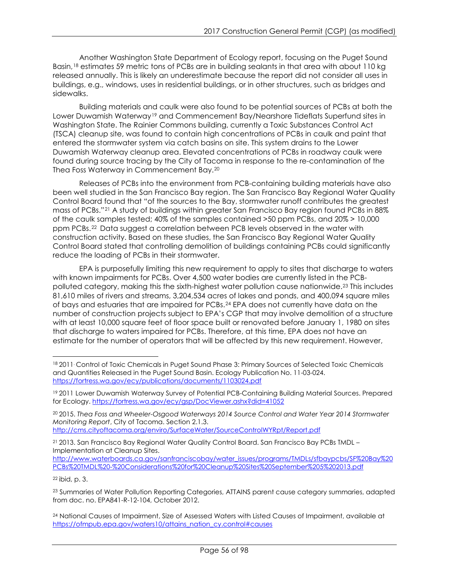Another Washington State Department of Ecology report, focusing on the Puget Sound Basin,[18](#page-55-0) estimates 59 metric tons of PCBs are in building sealants in that area with about 110 kg released annually. This is likely an underestimate because the report did not consider all uses in buildings, e.g., windows, uses in residential buildings, or in other structures, such as bridges and sidewalks.

Building materials and caulk were also found to be potential sources of PCBs at both the Lower Duwamish Waterway<sup>[19](#page-55-1)</sup> and Commencement Bay/Nearshore Tideflats Superfund sites in Washington State. The Rainier Commons building, currently a Toxic Substances Control Act (TSCA) cleanup site, was found to contain high concentrations of PCBs in caulk and paint that entered the stormwater system via catch basins on site. This system drains to the Lower Duwamish Waterway cleanup area. Elevated concentrations of PCBs in roadway caulk were found during source tracing by the City of Tacoma in response to the re-contamination of the Thea Foss Waterway in Commencement Bay.[20](#page-55-2)

Releases of PCBs into the environment from PCB-containing building materials have also been well studied in the San Francisco Bay region. The San Francisco Bay Regional Water Quality Control Board found that "of the sources to the Bay, stormwater runoff contributes the greatest mass of PCBs."[21](#page-55-3) A study of buildings within greater San Francisco Bay region found PCBs in 88% of the caulk samples tested; 40% of the samples contained >50 ppm PCBs, and 20% > 10,000 ppm PCBs.[22](#page-55-4) Data suggest a correlation between PCB levels observed in the water with construction activity. Based on these studies, the San Francisco Bay Regional Water Quality Control Board stated that controlling demolition of buildings containing PCBs could significantly reduce the loading of PCBs in their stormwater.

EPA is purposefully limiting this new requirement to apply to sites that discharge to waters with known impairments for PCBs. Over 4,500 water bodies are currently listed in the PCBpolluted category, making this the sixth-highest water pollution cause nationwide.[23](#page-55-5) This includes 81,610 miles of rivers and streams, 3,204,534 acres of lakes and ponds, and 400,094 square miles of bays and estuaries that are impaired for PCBs.[24](#page-55-6) EPA does not currently have data on the number of construction projects subject to EPA's CGP that may involve demolition of a structure with at least 10,000 square feet of floor space built or renovated before January 1, 1980 on sites that discharge to waters impaired for PCBs. Therefore, at this time, EPA does not have an estimate for the number of operators that will be affected by this new requirement. However,

<http://cms.cityoftacoma.org/enviro/SurfaceWater/SourceControlWYRpt/Report.pdf>

[http://www.waterboards.ca.gov/sanfranciscobay/water\\_issues/programs/TMDLs/sfbaypcbs/SF%20Bay%20](http://www.waterboards.ca.gov/sanfranciscobay/water_issues/programs/TMDLs/sfbaypcbs/SF%20Bay%20PCBs%20TMDL%20-%20Considerations%20for%20Cleanup%20Sites%20September%205%202013.pdf) [PCBs%20TMDL%20-%20Considerations%20for%20Cleanup%20Sites%20September%205%202013.pdf](http://www.waterboards.ca.gov/sanfranciscobay/water_issues/programs/TMDLs/sfbaypcbs/SF%20Bay%20PCBs%20TMDL%20-%20Considerations%20for%20Cleanup%20Sites%20September%205%202013.pdf)

<span id="page-55-4"></span><sup>22</sup> ibid, p. 3.

<span id="page-55-0"></span> $\overline{a}$ <sup>18</sup> 2011. Control of Toxic Chemicals in Puget Sound Phase 3: Primary Sources of Selected Toxic Chemicals and Quantities Released in the Puget Sound Basin. Ecology Publication No. 11-03-024. <https://fortress.wa.gov/ecy/publications/documents/1103024.pdf>

<span id="page-55-1"></span><sup>&</sup>lt;sup>19</sup> 2011 Lower Duwamish Waterway Survey of Potential PCB-Containing Building Material Sources. Prepared for Ecology.<https://fortress.wa.gov/ecy/gsp/DocViewer.ashx?did=41052>

<span id="page-55-2"></span><sup>20</sup> 2015. *Thea Foss and Wheeler-Osgood Waterways 2014 Source Control and Water Year 2014 Stormwater Monitoring Report*, City of Tacoma. Section 2.1.3.

<span id="page-55-3"></span><sup>&</sup>lt;sup>21</sup> 2013. San Francisco Bay Regional Water Quality Control Board. San Francisco Bay PCBs TMDL -Implementation at Cleanup Sites.

<span id="page-55-5"></span><sup>&</sup>lt;sup>23</sup> Summaries of Water Pollution Reporting Categories, ATTAINS parent cause category summaries, adapted from doc. no. EPA841-R-12-104, October 2012.

<span id="page-55-6"></span><sup>&</sup>lt;sup>24</sup> National Causes of Impairment, Size of Assessed Waters with Listed Causes of Impairment, available at [https://ofmpub.epa.gov/waters10/attains\\_nation\\_cy.control#causes](https://ofmpub.epa.gov/waters10/attains_nation_cy.control#causes)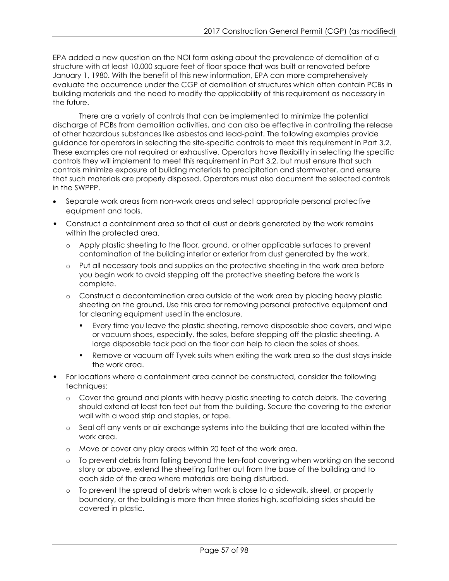EPA added a new question on the NOI form asking about the prevalence of demolition of a structure with at least 10,000 square feet of floor space that was built or renovated before January 1, 1980. With the benefit of this new information, EPA can more comprehensively evaluate the occurrence under the CGP of demolition of structures which often contain PCBs in building materials and the need to modify the applicability of this requirement as necessary in the future.

There are a variety of controls that can be implemented to minimize the potential discharge of PCBs from demolition activities, and can also be effective in controlling the release of other hazardous substances like asbestos and lead-paint. The following examples provide guidance for operators in selecting the site-specific controls to meet this requirement in Part 3.2. These examples are not required or exhaustive. Operators have flexibility in selecting the specific controls they will implement to meet this requirement in Part 3.2, but must ensure that such controls minimize exposure of building materials to precipitation and stormwater, and ensure that such materials are properly disposed. Operators must also document the selected controls in the SWPPP.

- Separate work areas from non-work areas and select appropriate personal protective equipment and tools.
- Construct a containment area so that all dust or debris generated by the work remains within the protected area.
	- o Apply plastic sheeting to the floor, ground, or other applicable surfaces to prevent contamination of the building interior or exterior from dust generated by the work.
	- o Put all necessary tools and supplies on the protective sheeting in the work area before you begin work to avoid stepping off the protective sheeting before the work is complete.
	- o Construct a decontamination area outside of the work area by placing heavy plastic sheeting on the ground. Use this area for removing personal protective equipment and for cleaning equipment used in the enclosure.
		- Every time you leave the plastic sheeting, remove disposable shoe covers, and wipe or vacuum shoes, especially, the soles, before stepping off the plastic sheeting. A large disposable tack pad on the floor can help to clean the soles of shoes.
		- Remove or vacuum off Tyvek suits when exiting the work area so the dust stays inside the work area.
- For locations where a containment area cannot be constructed, consider the following techniques:
	- o Cover the ground and plants with heavy plastic sheeting to catch debris. The covering should extend at least ten feet out from the building. Secure the covering to the exterior wall with a wood strip and staples, or tape.
	- o Seal off any vents or air exchange systems into the building that are located within the work area.
	- o Move or cover any play areas within 20 feet of the work area.
	- o To prevent debris from falling beyond the ten-foot covering when working on the second story or above, extend the sheeting farther out from the base of the building and to each side of the area where materials are being disturbed.
	- o To prevent the spread of debris when work is close to a sidewalk, street, or property boundary, or the building is more than three stories high, scaffolding sides should be covered in plastic.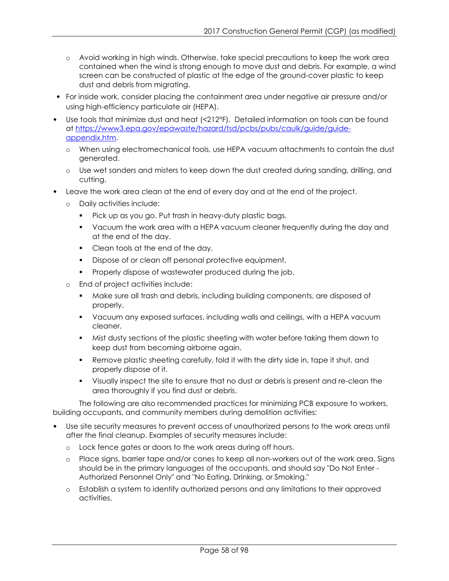- o Avoid working in high winds. Otherwise, take special precautions to keep the work area contained when the wind is strong enough to move dust and debris. For example, a wind screen can be constructed of plastic at the edge of the ground-cover plastic to keep dust and debris from migrating.
- For inside work, consider placing the containment area under negative air pressure and/or using high-efficiency particulate air (HEPA).
- Use tools that minimize dust and heat (<212°F). Detailed information on tools can be found at [https://www3.epa.gov/epawaste/hazard/tsd/pcbs/pubs/caulk/guide/guide](http://www3.epa.gov/epawaste/hazard/tsd/pcbs/pubs/caulk/guide/guide-appendix.htm)[appendix.htm.](http://www3.epa.gov/epawaste/hazard/tsd/pcbs/pubs/caulk/guide/guide-appendix.htm)
	- o When using electromechanical tools, use HEPA vacuum attachments to contain the dust generated.
	- o Use wet sanders and misters to keep down the dust created during sanding, drilling, and cutting.
- Leave the work area clean at the end of every day and at the end of the project.
	- o Daily activities include:
		- **Pick up as you go. Put trash in heavy-duty plastic bags.**
		- Vacuum the work area with a HEPA vacuum cleaner frequently during the day and at the end of the day.
		- Clean tools at the end of the day.
		- Dispose of or clean off personal protective equipment.
		- **Properly dispose of wastewater produced during the job.**
	- End of project activities include:
		- Make sure all trash and debris, including building components, are disposed of properly.
		- Vacuum any exposed surfaces, including walls and ceilings, with a HEPA vacuum cleaner.
		- Mist dusty sections of the plastic sheeting with water before taking them down to keep dust from becoming airborne again.
		- Remove plastic sheeting carefully, fold it with the dirty side in, tape it shut, and properly dispose of it.
		- Visually inspect the site to ensure that no dust or debris is present and re-clean the area thoroughly if you find dust or debris.

The following are also recommended practices for minimizing PCB exposure to workers, building occupants, and community members during demolition activities:

- Use site security measures to prevent access of unauthorized persons to the work areas until after the final cleanup. Examples of security measures include:
	- o Lock fence gates or doors to the work areas during off hours.
	- o Place signs, barrier tape and/or cones to keep all non-workers out of the work area. Signs should be in the primary languages of the occupants, and should say "Do Not Enter - Authorized Personnel Only" and "No Eating, Drinking, or Smoking."
	- o Establish a system to identify authorized persons and any limitations to their approved activities.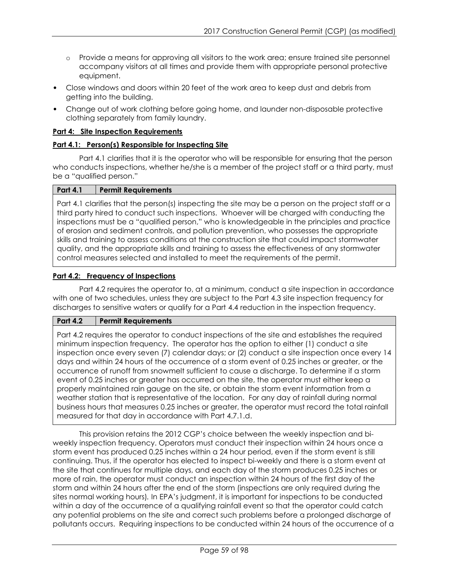- o Provide a means for approving all visitors to the work area; ensure trained site personnel accompany visitors at all times and provide them with appropriate personal protective equipment.
- Close windows and doors within 20 feet of the work area to keep dust and debris from getting into the building.
- Change out of work clothing before going home, and launder non-disposable protective clothing separately from family laundry.

# **Part 4: Site Inspection Requirements**

# **Part 4.1: Person(s) Responsible for Inspecting Site**

Part 4.1 clarifies that it is the operator who will be responsible for ensuring that the person who conducts inspections, whether he/she is a member of the project staff or a third party, must be a "qualified person."

## **Part 4.1 Permit Requirements**

Part 4.1 clarifies that the person(s) inspecting the site may be a person on the project staff or a third party hired to conduct such inspections. Whoever will be charged with conducting the inspections must be a "qualified person," who is knowledgeable in the principles and practice of erosion and sediment controls, and pollution prevention, who possesses the appropriate skills and training to assess conditions at the construction site that could impact stormwater quality, and the appropriate skills and training to assess the effectiveness of any stormwater control measures selected and installed to meet the requirements of the permit.

## **Part 4.2: Frequency of Inspections**

Part 4.2 requires the operator to, at a minimum, conduct a site inspection in accordance with one of two schedules, unless they are subject to the Part 4.3 site inspection frequency for discharges to sensitive waters or qualify for a Part 4.4 reduction in the inspection frequency.

# **Part 4.2 Permit Requirements**

Part 4.2 requires the operator to conduct inspections of the site and establishes the required minimum inspection frequency. The operator has the option to either (1) conduct a site inspection once every seven (7) calendar days; *or* (2) conduct a site inspection once every 14 days and within 24 hours of the occurrence of a storm event of 0.25 inches or greater, or the occurrence of runoff from snowmelt sufficient to cause a discharge. To determine if a storm event of 0.25 inches or greater has occurred on the site, the operator must either keep a properly maintained rain gauge on the site, or obtain the storm event information from a weather station that is representative of the location. For any day of rainfall during normal business hours that measures 0.25 inches or greater, the operator must record the total rainfall measured for that day in accordance with Part 4.7.1.d.

This provision retains the 2012 CGP's choice between the weekly inspection and biweekly inspection frequency. Operators must conduct their inspection within 24 hours once a storm event has produced 0.25 inches within a 24 hour period, even if the storm event is still continuing. Thus, if the operator has elected to inspect bi-weekly and there is a storm event at the site that continues for multiple days, and each day of the storm produces 0.25 inches or more of rain, the operator must conduct an inspection within 24 hours of the first day of the storm and within 24 hours after the end of the storm (inspections are only required during the sites normal working hours)*.* In EPA's judgment, it is important for inspections to be conducted within a day of the occurrence of a qualifying rainfall event so that the operator could catch any potential problems on the site and correct such problems before a prolonged discharge of pollutants occurs. Requiring inspections to be conducted within 24 hours of the occurrence of a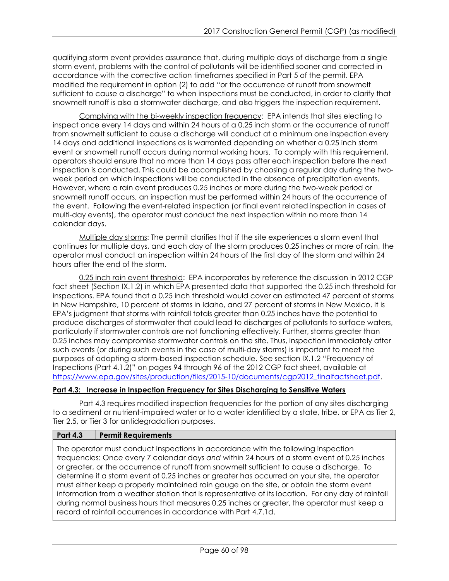qualifying storm event provides assurance that, during multiple days of discharge from a single storm event, problems with the control of pollutants will be identified sooner and corrected in accordance with the corrective action timeframes specified in Part 5 of the permit. EPA modified the requirement in option (2) to add "or the occurrence of runoff from snowmelt sufficient to cause a discharge" to when inspections must be conducted, in order to clarify that snowmelt runoff is also a stormwater discharge, and also triggers the inspection requirement.

Complying with the bi-weekly inspection frequency: EPA intends that sites electing to inspect once every 14 days and within 24 hours of a 0.25 inch storm or the occurrence of runoff from snowmelt sufficient to cause a discharge will conduct at a minimum one inspection every 14 days and additional inspections as is warranted depending on whether a 0.25 inch storm event or snowmelt runoff occurs during normal working hours. To comply with this requirement, operators should ensure that no more than 14 days pass after each inspection before the next inspection is conducted. This could be accomplished by choosing a regular day during the twoweek period on which inspections will be conducted in the absence of precipitation events. However, where a rain event produces 0.25 inches or more during the two-week period or snowmelt runoff occurs, an inspection must be performed within 24 hours of the occurrence of the event. Following the event-related inspection (or final event related inspection in cases of multi-day events), the operator must conduct the next inspection within no more than 14 calendar days.

Multiple day storms: The permit clarifies that if the site experiences a storm event that continues for multiple days, and each day of the storm produces 0.25 inches or more of rain, the operator must conduct an inspection within 24 hours of the first day of the storm and within 24 hours after the end of the storm.

0.25 inch rain event threshold: EPA incorporates by reference the discussion in 2012 CGP fact sheet (Section IX.1.2) in which EPA presented data that supported the 0.25 inch threshold for inspections. EPA found that a 0.25 inch threshold would cover an estimated 47 percent of storms in New Hampshire, 10 percent of storms in Idaho, and 27 percent of storms in New Mexico. It is EPA's judgment that storms with rainfall totals greater than 0.25 inches have the potential to produce discharges of stormwater that could lead to discharges of pollutants to surface waters, particularly if stormwater controls are not functioning effectively. Further, storms greater than 0.25 inches may compromise stormwater controls on the site. Thus, inspection immediately after such events (or during such events in the case of multi-day storms) is important to meet the purposes of adopting a storm-based inspection schedule. See section IX.1.2 "Frequency of Inspections (Part 4.1.2)" on pages 94 through 96 of the 2012 CGP fact sheet, available at [https://www.epa.gov/sites/production/files/2015-10/documents/cgp2012\\_finalfactsheet.pdf.](http://www.epa.gov/sites/production/files/2015-10/documents/cgp2012_finalfactsheet.pdf)

# **Part 4.3: Increase in Inspection Frequency for Sites Discharging to Sensitive Waters**

Part 4.3 requires modified inspection frequencies for the portion of any sites discharging to a sediment or nutrient-impaired water or to a water identified by a state, tribe, or EPA as Tier 2, Tier 2.5, or Tier 3 for antidegradation purposes.

## **Part 4.3 Permit Requirements**

The operator must conduct inspections in accordance with the following inspection frequencies: Once every 7 calendar days *and* within 24 hours of a storm event of 0.25 inches or greater, or the occurrence of runoff from snowmelt sufficient to cause a discharge. To determine if a storm event of 0.25 inches or greater has occurred on your site, the operator must either keep a properly maintained rain gauge on the site, or obtain the storm event information from a weather station that is representative of its location. For any day of rainfall during normal business hours that measures 0.25 inches or greater, the operator must keep a record of rainfall occurrences in accordance with Part 4.7.1d.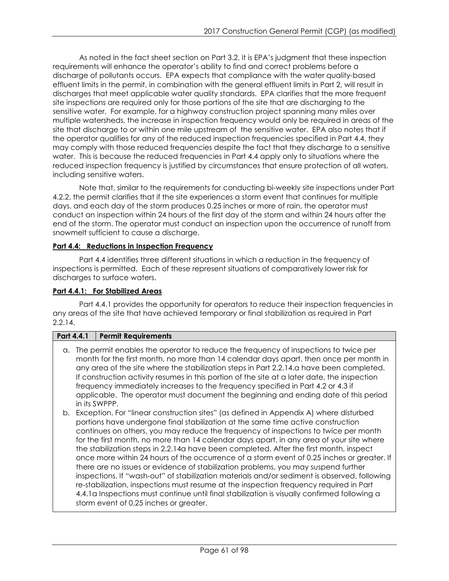As noted in the fact sheet section on Part 3.2, it is EPA's judgment that these inspection requirements will enhance the operator's ability to find and correct problems before a discharge of pollutants occurs. EPA expects that compliance with the water quality-based effluent limits in the permit, in combination with the general effluent limits in Part 2, will result in discharges that meet applicable water quality standards. EPA clarifies that the more frequent site inspections are required only for those portions of the site that are discharging to the sensitive water. For example, for a highway construction project spanning many miles over multiple watersheds, the increase in inspection frequency would only be required in areas of the site that discharge to or within one mile upstream of the sensitive water. EPA also notes that if the operator qualifies for any of the reduced inspection frequencies specified in Part 4.4, they may comply with those reduced frequencies despite the fact that they discharge to a sensitive water. This is because the reduced frequencies in Part 4.4 apply only to situations where the reduced inspection frequency is justified by circumstances that ensure protection of all waters, including sensitive waters.

Note that, similar to the requirements for conducting bi-weekly site inspections under Part 4.2.2, the permit clarifies that if the site experiences a storm event that continues for multiple days, and each day of the storm produces 0.25 inches or more of rain, the operator must conduct an inspection within 24 hours of the first day of the storm and within 24 hours after the end of the storm. The operator must conduct an inspection upon the occurrence of runoff from snowmelt sufficient to cause a discharge.

# **Part 4.4: Reductions in Inspection Frequency**

Part 4.4 identifies three different situations in which a reduction in the frequency of inspections is permitted. Each of these represent situations of comparatively lower risk for discharges to surface waters.

# **Part 4.4.1: For Stabilized Areas**

Part 4.4.1 provides the opportunity for operators to reduce their inspection frequencies in any areas of the site that have achieved temporary or final stabilization as required in Part 2.2.14.

# **Part 4.4.1 Permit Requirements**

- a. The permit enables the operator to reduce the frequency of inspections to twice per month for the first month, no more than 14 calendar days apart, then once per month in any area of the site where the stabilization steps in Part 2.2.14.a have been completed. If construction activity resumes in this portion of the site at a later date, the inspection frequency immediately increases to the frequency specified in Part 4.2 or 4.3 if applicable. The operator must document the beginning and ending date of this period in its SWPPP.
- b. Exception. For "linear construction sites" (as defined in Appendix A) where disturbed portions have undergone final stabilization at the same time active construction continues on others, you may reduce the frequency of inspections to twice per month for the first month, no more than 14 calendar days apart, in any area of your site where the stabilization steps in 2.2.14a have been completed. After the first month, inspect once more within 24 hours of the occurrence of a storm event of 0.25 inches or greater. If there are no issues or evidence of stabilization problems, you may suspend further inspections. If "wash-out" of stabilization materials and/or sediment is observed, following re-stabilization, inspections must resume at the inspection frequency required in Part 4.4.1a Inspections must continue until final stabilization is visually confirmed following a storm event of 0.25 inches or greater.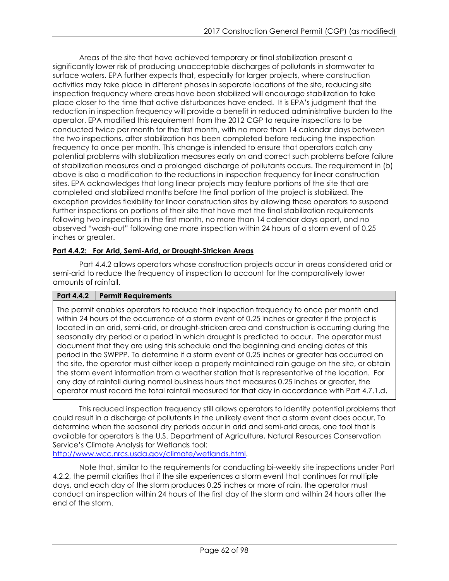Areas of the site that have achieved temporary or final stabilization present a significantly lower risk of producing unacceptable discharges of pollutants in stormwater to surface waters. EPA further expects that, especially for larger projects, where construction activities may take place in different phases in separate locations of the site, reducing site inspection frequency where areas have been stabilized will encourage stabilization to take place closer to the time that active disturbances have ended. It is EPA's judgment that the reduction in inspection frequency will provide a benefit in reduced administrative burden to the operator. EPA modified this requirement from the 2012 CGP to require inspections to be conducted twice per month for the first month, with no more than 14 calendar days between the two inspections, after stabilization has been completed before reducing the inspection frequency to once per month. This change is intended to ensure that operators catch any potential problems with stabilization measures early on and correct such problems before failure of stabilization measures and a prolonged discharge of pollutants occurs. The requirement in (b) above is also a modification to the reductions in inspection frequency for linear construction sites. EPA acknowledges that long linear projects may feature portions of the site that are completed and stabilized months before the final portion of the project is stabilized. The exception provides flexibility for linear construction sites by allowing these operators to suspend further inspections on portions of their site that have met the final stabilization requirements following two inspections in the first month, no more than 14 calendar days apart, and no observed "wash-out" following one more inspection within 24 hours of a storm event of 0.25 inches or greater.

# **Part 4.4.2: For Arid, Semi-Arid, or Drought-Stricken Areas**

Part 4.4.2 allows operators whose construction projects occur in areas considered arid or semi-arid to reduce the frequency of inspection to account for the comparatively lower amounts of rainfall.

# **Part 4.4.2 Permit Requirements**

The permit enables operators to reduce their inspection frequency to once per month and within 24 hours of the occurrence of a storm event of 0.25 inches or greater if the project is located in an arid, semi-arid, or drought-stricken area and construction is occurring during the seasonally dry period or a period in which drought is predicted to occur. The operator must document that they are using this schedule and the beginning and ending dates of this period in the SWPPP. To determine if a storm event of 0.25 inches or greater has occurred on the site, the operator must either keep a properly maintained rain gauge on the site, or obtain the storm event information from a weather station that is representative of the location. For any day of rainfall during normal business hours that measures 0.25 inches or greater, the operator must record the total rainfall measured for that day in accordance with Part 4.7.1.d.

This reduced inspection frequency still allows operators to identify potential problems that could result in a discharge of pollutants in the unlikely event that a storm event does occur. To determine when the seasonal dry periods occur in arid and semi-arid areas, one tool that is available for operators is the U.S. Department of Agriculture, Natural Resources Conservation Service's Climate Analysis for Wetlands tool:

[http://www.wcc.nrcs.usda.gov/climate/wetlands.html.](http://www.wcc.nrcs.usda.gov/climate/wetlands.html)

Note that, similar to the requirements for conducting bi-weekly site inspections under Part 4.2.2, the permit clarifies that if the site experiences a storm event that continues for multiple days, and each day of the storm produces 0.25 inches or more of rain, the operator must conduct an inspection within 24 hours of the first day of the storm and within 24 hours after the end of the storm.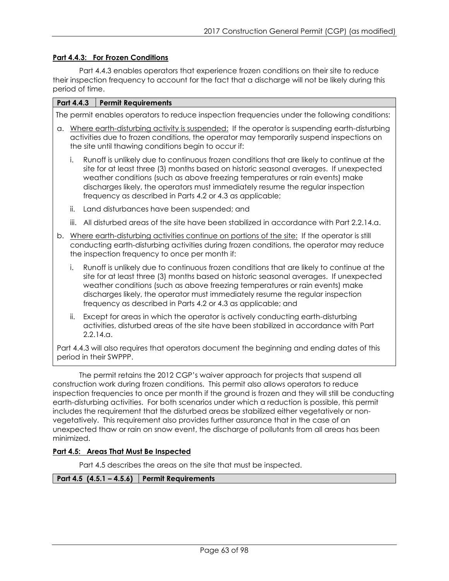## **Part 4.4.3: For Frozen Conditions**

Part 4.4.3 enables operators that experience frozen conditions on their site to reduce their inspection frequency to account for the fact that a discharge will not be likely during this period of time.

#### **Part 4.4.3 Permit Requirements**

The permit enables operators to reduce inspection frequencies under the following conditions:

- a. Where earth-disturbing activity is suspended: If the operator is suspending earth-disturbing activities due to frozen conditions, the operator may temporarily suspend inspections on the site until thawing conditions begin to occur if:
	- i. Runoff is unlikely due to continuous frozen conditions that are likely to continue at the site for at least three (3) months based on historic seasonal averages. If unexpected weather conditions (such as above freezing temperatures or rain events) make discharges likely, the operators must immediately resume the regular inspection frequency as described in Parts 4.2 or 4.3 as applicable;
	- ii. Land disturbances have been suspended; and
	- iii. All disturbed areas of the site have been stabilized in accordance with Part 2.2.14.a.
- b. Where earth-disturbing activities continue on portions of the site: If the operator is still conducting earth-disturbing activities during frozen conditions, the operator may reduce the inspection frequency to once per month if:
	- i. Runoff is unlikely due to continuous frozen conditions that are likely to continue at the site for at least three (3) months based on historic seasonal averages. If unexpected weather conditions (such as above freezing temperatures or rain events) make discharges likely, the operator must immediately resume the regular inspection frequency as described in Parts 4.2 or 4.3 as applicable; and
	- ii. Except for areas in which the operator is actively conducting earth-disturbing activities, disturbed areas of the site have been stabilized in accordance with Part 2.2.14.a.

Part 4.4.3 will also requires that operators document the beginning and ending dates of this period in their SWPPP.

The permit retains the 2012 CGP's waiver approach for projects that suspend all construction work during frozen conditions. This permit also allows operators to reduce inspection frequencies to once per month if the ground is frozen and they will still be conducting earth-disturbing activities. For both scenarios under which a reduction is possible, this permit includes the requirement that the disturbed areas be stabilized either vegetatively or nonvegetatively. This requirement also provides further assurance that in the case of an unexpected thaw or rain on snow event, the discharge of pollutants from all areas has been minimized.

## **Part 4.5: Areas That Must Be Inspected**

Part 4.5 describes the areas on the site that must be inspected.

## **Part 4.5 (4.5.1 – 4.5.6) Permit Requirements**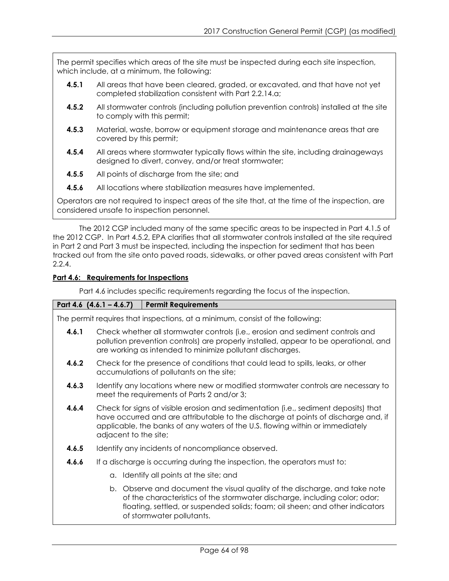The permit specifies which areas of the site must be inspected during each site inspection, which include, at a minimum, the following:

- **4.5.1** All areas that have been cleared, graded, or excavated, and that have not yet completed stabilization consistent with Part 2.2.14.a;
- **4.5.2** All stormwater controls (including pollution prevention controls) installed at the site to comply with this permit;
- **4.5.3** Material, waste, borrow or equipment storage and maintenance areas that are covered by this permit;
- **4.5.4** All areas where stormwater typically flows within the site, including drainageways designed to divert, convey, and/or treat stormwater;
- **4.5.5** All points of discharge from the site; and
- **4.5.6** All locations where stabilization measures have implemented.

Operators are not required to inspect areas of the site that, at the time of the inspection, are considered unsafe to inspection personnel.

The 2012 CGP included many of the same specific areas to be inspected in Part 4.1.5 of the 2012 CGP. In Part 4.5.2, EPA clarifies that all stormwater controls installed at the site required in Part 2 and Part 3 must be inspected, including the inspection for sediment that has been tracked out from the site onto paved roads, sidewalks, or other paved areas consistent with Part 2.2.4.

# **Part 4.6: Requirements for Inspections**

Part 4.6 includes specific requirements regarding the focus of the inspection.

# **Part 4.6 (4.6.1 – 4.6.7) Permit Requirements**

The permit requires that inspections, at a minimum, consist of the following:

- **4.6.1** Check whether all stormwater controls (i.e., erosion and sediment controls and pollution prevention controls) are properly installed, appear to be operational, and are working as intended to minimize pollutant discharges.
- **4.6.2** Check for the presence of conditions that could lead to spills, leaks, or other accumulations of pollutants on the site;
- **4.6.3** Identify any locations where new or modified stormwater controls are necessary to meet the requirements of Parts 2 and/or 3;
- **4.6.4** Check for signs of visible erosion and sedimentation (i.e., sediment deposits) that have occurred and are attributable to the discharge at points of discharge and, if applicable, the banks of any waters of the U.S. flowing within or immediately adjacent to the site;
- **4.6.5** Identify any incidents of noncompliance observed.
- **4.6.6** If a discharge is occurring during the inspection, the operators must to:
	- a. Identify all points at the site; and
	- b. Observe and document the visual quality of the discharge, and take note of the characteristics of the stormwater discharge, including color; odor; floating, settled, or suspended solids; foam; oil sheen; and other indicators of stormwater pollutants.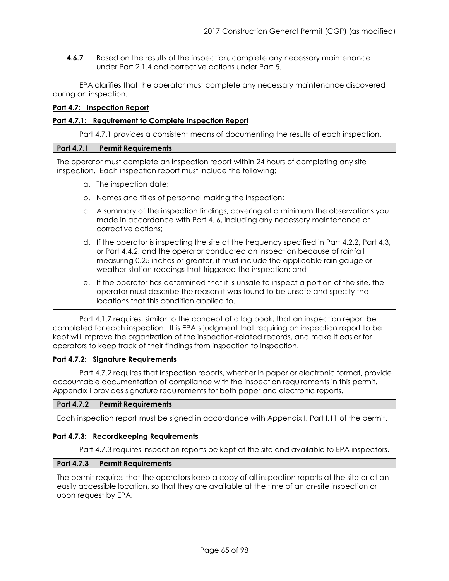**4.6.7** Based on the results of the inspection, complete any necessary maintenance under Part 2.1.4 and corrective actions under Part 5.

EPA clarifies that the operator must complete any necessary maintenance discovered during an inspection.

## **Part 4.7: Inspection Report**

## **Part 4.7.1: Requirement to Complete Inspection Report**

Part 4.7.1 provides a consistent means of documenting the results of each inspection.

## **Part 4.7.1 Permit Requirements**

The operator must complete an inspection report within 24 hours of completing any site inspection. Each inspection report must include the following:

- a. The inspection date;
- b. Names and titles of personnel making the inspection;
- c. A summary of the inspection findings, covering at a minimum the observations you made in accordance with Part 4. 6, including any necessary maintenance or corrective actions;
- d. If the operator is inspecting the site at the frequency specified in Part 4.2.2, Part 4.3, or Part 4.4.2, and the operator conducted an inspection because of rainfall measuring 0.25 inches or greater, it must include the applicable rain gauge or weather station readings that triggered the inspection; and
- e. If the operator has determined that it is unsafe to inspect a portion of the site, the operator must describe the reason it was found to be unsafe and specify the locations that this condition applied to.

Part 4.1.7 requires, similar to the concept of a log book, that an inspection report be completed for each inspection. It is EPA's judgment that requiring an inspection report to be kept will improve the organization of the inspection-related records, and make it easier for operators to keep track of their findings from inspection to inspection.

## **Part 4.7.2: Signature Requirements**

Part 4.7.2 requires that inspection reports, whether in paper or electronic format, provide accountable documentation of compliance with the inspection requirements in this permit. Appendix I provides signature requirements for both paper and electronic reports.

## **Part 4.7.2 Permit Requirements**

Each inspection report must be signed in accordance with Appendix I, Part I.11 of the permit.

## **Part 4.7.3: Recordkeeping Requirements**

Part 4.7.3 requires inspection reports be kept at the site and available to EPA inspectors.

## **Part 4.7.3 Permit Requirements**

The permit requires that the operators keep a copy of all inspection reports at the site or at an easily accessible location, so that they are available at the time of an on-site inspection or upon request by EPA.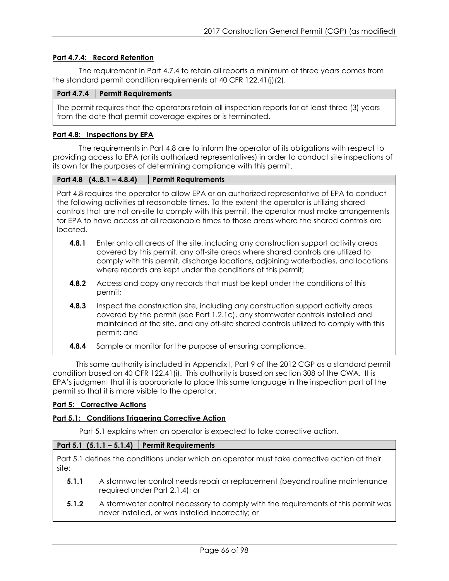## **Part 4.7.4: Record Retention**

The requirement in Part 4.7.4 to retain all reports a minimum of three years comes from the standard permit condition requirements at 40 CFR 122.41(j)(2).

## **Part 4.7.4 Permit Requirements**

The permit requires that the operators retain all inspection reports for at least three (3) years from the date that permit coverage expires or is terminated.

## **Part 4.8: Inspections by EPA**

The requirements in Part 4.8 are to inform the operator of its obligations with respect to providing access to EPA (or its authorized representatives) in order to conduct site inspections of its own for the purposes of determining compliance with this permit.

| Part 4.8 $(48.1 - 4.8.4)$ | <b>Permit Requirements</b> |
|---------------------------|----------------------------|
|---------------------------|----------------------------|

Part 4.8 requires the operator to allow EPA or an authorized representative of EPA to conduct the following activities at reasonable times. To the extent the operator is utilizing shared controls that are not on-site to comply with this permit, the operator must make arrangements for EPA to have access at all reasonable times to those areas where the shared controls are located.

- **4.8.1** Enter onto all areas of the site, including any construction support activity areas covered by this permit, any off-site areas where shared controls are utilized to comply with this permit, discharge locations, adjoining waterbodies, and locations where records are kept under the conditions of this permit;
- **4.8.2** Access and copy any records that must be kept under the conditions of this permit;
- **4.8.3** Inspect the construction site, including any construction support activity areas covered by the permit (see Part 1.2.1c), any stormwater controls installed and maintained at the site, and any off-site shared controls utilized to comply with this permit; and
- **4.8.4** Sample or monitor for the purpose of ensuring compliance.

This same authority is included in Appendix I, Part 9 of the 2012 CGP as a standard permit condition based on 40 CFR 122.41(i). This authority is based on section 308 of the CWA. It is EPA's judgment that it is appropriate to place this same language in the inspection part of the permit so that it is more visible to the operator.

## **Part 5: Corrective Actions**

## **Part 5.1: Conditions Triggering Corrective Action**

Part 5.1 explains when an operator is expected to take corrective action.

## **Part 5.1 (5.1.1 – 5.1.4) Permit Requirements**

Part 5.1 defines the conditions under which an operator must take corrective action at their site:

- **5.1.1** A stormwater control needs repair or replacement (beyond routine maintenance required under Part 2.1.4); or
- **5.1.2** A stormwater control necessary to comply with the requirements of this permit was never installed, or was installed incorrectly; or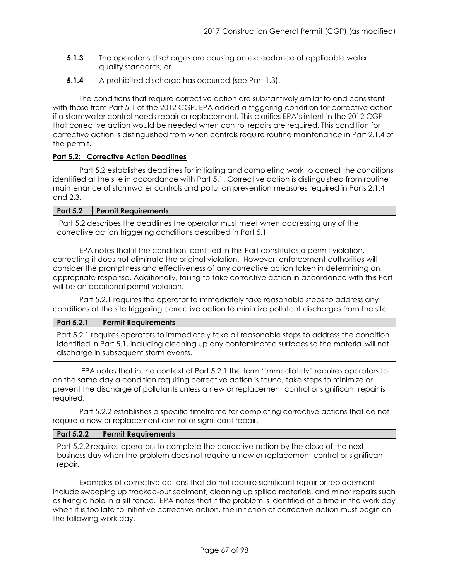- **5.1.3** The operator's discharges are causing an exceedance of applicable water quality standards; or
- **5.1.4** A prohibited discharge has occurred (see Part 1.3).

The conditions that require corrective action are substantively similar to and consistent with those from Part 5.1 of the 2012 CGP. EPA added a triggering condition for corrective action if a stormwater control needs repair or replacement. This clarifies EPA's intent in the 2012 CGP that corrective action would be needed when control repairs are required. This condition for corrective action is distinguished from when controls require routine maintenance in Part 2.1.4 of the permit.

# **Part 5.2: Corrective Action Deadlines**

Part 5.2 establishes deadlines for initiating and completing work to correct the conditions identified at the site in accordance with Part 5.1. Corrective action is distinguished from routine maintenance of stormwater controls and pollution prevention measures required in Parts 2.1.4 and 2.3.

## **Part 5.2 Permit Requirements**

Part 5.2 describes the deadlines the operator must meet when addressing any of the corrective action triggering conditions described in Part 5.1

EPA notes that if the condition identified in this Part constitutes a permit violation, correcting it does not eliminate the original violation. However, enforcement authorities will consider the promptness and effectiveness of any corrective action taken in determining an appropriate response. Additionally, failing to take corrective action in accordance with this Part will be an additional permit violation.

Part 5.2.1 requires the operator to immediately take reasonable steps to address any conditions at the site triggering corrective action to minimize pollutant discharges from the site.

## **Part 5.2.1 Permit Requirements**

Part 5.2.1 requires operators to immediately take all reasonable steps to address the condition identified in Part 5.1, including cleaning up any contaminated surfaces so the material will not discharge in subsequent storm events.

EPA notes that in the context of Part 5.2.1 the term "immediately" requires operators to, on the same day a condition requiring corrective action is found, take steps to minimize or prevent the discharge of pollutants unless a new or replacement control or significant repair is required.

Part 5.2.2 establishes a specific timeframe for completing corrective actions that do not require a new or replacement control or significant repair.

## **Part 5.2.2 Permit Requirements**

Part 5.2.2 requires operators to complete the corrective action by the close of the next business day when the problem does not require a new or replacement control or significant repair.

Examples of corrective actions that do not require significant repair or replacement include sweeping up tracked-out sediment, cleaning up spilled materials, and minor repairs such as fixing a hole in a silt fence. EPA notes that if the problem is identified at a time in the work day when it is too late to initiative corrective action, the initiation of corrective action must begin on the following work day.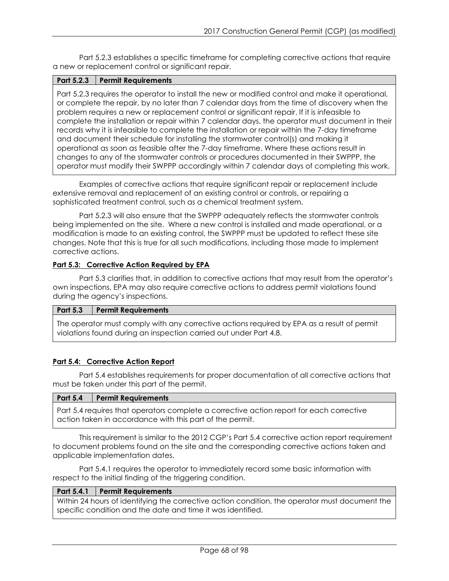Part 5.2.3 establishes a specific timeframe for completing corrective actions that require a new or replacement control or significant repair.

## **Part 5.2.3 Permit Requirements**

Part 5.2.3 requires the operator to install the new or modified control and make it operational, or complete the repair, by no later than 7 calendar days from the time of discovery when the problem requires a new or replacement control or significant repair. If it is infeasible to complete the installation or repair within 7 calendar days, the operator must document in their records why it is infeasible to complete the installation or repair within the 7-day timeframe and document their schedule for installing the stormwater control(s) and making it operational as soon as feasible after the 7-day timeframe. Where these actions result in changes to any of the stormwater controls or procedures documented in their SWPPP, the operator must modify their SWPPP accordingly within 7 calendar days of completing this work.

Examples of corrective actions that require significant repair or replacement include extensive removal and replacement of an existing control or controls, or repairing a sophisticated treatment control, such as a chemical treatment system.

Part 5.2.3 will also ensure that the SWPPP adequately reflects the stormwater controls being implemented on the site. Where a new control is installed and made operational, or a modification is made to an existing control, the SWPPP must be updated to reflect these site changes. Note that this is true for all such modifications, including those made to implement corrective actions.

## **Part 5.3: Corrective Action Required by EPA**

Part 5.3 clarifies that, in addition to corrective actions that may result from the operator's own inspections, EPA may also require corrective actions to address permit violations found during the agency's inspections.

## **Part 5.3 Permit Requirements**

The operator must comply with any corrective actions required by EPA as a result of permit violations found during an inspection carried out under Part 4.8.

# **Part 5.4: Corrective Action Report**

Part 5.4 establishes requirements for proper documentation of all corrective actions that must be taken under this part of the permit.

#### **Part 5.4 Permit Requirements**

Part 5.4 requires that operators complete a corrective action report for each corrective action taken in accordance with this part of the permit.

This requirement is similar to the 2012 CGP's Part 5.4 corrective action report requirement to document problems found on the site and the corresponding corrective actions taken and applicable implementation dates.

Part 5.4.1 requires the operator to immediately record some basic information with respect to the initial finding of the triggering condition.

## **Part 5.4.1 Permit Requirements**

Within 24 hours of identifying the corrective action condition, the operator must document the specific condition and the date and time it was identified.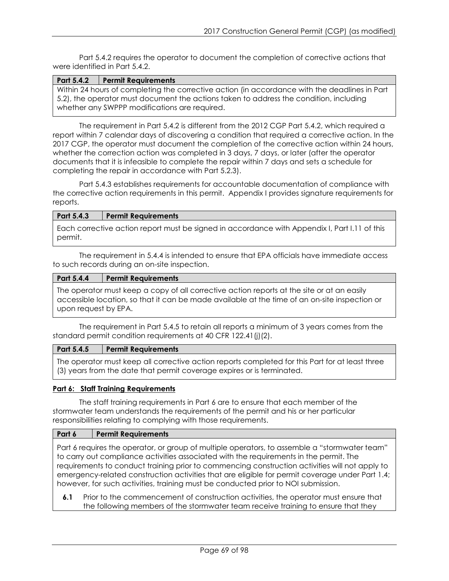Part 5.4.2 requires the operator to document the completion of corrective actions that were identified in Part 5.4.2.

| Part 5.4.2 Permit Requirements                                |
|---------------------------------------------------------------|
| Within 24 hours of completing the corrective action (in accor |

dance with the deadlines in Part 5.2), the operator must document the actions taken to address the condition, including whether any SWPPP modifications are required.

The requirement in Part 5.4.2 is different from the 2012 CGP Part 5.4.2, which required a report within 7 calendar days of discovering a condition that required a corrective action. In the 2017 CGP, the operator must document the completion of the corrective action within 24 hours, whether the correction action was completed in 3 days, 7 days, or later (after the operator documents that it is infeasible to complete the repair within 7 days and sets a schedule for completing the repair in accordance with Part 5.2.3).

Part 5.4.3 establishes requirements for accountable documentation of compliance with the corrective action requirements in this permit. Appendix I provides signature requirements for reports.

## **Part 5.4.3 Permit Requirements**

Each corrective action report must be signed in accordance with Appendix I, Part I.11 of this permit.

The requirement in 5.4.4 is intended to ensure that EPA officials have immediate access to such records during an on-site inspection.

# **Part 5.4.4 Permit Requirements**

The operator must keep a copy of all corrective action reports at the site or at an easily accessible location, so that it can be made available at the time of an on-site inspection or upon request by EPA.

The requirement in Part 5.4.5 to retain all reports a minimum of 3 years comes from the standard permit condition requirements at 40 CFR 122.41(j)(2).

## **Part 5.4.5 Permit Requirements**

The operator must keep all corrective action reports completed for this Part for at least three (3) years from the date that permit coverage expires or is terminated.

## **Part 6: Staff Training Requirements**

The staff training requirements in Part 6 are to ensure that each member of the stormwater team understands the requirements of the permit and his or her particular responsibilities relating to complying with those requirements.

## **Part 6 Permit Requirements**

Part 6 requires the operator, or group of multiple operators, to assemble a "stormwater team" to carry out compliance activities associated with the requirements in the permit. The requirements to conduct training prior to commencing construction activities will not apply to emergency-related construction activities that are eligible for permit coverage under Part 1.4; however, for such activities, training must be conducted prior to NOI submission.

**6.1** Prior to the commencement of construction activities, the operator must ensure that the following members of the stormwater team receive training to ensure that they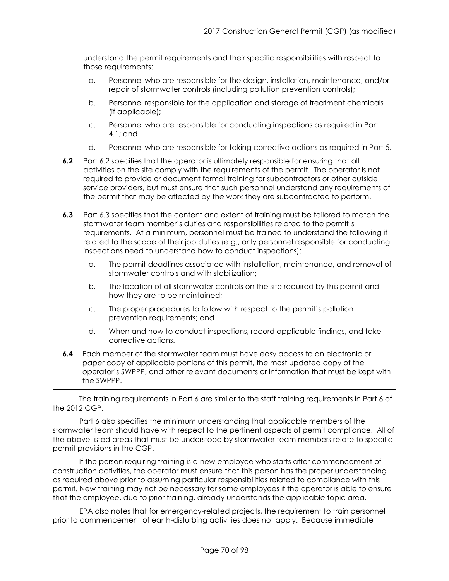understand the permit requirements and their specific responsibilities with respect to those requirements: a. Personnel who are responsible for the design, installation, maintenance, and/or repair of stormwater controls (including pollution prevention controls); b. Personnel responsible for the application and storage of treatment chemicals (if applicable); c. Personnel who are responsible for conducting inspections as required in Part 4.1; and d. Personnel who are responsible for taking corrective actions as required in Part 5. **6.2** Part 6.2 specifies that the operator is ultimately responsible for ensuring that all activities on the site comply with the requirements of the permit. The operator is not required to provide or document formal training for subcontractors or other outside service providers, but must ensure that such personnel understand any requirements of the permit that may be affected by the work they are subcontracted to perform. **6.3** Part 6.3 specifies that the content and extent of training must be tailored to match the stormwater team member's duties and responsibilities related to the permit's requirements. At a minimum, personnel must be trained to understand the following if related to the scope of their job duties (e.g., only personnel responsible for conducting inspections need to understand how to conduct inspections): a. The permit deadlines associated with installation, maintenance, and removal of stormwater controls and with stabilization; b. The location of all stormwater controls on the site required by this permit and how they are to be maintained; c. The proper procedures to follow with respect to the permit's pollution prevention requirements; and d. When and how to conduct inspections, record applicable findings, and take corrective actions. **6.4** Each member of the stormwater team must have easy access to an electronic or paper copy of applicable portions of this permit, the most updated copy of the operator's SWPPP, and other relevant documents or information that must be kept with the SWPPP.

The training requirements in Part 6 are similar to the staff training requirements in Part 6 of the 2012 CGP.

Part 6 also specifies the minimum understanding that applicable members of the stormwater team should have with respect to the pertinent aspects of permit compliance. All of the above listed areas that must be understood by stormwater team members relate to specific permit provisions in the CGP.

If the person requiring training is a new employee who starts after commencement of construction activities, the operator must ensure that this person has the proper understanding as required above prior to assuming particular responsibilities related to compliance with this permit. New training may not be necessary for some employees if the operator is able to ensure that the employee, due to prior training, already understands the applicable topic area.

EPA also notes that for emergency-related projects, the requirement to train personnel prior to commencement of earth-disturbing activities does not apply. Because immediate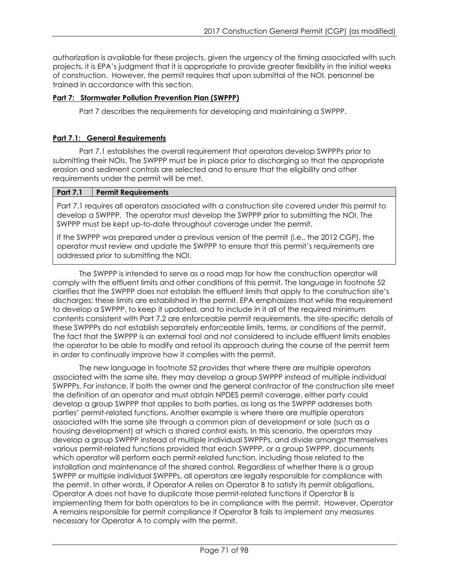authorization is available for these projects, given the urgency of the timing associated with such projects, it is EPA's judgment that it is appropriate to provide greater flexibility in the initial weeks of construction. However, the permit requires that upon submittal of the NOI, personnel be trained in accordance with this section.

# **Part 7: Stormwater Pollution Prevention Plan (SWPPP)**

Part 7 describes the requirements for developing and maintaining a SWPPP.

# **Part 7.1: General Requirements**

Part 7.1 establishes the overall requirement that operators develop SWPPPs prior to submitting their NOIs. The SWPPP must be in place prior to discharging so that the appropriate erosion and sediment controls are selected and to ensure that the eligibility and other requirements under the permit will be met.

## **Part 7.1 Permit Requirements**

Part 7.1 requires all operators associated with a construction site covered under this permit to develop a SWPPP. The operator must develop the SWPPP prior to submitting the NOI. The SWPPP must be kept up-to-date throughout coverage under the permit.

If the SWPPP was prepared under a previous version of the permit (i.e., the 2012 CGP), the operator must review and update the SWPPP to ensure that this permit's requirements are addressed prior to submitting the NOI.

The SWPPP is intended to serve as a road map for how the construction operator will comply with the effluent limits and other conditions of this permit. The language in footnote 52 clarifies that the SWPPP does not establish the effluent limits that apply to the construction site's discharges; these limits are established in the permit. EPA emphasizes that while the requirement to develop a SWPPP, to keep it updated, and to include in it all of the required minimum contents consistent with Part 7.2 are enforceable permit requirements, the site-specific details of these SWPPPs do not establish separately enforceable limits, terms, or conditions of the permit. The fact that the SWPPP is an external tool and not considered to include effluent limits enables the operator to be able to modify and retool its approach during the course of the permit term in order to continually improve how it complies with the permit.

The new language in footnote 52 provides that where there are multiple operators associated with the same site, they may develop a group SWPPP instead of multiple individual SWPPPs. For instance, if both the owner and the general contractor of the construction site meet the definition of an operator and must obtain NPDES permit coverage, either party could develop a group SWPPP that applies to both parties, as long as the SWPPP addresses both parties' permit-related functions. Another example is where there are multiple operators associated with the same site through a common plan of development or sale (such as a housing development) at which a shared control exists. In this scenario, the operators may develop a group SWPPP instead of multiple individual SWPPPs, and divide amongst themselves various permit-related functions provided that each SWPPP, or a group SWPPP, documents which operator will perform each permit-related function, including those related to the installation and maintenance of the shared control. Regardless of whether there is a group SWPPP or multiple individual SWPPPs, all operators are legally responsible for compliance with the permit. In other words, if Operator A relies on Operator B to satisfy its permit obligations, Operator A does not have to duplicate those permit-related functions if Operator B is implementing them for both operators to be in compliance with the permit. However, Operator A remains responsible for permit compliance if Operator B fails to implement any measures necessary for Operator A to comply with the permit.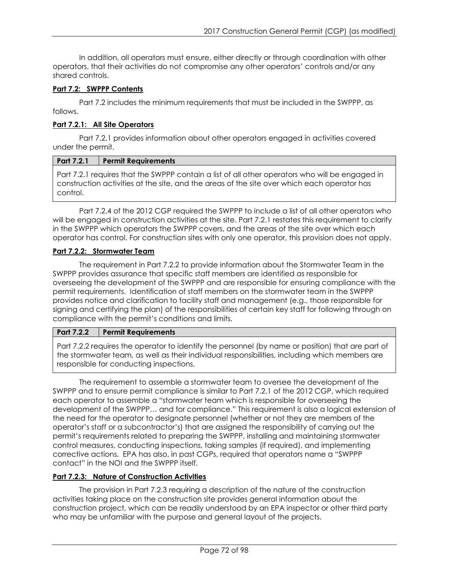In addition, all operators must ensure, either directly or through coordination with other operators, that their activities do not compromise any other operators' controls and/or any shared controls.

# **Part 7.2: SWPPP Contents**

Part 7.2 includes the minimum requirements that must be included in the SWPPP, as follows.

# **Part 7.2.1: All Site Operators**

Part 7.2.1 provides information about other operators engaged in activities covered under the permit.

## **Part 7.2.1 Permit Requirements**

Part 7.2.1 requires that the SWPPP contain a list of all other operators who will be engaged in construction activities at the site, and the areas of the site over which each operator has control.

Part 7.2.4 of the 2012 CGP required the SWPPP to include a list of all other operators who will be engaged in construction activities at the site. Part 7.2.1 restates this requirement to clarify in the SWPPP which operators the SWPPP covers, and the areas of the site over which each operator has control. For construction sites with only one operator, this provision does not apply.

## **Part 7.2.2: Stormwater Team**

The requirement in Part 7.2.2 to provide information about the Stormwater Team in the SWPPP provides assurance that specific staff members are identified as responsible for overseeing the development of the SWPPP and are responsible for ensuring compliance with the permit requirements. Identification of staff members on the stormwater team in the SWPPP provides notice and clarification to facility staff and management (e.g., those responsible for signing and certifying the plan) of the responsibilities of certain key staff for following through on compliance with the permit's conditions and limits.

## **Part 7.2.2 Permit Requirements**

Part 7.2.2 requires the operator to identify the personnel (by name or position) that are part of the stormwater team, as well as their individual responsibilities, including which members are responsible for conducting inspections.

The requirement to assemble a stormwater team to oversee the development of the SWPPP and to ensure permit compliance is similar to Part 7.2.1 of the 2012 CGP, which required each operator to assemble a "stormwater team which is responsible for overseeing the development of the SWPPP… and for compliance." This requirement is also a logical extension of the need for the operator to designate personnel (whether or not they are members of the operator's staff or a subcontractor's) that are assigned the responsibility of carrying out the permit's requirements related to preparing the SWPPP, installing and maintaining stormwater control measures, conducting inspections, taking samples (if required), and implementing corrective actions. EPA has also, in past CGPs, required that operators name a "SWPPP contact" in the NOI and the SWPPP itself.

# **Part 7.2.3: Nature of Construction Activities**

The provision in Part 7.2.3 requiring a description of the nature of the construction activities taking place on the construction site provides general information about the construction project, which can be readily understood by an EPA inspector or other third party who may be unfamiliar with the purpose and general layout of the projects.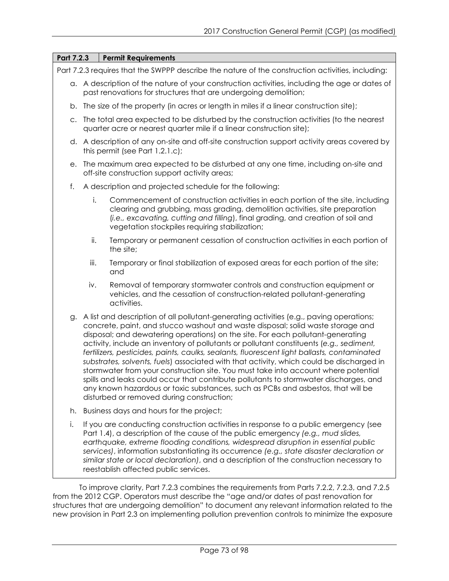| Part 7.2.3 | <b>Permit Requirements</b>                                                                                                                                                                                                                                                                                                                                                                                                                                                                                                                                                                                                                                                                                                                                                                                                                                          |  |
|------------|---------------------------------------------------------------------------------------------------------------------------------------------------------------------------------------------------------------------------------------------------------------------------------------------------------------------------------------------------------------------------------------------------------------------------------------------------------------------------------------------------------------------------------------------------------------------------------------------------------------------------------------------------------------------------------------------------------------------------------------------------------------------------------------------------------------------------------------------------------------------|--|
|            | Part 7.2.3 requires that the SWPPP describe the nature of the construction activities, including:                                                                                                                                                                                                                                                                                                                                                                                                                                                                                                                                                                                                                                                                                                                                                                   |  |
|            | a. A description of the nature of your construction activities, including the age or dates of<br>past renovations for structures that are undergoing demolition;                                                                                                                                                                                                                                                                                                                                                                                                                                                                                                                                                                                                                                                                                                    |  |
| b.         | The size of the property (in acres or length in miles if a linear construction site);                                                                                                                                                                                                                                                                                                                                                                                                                                                                                                                                                                                                                                                                                                                                                                               |  |
| C.         | The total area expected to be disturbed by the construction activities (to the nearest<br>quarter acre or nearest quarter mile if a linear construction site);                                                                                                                                                                                                                                                                                                                                                                                                                                                                                                                                                                                                                                                                                                      |  |
|            | d. A description of any on-site and off-site construction support activity areas covered by<br>this permit (see Part $1.2.1.c$ );                                                                                                                                                                                                                                                                                                                                                                                                                                                                                                                                                                                                                                                                                                                                   |  |
| е.         | The maximum area expected to be disturbed at any one time, including on-site and<br>off-site construction support activity areas;                                                                                                                                                                                                                                                                                                                                                                                                                                                                                                                                                                                                                                                                                                                                   |  |
| f.         | A description and projected schedule for the following:                                                                                                                                                                                                                                                                                                                                                                                                                                                                                                                                                                                                                                                                                                                                                                                                             |  |
| i.         | Commencement of construction activities in each portion of the site, including<br>clearing and grubbing, mass grading, demolition activities, site preparation<br>(i.e., excavating, cutting and filling), final grading, and creation of soil and<br>vegetation stockpiles requiring stabilization;                                                                                                                                                                                                                                                                                                                                                                                                                                                                                                                                                                |  |
| ii.        | Temporary or permanent cessation of construction activities in each portion of<br>the site;                                                                                                                                                                                                                                                                                                                                                                                                                                                                                                                                                                                                                                                                                                                                                                         |  |
| iii.       | Temporary or final stabilization of exposed areas for each portion of the site;<br>and                                                                                                                                                                                                                                                                                                                                                                                                                                                                                                                                                                                                                                                                                                                                                                              |  |
| iv.        | Removal of temporary stormwater controls and construction equipment or<br>vehicles, and the cessation of construction-related pollutant-generating<br>activities.                                                                                                                                                                                                                                                                                                                                                                                                                                                                                                                                                                                                                                                                                                   |  |
| g.         | A list and description of all pollutant-generating activities (e.g., paving operations;<br>concrete, paint, and stucco washout and waste disposal; solid waste storage and<br>disposal; and dewatering operations) on the site. For each pollutant-generating<br>activity, include an inventory of pollutants or pollutant constituents (e.g., sediment,<br>fertilizers, pesticides, paints, caulks, sealants, fluorescent light ballasts, contaminated<br>substrates, solvents, fuels) associated with that activity, which could be discharged in<br>stormwater from your construction site. You must take into account where potential<br>spills and leaks could occur that contribute pollutants to stormwater discharges, and<br>any known hazardous or toxic substances, such as PCBs and asbestos, that will be<br>disturbed or removed during construction; |  |
| h.         | Business days and hours for the project;                                                                                                                                                                                                                                                                                                                                                                                                                                                                                                                                                                                                                                                                                                                                                                                                                            |  |
| i.         | If you are conducting construction activities in response to a public emergency (see<br>Part 1.4), a description of the cause of the public emergency (e.g., mud slides,<br>earthquake, extreme flooding conditions, widespread disruption in essential public<br>services), information substantiating its occurrence (e.g., state disaster declaration or<br>similar state or local declaration), and a description of the construction necessary to<br>reestablish affected public services.                                                                                                                                                                                                                                                                                                                                                                     |  |
|            |                                                                                                                                                                                                                                                                                                                                                                                                                                                                                                                                                                                                                                                                                                                                                                                                                                                                     |  |

To improve clarity, Part 7.2.3 combines the requirements from Parts 7.2.2, 7.2.3, and 7.2.5 from the 2012 CGP. Operators must describe the "age and/or dates of past renovation for structures that are undergoing demolition" to document any relevant information related to the new provision in Part 2.3 on implementing pollution prevention controls to minimize the exposure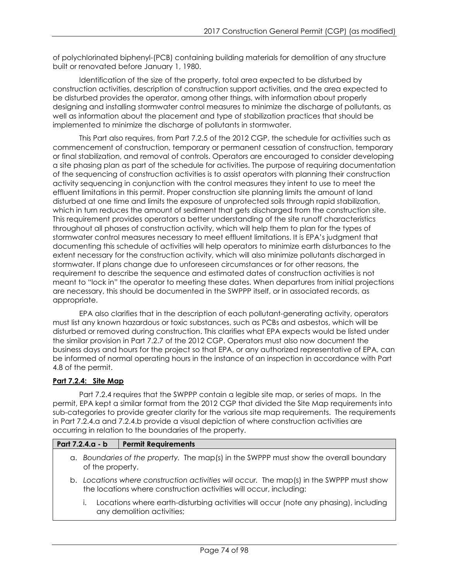of polychlorinated biphenyl-(PCB) containing building materials for demolition of any structure built or renovated before January 1, 1980.

Identification of the size of the property, total area expected to be disturbed by construction activities, description of construction support activities, and the area expected to be disturbed provides the operator, among other things, with information about properly designing and installing stormwater control measures to minimize the discharge of pollutants, as well as information about the placement and type of stabilization practices that should be implemented to minimize the discharge of pollutants in stormwater.

This Part also requires, from Part 7.2.5 of the 2012 CGP, the schedule for activities such as commencement of construction, temporary or permanent cessation of construction, temporary or final stabilization, and removal of controls. Operators are encouraged to consider developing a site phasing plan as part of the schedule for activities. The purpose of requiring documentation of the sequencing of construction activities is to assist operators with planning their construction activity sequencing in conjunction with the control measures they intent to use to meet the effluent limitations in this permit. Proper construction site planning limits the amount of land disturbed at one time and limits the exposure of unprotected soils through rapid stabilization, which in turn reduces the amount of sediment that gets discharged from the construction site. This requirement provides operators a better understanding of the site runoff characteristics throughout all phases of construction activity, which will help them to plan for the types of stormwater control measures necessary to meet effluent limitations. It is EPA's judgment that documenting this schedule of activities will help operators to minimize earth disturbances to the extent necessary for the construction activity, which will also minimize pollutants discharged in stormwater. If plans change due to unforeseen circumstances or for other reasons, the requirement to describe the sequence and estimated dates of construction activities is not meant to "lock in" the operator to meeting these dates. When departures from initial projections are necessary, this should be documented in the SWPPP itself, or in associated records, as appropriate.

EPA also clarifies that in the description of each pollutant-generating activity, operators must list any known hazardous or toxic substances, such as PCBs and asbestos, which will be disturbed or removed during construction. This clarifies what EPA expects would be listed under the similar provision in Part 7.2.7 of the 2012 CGP. Operators must also now document the business days and hours for the project so that EPA, or any authorized representative of EPA, can be informed of normal operating hours in the instance of an inspection in accordance with Part 4.8 of the permit.

# **Part 7.2.4: Site Map**

Part 7.2.4 requires that the SWPPP contain a legible site map, or series of maps. In the permit, EPA kept a similar format from the 2012 CGP that divided the Site Map requirements into sub-categories to provide greater clarity for the various site map requirements. The requirements in Part 7.2.4.a and 7.2.4.b provide a visual depiction of where construction activities are occurring in relation to the boundaries of the property.

# **Part 7.2.4.a - b Permit Requirements**

- a. *Boundaries of the property.* The map(s) in the SWPPP must show the overall boundary of the property.
- b. *Locations where construction activities will occur.* The map(s) in the SWPPP must show the locations where construction activities will occur, including:
	- i. Locations where earth-disturbing activities will occur (note any phasing), including any demolition activities;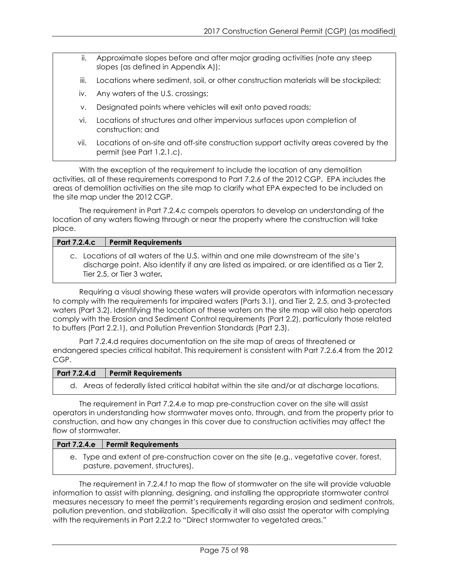- ii. Approximate slopes before and after major grading activities (note any steep slopes (as defined in Appendix A));
- iii. Locations where sediment, soil, or other construction materials will be stockpiled;
- iv. Any waters of the U.S. crossings;
- v. Designated points where vehicles will exit onto paved roads;
- vi. Locations of structures and other impervious surfaces upon completion of construction; and
- vii. Locations of on-site and off-site construction support activity areas covered by the permit (see Part 1.2.1.c).

With the exception of the requirement to include the location of any demolition activities, all of these requirements correspond to Part 7.2.6 of the 2012 CGP. EPA includes the areas of demolition activities on the site map to clarify what EPA expected to be included on the site map under the 2012 CGP.

The requirement in Part 7.2.4.c compels operators to develop an understanding of the location of any waters flowing through or near the property where the construction will take place.

#### **Part 7.2.4.c Permit Requirements**

c. Locations of all waters of the U.S. within and one mile downstream of the site's discharge point. Also identify if any are listed as impaired, or are identified as a Tier 2, Tier 2.5, or Tier 3 water*.*

Requiring a visual showing these waters will provide operators with information necessary to comply with the requirements for impaired waters (Parts 3.1), and Tier 2, 2.5, and 3-protected waters (Part 3.2). Identifying the location of these waters on the site map will also help operators comply with the Erosion and Sediment Control requirements (Part 2.2), particularly those related to buffers (Part 2.2.1), and Pollution Prevention Standards (Part 2.3).

Part 7.2.4.d requires documentation on the site map of areas of threatened or endangered species critical habitat. This requirement is consistent with Part 7.2.6.4 from the 2012 CGP.

#### **Part 7.2.4.d Permit Requirements**

d. Areas of federally listed critical habitat within the site and/or at discharge locations.

The requirement in Part 7.2.4.e to map pre-construction cover on the site will assist operators in understanding how stormwater moves onto, through, and from the property prior to construction, and how any changes in this cover due to construction activities may affect the flow of stormwater.

#### **Part 7.2.4.e Permit Requirements**

e. Type and extent of pre-construction cover on the site (e.g., vegetative cover, forest, pasture, pavement, structures).

The requirement in 7.2.4.f to map the flow of stormwater on the site will provide valuable information to assist with planning, designing, and installing the appropriate stormwater control measures necessary to meet the permit's requirements regarding erosion and sediment controls, pollution prevention, and stabilization. Specifically it will also assist the operator with complying with the requirements in Part 2.2.2 to "Direct stormwater to vegetated areas."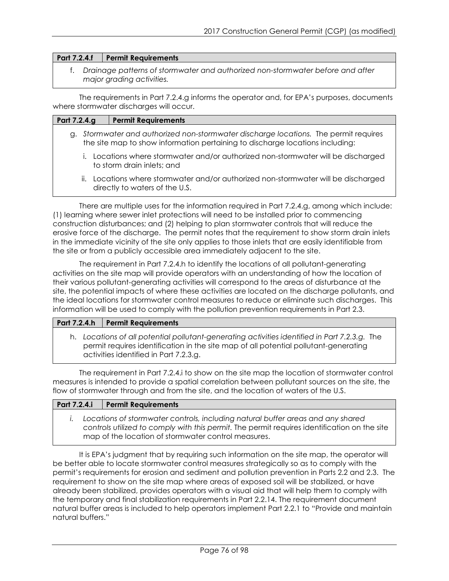#### **Part 7.2.4.f Permit Requirements**

f. *Drainage patterns of stormwater and authorized non-stormwater before and after major grading activities.*

The requirements in Part 7.2.4.g informs the operator and, for EPA's purposes, documents where stormwater discharges will occur.

| Part 7.2.4.g | <b>Permit Requirements</b>                                                                                                                                            |
|--------------|-----------------------------------------------------------------------------------------------------------------------------------------------------------------------|
|              | g. Stormwater and authorized non-stormwater discharge locations. The permit requires<br>the site map to show information pertaining to discharge locations including: |
| $\mathbf{L}$ | Locations where stormwater and/or authorized non-stormwater will be discharged<br>to storm drain inlets; and                                                          |
| ii.          | Locations where stormwater and/or authorized non-stormwater will be discharged                                                                                        |

ii. Locations where stormwater and/or authorized non-stormwater will be discharged directly to waters of the U.S.

There are multiple uses for the information required in Part 7.2.4.g, among which include: (1) learning where sewer inlet protections will need to be installed prior to commencing construction disturbances; and (2) helping to plan stormwater controls that will reduce the erosive force of the discharge. The permit notes that the requirement to show storm drain inlets in the immediate vicinity of the site only applies to those inlets that are easily identifiable from the site or from a publicly accessible area immediately adjacent to the site.

The requirement in Part 7.2.4.h to identify the locations of all pollutant-generating activities on the site map will provide operators with an understanding of how the location of their various pollutant-generating activities will correspond to the areas of disturbance at the site, the potential impacts of where these activities are located on the discharge pollutants, and the ideal locations for stormwater control measures to reduce or eliminate such discharges. This information will be used to comply with the pollution prevention requirements in Part 2.3.

# Part 7.2.4.h | Permit Requirements

h. *Locations of all potential pollutant-generating activities identified in Part 7.2.3.g.* The permit requires identification in the site map of all potential pollutant-generating activities identified in Part 7.2.3.g.

The requirement in Part 7.2.4.i to show on the site map the location of stormwater control measures is intended to provide a spatial correlation between pollutant sources on the site, the flow of stormwater through and from the site, and the location of waters of the U.S.

| Part 7.2.4.i   Permit Requirements                                                                                                                                                                                                     |
|----------------------------------------------------------------------------------------------------------------------------------------------------------------------------------------------------------------------------------------|
| Locations of stormwater controls, including natural buffer areas and any shared<br>controls utilized to comply with this permit. The permit requires identification on the site<br>map of the location of stormwater control measures. |

It is EPA's judgment that by requiring such information on the site map, the operator will be better able to locate stormwater control measures strategically so as to comply with the permit's requirements for erosion and sediment and pollution prevention in Parts 2.2 and 2.3. The requirement to show on the site map where areas of exposed soil will be stabilized, or have already been stabilized, provides operators with a visual aid that will help them to comply with the temporary and final stabilization requirements in Part 2.2.14. The requirement document natural buffer areas is included to help operators implement Part 2.2.1 to "Provide and maintain natural buffers."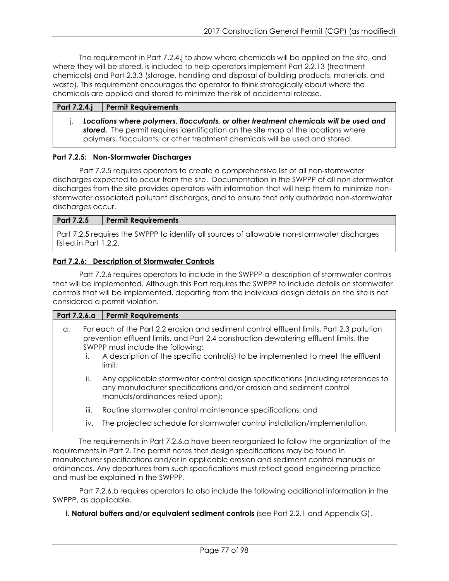The requirement in Part 7.2.4.j to show where chemicals will be applied on the site, and where they will be stored, is included to help operators implement Part 2.2.13 (treatment chemicals) and Part 2.3.3 (storage, handling and disposal of building products, materials, and waste). This requirement encourages the operator to think strategically about where the chemicals are applied and stored to minimize the risk of accidental release.

#### **Part 7.2.4.j Permit Requirements**

j. *Locations where polymers, flocculants, or other treatment chemicals will be used and*  **stored.** The permit requires identification on the site map of the locations where polymers, flocculants, or other treatment chemicals will be used and stored.

# **Part 7.2.5: Non-Stormwater Discharges**

Part 7.2.5 requires operators to create a comprehensive list of all non-stormwater discharges expected to occur from the site. Documentation in the SWPPP of all non-stormwater discharges from the site provides operators with information that will help them to minimize nonstormwater associated pollutant discharges, and to ensure that only authorized non-stormwater discharges occur.

# **Part 7.2.5 Permit Requirements**

Part 7.2.5 requires the SWPPP to identify all sources of allowable non-stormwater discharges listed in Part 1.2.2.

# **Part 7.2.6: Description of Stormwater Controls**

Part 7.2.6 requires operators to include in the SWPPP a description of stormwater controls that will be implemented. Although this Part requires the SWPPP to include details on stormwater controls that will be implemented, departing from the individual design details on the site is not considered a permit violation.

#### **Part 7.2.6.a Permit Requirements**

- a. For each of the Part 2.2 erosion and sediment control effluent limits, Part 2.3 pollution prevention effluent limits, and Part 2.4 construction dewatering effluent limits, the SWPPP must include the following:
	- i. A description of the specific control(s) to be implemented to meet the effluent limit;
	- ii. Any applicable stormwater control design specifications (including references to any manufacturer specifications and/or erosion and sediment control manuals/ordinances relied upon);
	- iii. Routine stormwater control maintenance specifications; and
	- iv. The projected schedule for stormwater control installation/implementation.

The requirements in Part 7.2.6.a have been reorganized to follow the organization of the requirements in Part 2. The permit notes that design specifications may be found in manufacturer specifications and/or in applicable erosion and sediment control manuals or ordinances. Any departures from such specifications must reflect good engineering practice and must be explained in the SWPPP.

Part 7.2.6.b requires operators to also include the following additional information in the SWPPP, as applicable.

**i. Natural buffers and/or equivalent sediment controls** (see Part 2.2.1 and Appendix G).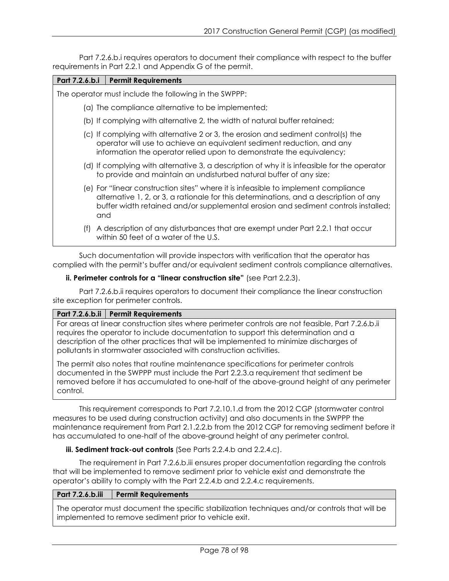Part 7.2.6.b.i requires operators to document their compliance with respect to the buffer requirements in Part 2.2.1 and Appendix G of the permit.

| Part 7.2.6.b.i | <b>Permit Requirements</b>                                                                                                                                                                                                                                               |
|----------------|--------------------------------------------------------------------------------------------------------------------------------------------------------------------------------------------------------------------------------------------------------------------------|
|                | The operator must include the following in the SWPPP:                                                                                                                                                                                                                    |
|                | (a) The compliance alternative to be implemented;                                                                                                                                                                                                                        |
|                | (b) If complying with alternative 2, the width of natural buffer retained;                                                                                                                                                                                               |
|                | (c) If complying with alternative 2 or 3, the erosion and sediment control(s) the<br>operator will use to achieve an equivalent sediment reduction, and any<br>information the operator relied upon to demonstrate the equivalency;                                      |
|                | (d) If complying with alternative 3, a description of why it is infeasible for the operator<br>to provide and maintain an undisturbed natural buffer of any size;                                                                                                        |
|                | (e) For "linear construction sites" where it is infeasible to implement compliance<br>alternative 1, 2, or 3, a rationale for this determinations, and a description of any<br>buffer width retained and/or supplemental erosion and sediment controls installed;<br>and |
| (t)            | A description of any disturbances that are exempt under Part 2.2.1 that occur<br>within 50 feet of a water of the U.S.                                                                                                                                                   |
|                | Cuele des voorstelling vill seevide jaar ook valikus valikasties that the operator has                                                                                                                                                                                   |

Such documentation will provide inspectors with verification that the operator has complied with the permit's buffer and/or equivalent sediment controls compliance alternatives.

# **ii. Perimeter controls for a "linear construction site"** (see Part 2.2.3).

Part 7.2.6.b.ii requires operators to document their compliance the linear construction site exception for perimeter controls.

#### **Part 7.2.6.b.ii Permit Requirements**

For areas at linear construction sites where perimeter controls are not feasible, Part 7.2.6.b.ii requires the operator to include documentation to support this determination and a description of the other practices that will be implemented to minimize discharges of pollutants in stormwater associated with construction activities.

The permit also notes that routine maintenance specifications for perimeter controls documented in the SWPPP must include the Part 2.2.3.a requirement that sediment be removed before it has accumulated to one-half of the above-ground height of any perimeter control.

This requirement corresponds to Part 7.2.10.1.d from the 2012 CGP (stormwater control measures to be used during construction activity) and also documents in the SWPPP the maintenance requirement from Part 2.1.2.2.b from the 2012 CGP for removing sediment before it has accumulated to one-half of the above-ground height of any perimeter control.

# **iii. Sediment track-out controls** (See Parts 2.2.4.b and 2.2.4.c).

The requirement in Part 7.2.6.b.iii ensures proper documentation regarding the controls that will be implemented to remove sediment prior to vehicle exist and demonstrate the operator's ability to comply with the Part 2.2.4.b and 2.2.4.c requirements.

# **Part 7.2.6.b.iii Permit Requirements**

The operator must document the specific stabilization techniques and/or controls that will be implemented to remove sediment prior to vehicle exit.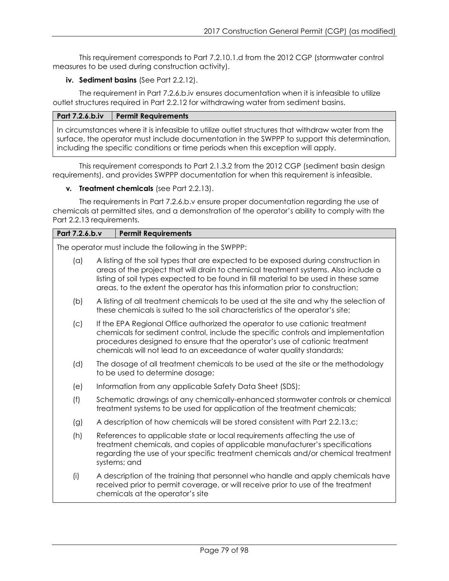This requirement corresponds to Part 7.2.10.1.d from the 2012 CGP (stormwater control measures to be used during construction activity).

# **iv. Sediment basins** (See Part 2.2.12).

The requirement in Part 7.2.6.b.iv ensures documentation when it is infeasible to utilize outlet structures required in Part 2.2.12 for withdrawing water from sediment basins.

# **Part 7.2.6.b.iv Permit Requirements**

In circumstances where it is infeasible to utilize outlet structures that withdraw water from the surface, the operator must include documentation in the SWPPP to support this determination, including the specific conditions or time periods when this exception will apply.

This requirement corresponds to Part 2.1.3.2 from the 2012 CGP (sediment basin design requirements), and provides SWPPP documentation for when this requirement is infeasible.

# **v***.* **Treatment chemicals** (see Part 2.2.13).

The requirements in Part 7.2.6.b.v ensure proper documentation regarding the use of chemicals at permitted sites, and a demonstration of the operator's ability to comply with the Part 2.2.13 requirements.

| Part 7.2.6.b.v | <b>Permit Requirements</b>                                                                                                                                                                                                                                                                                                                        |  |  |
|----------------|---------------------------------------------------------------------------------------------------------------------------------------------------------------------------------------------------------------------------------------------------------------------------------------------------------------------------------------------------|--|--|
|                | The operator must include the following in the SWPPP:                                                                                                                                                                                                                                                                                             |  |  |
| (a)            | A listing of the soil types that are expected to be exposed during construction in<br>areas of the project that will drain to chemical treatment systems. Also include a<br>listing of soil types expected to be found in fill material to be used in these same<br>areas, to the extent the operator has this information prior to construction; |  |  |
| (b)            | A listing of all treatment chemicals to be used at the site and why the selection of<br>these chemicals is suited to the soil characteristics of the operator's site;                                                                                                                                                                             |  |  |
| (c)            | If the EPA Regional Office authorized the operator to use cationic treatment<br>chemicals for sediment control, include the specific controls and implementation<br>procedures designed to ensure that the operator's use of cationic treatment<br>chemicals will not lead to an exceedance of water quality standards;                           |  |  |
| (d)            | The dosage of all treatment chemicals to be used at the site or the methodology<br>to be used to determine dosage;                                                                                                                                                                                                                                |  |  |
| (e)            | Information from any applicable Safety Data Sheet (SDS);                                                                                                                                                                                                                                                                                          |  |  |
| (f)            | Schematic drawings of any chemically-enhanced stormwater controls or chemical<br>treatment systems to be used for application of the treatment chemicals;                                                                                                                                                                                         |  |  |
| (g)            | A description of how chemicals will be stored consistent with Part 2.2.13.c;                                                                                                                                                                                                                                                                      |  |  |
| (h)            | References to applicable state or local requirements affecting the use of<br>treatment chemicals, and copies of applicable manufacturer's specifications<br>regarding the use of your specific treatment chemicals and/or chemical treatment<br>systems; and                                                                                      |  |  |
| (i)            | A description of the training that personnel who handle and apply chemicals have<br>received prior to permit coverage, or will receive prior to use of the treatment<br>chemicals at the operator's site                                                                                                                                          |  |  |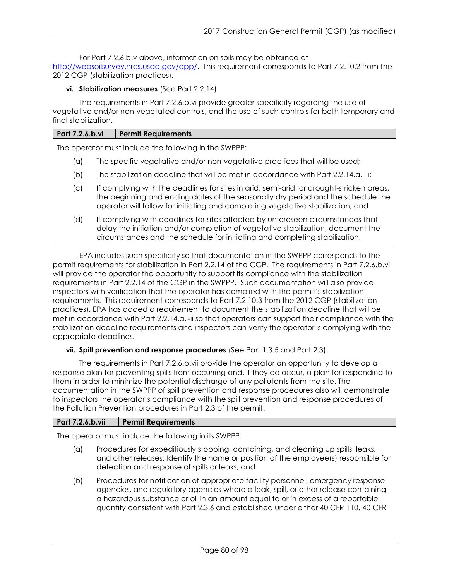For Part 7.2.6.b.v above, information on soils may be obtained at [http://websoilsurvey.nrcs.usda.gov/app/.](http://websoilsurvey.nrcs.usda.gov/app/) This requirement corresponds to Part 7.2.10.2 from the 2012 CGP (stabilization practices).

# **vi. Stabilization measures** (See Part 2.2.14).

The requirements in Part 7.2.6.b.vi provide greater specificity regarding the use of vegetative and/or non-vegetated controls, and the use of such controls for both temporary and final stabilization.

# **Part 7.2.6.b.vi Permit Requirements**

The operator must include the following in the SWPPP:

- (a) The specific vegetative and/or non-vegetative practices that will be used;
- (b) The stabilization deadline that will be met in accordance with Part 2.2.14.a.i-ii;
- (c) If complying with the deadlines for sites in arid, semi-arid, or drought-stricken areas, the beginning and ending dates of the seasonally dry period and the schedule the operator will follow for initiating and completing vegetative stabilization; and
- (d) If complying with deadlines for sites affected by unforeseen circumstances that delay the initiation and/or completion of vegetative stabilization, document the circumstances and the schedule for initiating and completing stabilization.

EPA includes such specificity so that documentation in the SWPPP corresponds to the permit requirements for stabilization in Part 2.2.14 of the CGP. The requirements in Part 7.2.6.b.vi will provide the operator the opportunity to support its compliance with the stabilization requirements in Part 2.2.14 of the CGP in the SWPPP. Such documentation will also provide inspectors with verification that the operator has complied with the permit's stabilization requirements. This requirement corresponds to Part 7.2.10.3 from the 2012 CGP (stabilization practices). EPA has added a requirement to document the stabilization deadline that will be met in accordance with Part 2.2.14.a.i-ii so that operators can support their compliance with the stabilization deadline requirements and inspectors can verify the operator is complying with the appropriate deadlines.

#### **vii. Spill prevention and response procedures** (See Part 1.3.5 and Part 2.3).

The requirements in Part 7.2.6.b.vii provide the operator an opportunity to develop a response plan for preventing spills from occurring and, if they do occur, a plan for responding to them in order to minimize the potential discharge of any pollutants from the site. The documentation in the SWPPP of spill prevention and response procedures also will demonstrate to inspectors the operator's compliance with the spill prevention and response procedures of the Pollution Prevention procedures in Part 2.3 of the permit.

# **Part 7.2.6.b.vii Permit Requirements**

The operator must include the following in its SWPPP:

- (a) Procedures for expeditiously stopping, containing, and cleaning up spills, leaks, and other releases. Identify the name or position of the employee(s) responsible for detection and response of spills or leaks; and
- (b) Procedures for notification of appropriate facility personnel, emergency response agencies, and regulatory agencies where a leak, spill, or other release containing a hazardous substance or oil in an amount equal to or in excess of a reportable quantity consistent with Part 2.3.6 and established under either 40 CFR 110, 40 CFR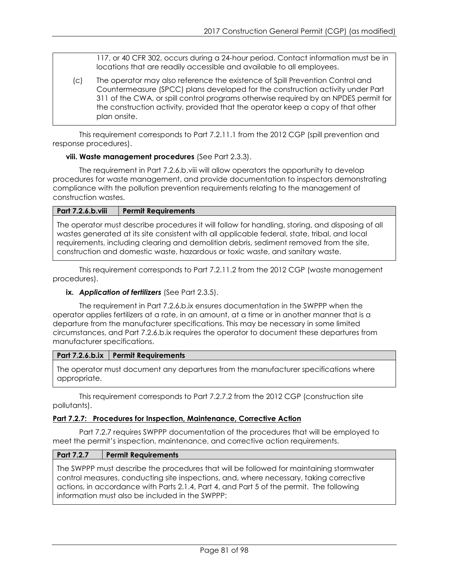117, or 40 CFR 302, occurs during a 24-hour period. Contact information must be in locations that are readily accessible and available to all employees.

(c) The operator may also reference the existence of Spill Prevention Control and Countermeasure (SPCC) plans developed for the construction activity under Part 311 of the CWA, or spill control programs otherwise required by an NPDES permit for the construction activity, provided that the operator keep a copy of that other plan onsite.

This requirement corresponds to Part 7.2.11.1 from the 2012 CGP (spill prevention and response procedures).

# **viii. Waste management procedures** (See Part 2.3.3).

The requirement in Part 7.2.6.b.viii will allow operators the opportunity to develop procedures for waste management, and provide documentation to inspectors demonstrating compliance with the pollution prevention requirements relating to the management of construction wastes.

# **Part 7.2.6.b.viii Permit Requirements**

The operator must describe procedures it will follow for handling, storing, and disposing of all wastes generated at its site consistent with all applicable federal, state, tribal, and local requirements, including clearing and demolition debris, sediment removed from the site, construction and domestic waste, hazardous or toxic waste, and sanitary waste.

This requirement corresponds to Part 7.2.11.2 from the 2012 CGP (waste management procedures).

# **ix.** *Application of fertilizers* (See Part 2.3.5).

The requirement in Part 7.2.6.b.ix ensures documentation in the SWPPP when the operator applies fertilizers at a rate, in an amount, at a time or in another manner that is a departure from the manufacturer specifications. This may be necessary in some limited circumstances, and Part 7.2.6.b.ix requires the operator to document these departures from manufacturer specifications.

# **Part 7.2.6.b.ix Permit Requirements**

The operator must document any departures from the manufacturer specifications where appropriate.

This requirement corresponds to Part 7.2.7.2 from the 2012 CGP (construction site pollutants).

#### **Part 7.2.7: Procedures for Inspection, Maintenance, Corrective Action**

Part 7.2.7 requires SWPPP documentation of the procedures that will be employed to meet the permit's inspection, maintenance, and corrective action requirements.

#### **Part 7.2.7 Permit Requirements**

The SWPPP must describe the procedures that will be followed for maintaining stormwater control measures, conducting site inspections, and, where necessary, taking corrective actions, in accordance with Parts 2.1.4, Part 4, and Part 5 of the permit. The following information must also be included in the SWPPP: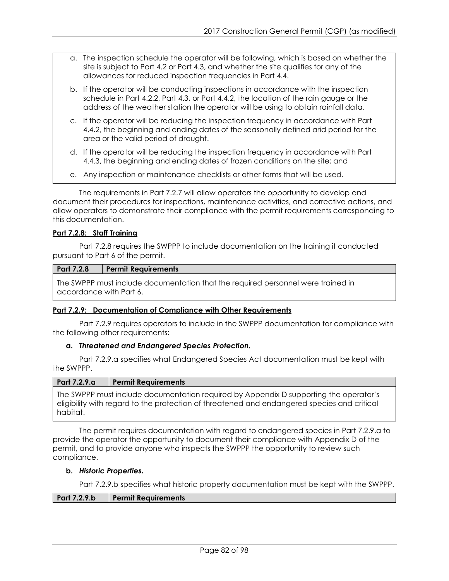- a. The inspection schedule the operator will be following, which is based on whether the site is subject to Part 4.2 or Part 4.3, and whether the site qualifies for any of the allowances for reduced inspection frequencies in Part 4.4.
- b. If the operator will be conducting inspections in accordance with the inspection schedule in Part 4.2.2, Part 4.3, or Part 4.4.2, the location of the rain gauge or the address of the weather station the operator will be using to obtain rainfall data.
- c. If the operator will be reducing the inspection frequency in accordance with Part 4.4.2, the beginning and ending dates of the seasonally defined arid period for the area or the valid period of drought.
- d. If the operator will be reducing the inspection frequency in accordance with Part 4.4.3, the beginning and ending dates of frozen conditions on the site; and
- e. Any inspection or maintenance checklists or other forms that will be used.

The requirements in Part 7.2.7 will allow operators the opportunity to develop and document their procedures for inspections, maintenance activities, and corrective actions, and allow operators to demonstrate their compliance with the permit requirements corresponding to this documentation.

# **Part 7.2.8: Staff Training**

Part 7.2.8 requires the SWPPP to include documentation on the training it conducted pursuant to Part 6 of the permit.

#### **Part 7.2.8 Permit Requirements**

The SWPPP must include documentation that the required personnel were trained in accordance with Part 6.

#### **Part 7.2.9: Documentation of Compliance with Other Requirements**

Part 7.2.9 requires operators to include in the SWPPP documentation for compliance with the following other requirements:

#### **a.** *Threatened and Endangered Species Protection.*

Part 7.2.9.a specifies what Endangered Species Act documentation must be kept with the SWPPP.

#### **Part 7.2.9.a Permit Requirements**

The SWPPP must include documentation required by Appendix D supporting the operator's eligibility with regard to the protection of threatened and endangered species and critical habitat.

The permit requires documentation with regard to endangered species in Part 7.2.9.a to provide the operator the opportunity to document their compliance with Appendix D of the permit, and to provide anyone who inspects the SWPPP the opportunity to review such compliance.

#### **b.** *Historic Properties.*

Part 7.2.9.b specifies what historic property documentation must be kept with the SWPPP.

# **Part 7.2.9.b Permit Requirements**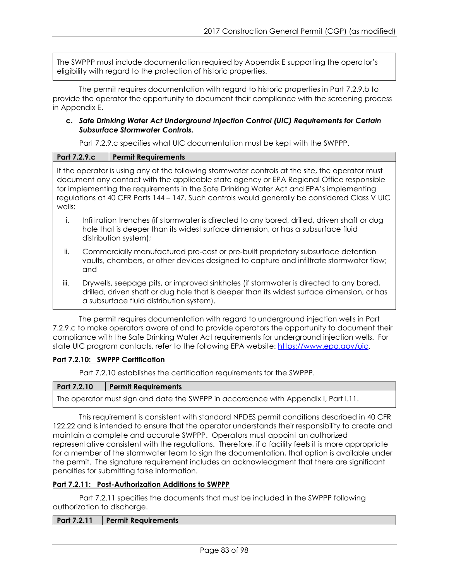The SWPPP must include documentation required by Appendix E supporting the operator's eligibility with regard to the protection of historic properties.

The permit requires documentation with regard to historic properties in Part 7.2.9.b to provide the operator the opportunity to document their compliance with the screening process in Appendix E.

#### **c.** *Safe Drinking Water Act Underground Injection Control (UIC) Requirements for Certain Subsurface Stormwater Controls.*

Part 7.2.9.c specifies what UIC documentation must be kept with the SWPPP.

| <b>Part 7.2.9.c</b> | <b>Permit Requirements</b> |
|---------------------|----------------------------|
|                     |                            |

If the operator is using any of the following stormwater controls at the site, the operator must document any contact with the applicable state agency or EPA Regional Office responsible for implementing the requirements in the Safe Drinking Water Act and EPA's implementing regulations at 40 CFR Parts 144 – 147. Such controls would generally be considered Class V UIC wells:

- i. Infiltration trenches (if stormwater is directed to any bored, drilled, driven shaft or dug hole that is deeper than its widest surface dimension, or has a subsurface fluid distribution system);
- ii. Commercially manufactured pre-cast or pre-built proprietary subsurface detention vaults, chambers, or other devices designed to capture and infiltrate stormwater flow; and
- iii. Drywells, seepage pits, or improved sinkholes (if stormwater is directed to any bored, drilled, driven shaft or dug hole that is deeper than its widest surface dimension, or has a subsurface fluid distribution system).

The permit requires documentation with regard to underground injection wells in Part 7.2.9.c to make operators aware of and to provide operators the opportunity to document their compliance with the Safe Drinking Water Act requirements for underground injection wells. For state UIC program contacts, refer to the following EPA website: [https://www.epa.gov/uic.](http://www.epa.gov/uic)

# **Part 7.2.10: SWPPP Certification**

Part 7.2.10 establishes the certification requirements for the SWPPP.

#### **Part 7.2.10 Permit Requirements**

The operator must sign and date the SWPPP in accordance with Appendix I, Part I.11.

This requirement is consistent with standard NPDES permit conditions described in 40 CFR 122.22 and is intended to ensure that the operator understands their responsibility to create and maintain a complete and accurate SWPPP. Operators must appoint an authorized representative consistent with the regulations. Therefore, if a facility feels it is more appropriate for a member of the stormwater team to sign the documentation, that option is available under the permit. The signature requirement includes an acknowledgment that there are significant penalties for submitting false information.

#### **Part 7.2.11: Post-Authorization Additions to SWPPP**

Part 7.2.11 specifies the documents that must be included in the SWPPP following authorization to discharge.

#### **Part 7.2.11 Permit Requirements**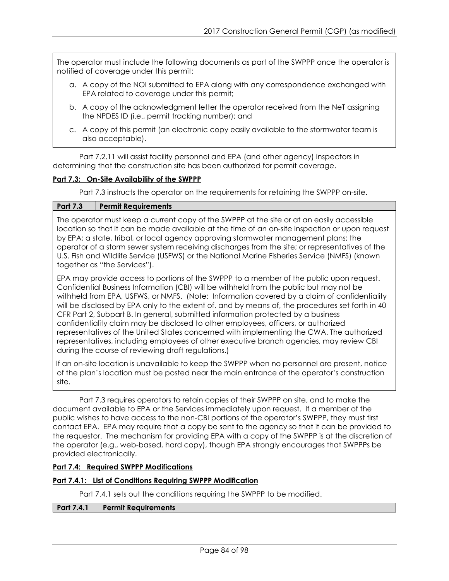The operator must include the following documents as part of the SWPPP once the operator is notified of coverage under this permit:

- a. A copy of the NOI submitted to EPA along with any correspondence exchanged with EPA related to coverage under this permit;
- b. A copy of the acknowledgment letter the operator received from the NeT assigning the NPDES ID (i.e., permit tracking number); and
- c. A copy of this permit (an electronic copy easily available to the stormwater team is also acceptable).

Part 7.2.11 will assist facility personnel and EPA (and other agency) inspectors in determining that the construction site has been authorized for permit coverage.

# **Part 7.3: On-Site Availability of the SWPPP**

Part 7.3 instructs the operator on the requirements for retaining the SWPPP on-site.

# **Part 7.3 Permit Requirements**

The operator must keep a current copy of the SWPPP at the site or at an easily accessible location so that it can be made available at the time of an on-site inspection or upon request by EPA; a state, tribal, or local agency approving stormwater management plans; the operator of a storm sewer system receiving discharges from the site; or representatives of the U.S. Fish and Wildlife Service (USFWS) or the National Marine Fisheries Service (NMFS) (known together as "the Services").

EPA may provide access to portions of the SWPPP to a member of the public upon request. Confidential Business Information (CBI) will be withheld from the public but may not be withheld from EPA, USFWS, or NMFS. (Note: Information covered by a claim of confidentiality will be disclosed by EPA only to the extent of, and by means of, the procedures set forth in 40 CFR Part 2, Subpart B. In general, submitted information protected by a business confidentiality claim may be disclosed to other employees, officers, or authorized representatives of the United States concerned with implementing the CWA. The authorized representatives, including employees of other executive branch agencies, may review CBI during the course of reviewing draft regulations.)

If an on-site location is unavailable to keep the SWPPP when no personnel are present, notice of the plan's location must be posted near the main entrance of the operator's construction site.

Part 7.3 requires operators to retain copies of their SWPPP on site, and to make the document available to EPA or the Services immediately upon request. If a member of the public wishes to have access to the non-CBI portions of the operator's SWPPP, they must first contact EPA. EPA may require that a copy be sent to the agency so that it can be provided to the requestor. The mechanism for providing EPA with a copy of the SWPPP is at the discretion of the operator (e.g., web-based, hard copy), though EPA strongly encourages that SWPPPs be provided electronically.

# **Part 7.4: Required SWPPP Modifications**

# **Part 7.4.1: List of Conditions Requiring SWPPP Modification**

Part 7.4.1 sets out the conditions requiring the SWPPP to be modified.

#### **Part 7.4.1 Permit Requirements**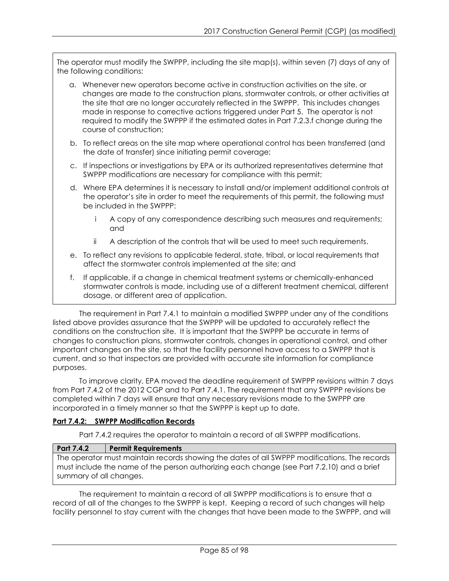The operator must modify the SWPPP, including the site map(s), within seven (7) days of any of the following conditions:

- a. Whenever new operators become active in construction activities on the site, or changes are made to the construction plans, stormwater controls, or other activities at the site that are no longer accurately reflected in the SWPPP. This includes changes made in response to corrective actions triggered under Part 5. The operator is not required to modify the SWPPP if the estimated dates in Part 7.2.3.f change during the course of construction;
- b. To reflect areas on the site map where operational control has been transferred (and the date of transfer) since initiating permit coverage;
- c. If inspections or investigations by EPA or its authorized representatives determine that SWPPP modifications are necessary for compliance with this permit;
- d. Where EPA determines it is necessary to install and/or implement additional controls at the operator's site in order to meet the requirements of this permit, the following must be included in the SWPPP:
	- A copy of any correspondence describing such measures and requirements; and
	- ii A description of the controls that will be used to meet such requirements.
- e. To reflect any revisions to applicable federal, state, tribal, or local requirements that affect the stormwater controls implemented at the site; and
- f. If applicable, if a change in chemical treatment systems or chemically-enhanced stormwater controls is made, including use of a different treatment chemical, different dosage, or different area of application.

The requirement in Part 7.4.1 to maintain a modified SWPPP under any of the conditions listed above provides assurance that the SWPPP will be updated to accurately reflect the conditions on the construction site. It is important that the SWPPP be accurate in terms of changes to construction plans, stormwater controls, changes in operational control, and other important changes on the site, so that the facility personnel have access to a SWPPP that is current, and so that inspectors are provided with accurate site information for compliance purposes.

To improve clarity, EPA moved the deadline requirement of SWPPP revisions within 7 days from Part 7.4.2 of the 2012 CGP and to Part 7.4.1. The requirement that any SWPPP revisions be completed within 7 days will ensure that any necessary revisions made to the SWPPP are incorporated in a timely manner so that the SWPPP is kept up to date.

# **Part 7.4.2: SWPPP Modification Records**

Part 7.4.2 requires the operator to maintain a record of all SWPPP modifications.

# **Part 7.4.2 Permit Requirements**

The operator must maintain records showing the dates of all SWPPP modifications. The records must include the name of the person authorizing each change (see Part 7.2.10) and a brief summary of all changes.

The requirement to maintain a record of all SWPPP modifications is to ensure that a record of all of the changes to the SWPPP is kept. Keeping a record of such changes will help facility personnel to stay current with the changes that have been made to the SWPPP, and will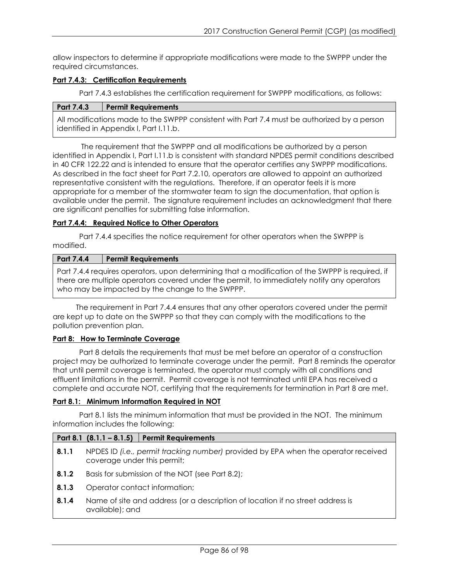allow inspectors to determine if appropriate modifications were made to the SWPPP under the required circumstances.

# **Part 7.4.3: Certification Requirements**

Part 7.4.3 establishes the certification requirement for SWPPP modifications, as follows:

# **Part 7.4.3 Permit Requirements**

All modifications made to the SWPPP consistent with Part 7.4 must be authorized by a person identified in Appendix I, Part I.11.b.

The requirement that the SWPPP and all modifications be authorized by a person identified in Appendix I, Part I.11.b is consistent with standard NPDES permit conditions described in 40 CFR 122.22 and is intended to ensure that the operator certifies any SWPPP modifications. As described in the fact sheet for Part 7.2.10, operators are allowed to appoint an authorized representative consistent with the regulations. Therefore, if an operator feels it is more appropriate for a member of the stormwater team to sign the documentation, that option is available under the permit. The signature requirement includes an acknowledgment that there are significant penalties for submitting false information.

#### **Part 7.4.4: Required Notice to Other Operators**

Part 7.4.4 specifies the notice requirement for other operators when the SWPPP is modified.

#### **Part 7.4.4 Permit Requirements**

Part 7.4.4 requires operators, upon determining that a modification of the SWPPP is required, if there are multiple operators covered under the permit, to immediately notify any operators who may be impacted by the change to the SWPPP.

The requirement in Part 7.4.4 ensures that any other operators covered under the permit are kept up to date on the SWPPP so that they can comply with the modifications to the pollution prevention plan.

#### **Part 8: How to Terminate Coverage**

Part 8 details the requirements that must be met before an operator of a construction project may be authorized to terminate coverage under the permit. Part 8 reminds the operator that until permit coverage is terminated, the operator must comply with all conditions and effluent limitations in the permit. Permit coverage is not terminated until EPA has received a complete and accurate NOT, certifying that the requirements for termination in Part 8 are met.

#### **Part 8.1: Minimum Information Required in NOT**

Part 8.1 lists the minimum information that must be provided in the NOT. The minimum information includes the following:

#### **Part 8.1 (8.1.1 – 8.1.5) Permit Requirements**

- **8.1.1** NPDES ID *(i.e., permit tracking number)* provided by EPA when the operator received coverage under this permit;
- **8.1.2** Basis for submission of the NOT (see Part 8.2);
- **8.1.3** Operator contact information;
- **8.1.4** Name of site and address (or a description of location if no street address is available); and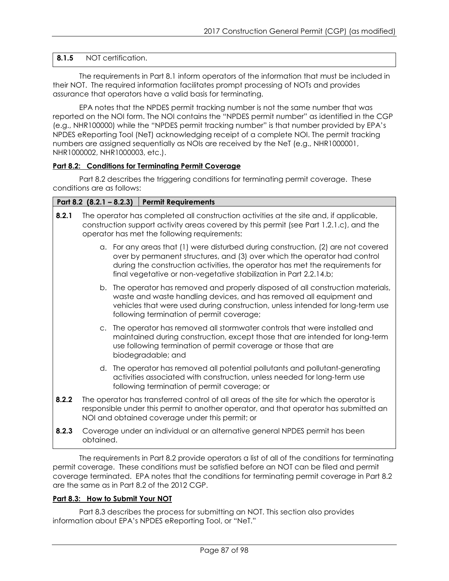# **8.1.5** NOT certification.

The requirements in Part 8.1 inform operators of the information that must be included in their NOT. The required information facilitates prompt processing of NOTs and provides assurance that operators have a valid basis for terminating.

EPA notes that the NPDES permit tracking number is not the same number that was reported on the NOI form. The NOI contains the "NPDES permit number" as identified in the CGP (e.g., NHR100000) while the "NPDES permit tracking number" is that number provided by EPA's NPDES eReporting Tool (NeT) acknowledging receipt of a complete NOI. The permit tracking numbers are assigned sequentially as NOIs are received by the NeT (e.g., NHR1000001, NHR1000002, NHR1000003, etc.).

# **Part 8.2: Conditions for Terminating Permit Coverage**

Part 8.2 describes the triggering conditions for terminating permit coverage. These conditions are as follows:

# **Part 8.2 (8.2.1 – 8.2.3) Permit Requirements**

| 8.2.1 | The operator has completed all construction activities at the site and, if applicable,<br>construction support activity areas covered by this permit (see Part 1.2.1.c), and the<br>operator has met the following requirements: |                                                                                                                                                                                                                                                                                                                       |
|-------|----------------------------------------------------------------------------------------------------------------------------------------------------------------------------------------------------------------------------------|-----------------------------------------------------------------------------------------------------------------------------------------------------------------------------------------------------------------------------------------------------------------------------------------------------------------------|
|       |                                                                                                                                                                                                                                  | a. For any areas that (1) were disturbed during construction, (2) are not covered<br>over by permanent structures, and (3) over which the operator had control<br>during the construction activities, the operator has met the requirements for<br>final vegetative or non-vegetative stabilization in Part 2.2.14.b; |
|       |                                                                                                                                                                                                                                  | b. The operator has removed and properly disposed of all construction materials,<br>waste and waste handling devices, and has removed all equipment and<br>vehicles that were used during construction, unless intended for long-term use<br>following termination of permit coverage;                                |
|       |                                                                                                                                                                                                                                  | c. The operator has removed all stormwater controls that were installed and<br>maintained during construction, except those that are intended for long-term<br>use following termination of permit coverage or those that are<br>biodegradable; and                                                                   |
|       |                                                                                                                                                                                                                                  | d. The operator has removed all potential pollutants and pollutant-generating<br>activities associated with construction, unless needed for long-term use<br>following termination of permit coverage; or                                                                                                             |
| 8.2.2 |                                                                                                                                                                                                                                  | The operator has transferred control of all areas of the site for which the operator is<br>responsible under this permit to another operator, and that operator has submitted an<br>NOI and obtained coverage under this permit; or                                                                                   |
| 8.2.3 |                                                                                                                                                                                                                                  | Coverage under an individual or an alternative general NPDES permit has been                                                                                                                                                                                                                                          |

obtained.

The requirements in Part 8.2 provide operators a list of all of the conditions for terminating permit coverage. These conditions must be satisfied before an NOT can be filed and permit coverage terminated.EPA notes that the conditions for terminating permit coverage in Part 8.2 are the same as in Part 8.2 of the 2012 CGP.

#### **Part 8.3: How to Submit Your NOT**

Part 8.3 describes the process for submitting an NOT. This section also provides information about EPA's NPDES eReporting Tool, or "NeT."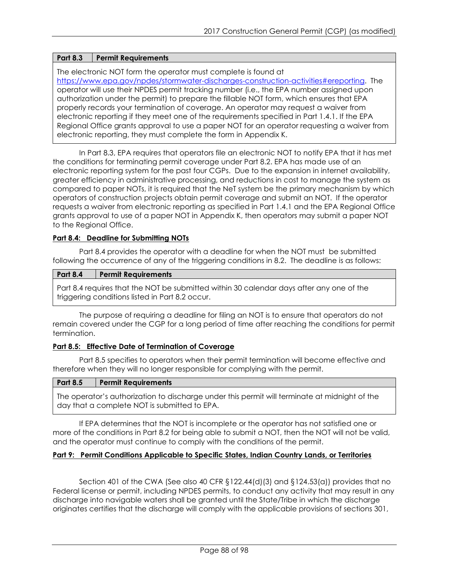# **Part 8.3 Permit Requirements**

The electronic NOT form the operator must complete is found at

[https://www.epa.gov/npdes/stormwater-discharges-construction-activities#ereporting.](http://www.epa.gov/npdes/stormwater-discharges-construction-activities) The operator will use their NPDES permit tracking number (i.e., the EPA number assigned upon authorization under the permit) to prepare the fillable NOT form, which ensures that EPA properly records your termination of coverage. An operator may request a waiver from electronic reporting if they meet one of the requirements specified in Part 1.4.1. If the EPA Regional Office grants approval to use a paper NOT for an operator requesting a waiver from electronic reporting, they must complete the form in Appendix K.

In Part 8.3, EPA requires that operators file an electronic NOT to notify EPA that it has met the conditions for terminating permit coverage under Part 8.2. EPA has made use of an electronic reporting system for the past four CGPs. Due to the expansion in internet availability, greater efficiency in administrative processing, and reductions in cost to manage the system as compared to paper NOTs, it is required that the NeT system be the primary mechanism by which operators of construction projects obtain permit coverage and submit an NOT. If the operator requests a waiver from electronic reporting as specified in Part 1.4.1 and the EPA Regional Office grants approval to use of a paper NOT in Appendix K, then operators may submit a paper NOT to the Regional Office.

# **Part 8.4: Deadline for Submitting NOTs**

Part 8.4 provides the operator with a deadline for when the NOT must be submitted following the occurrence of any of the triggering conditions in 8.2. The deadline is as follows:

# **Part 8.4 Permit Requirements**

Part 8.4 requires that the NOT be submitted within 30 calendar days after any one of the triggering conditions listed in Part 8.2 occur.

The purpose of requiring a deadline for filing an NOT is to ensure that operators do not remain covered under the CGP for a long period of time after reaching the conditions for permit termination.

#### **Part 8.5: Effective Date of Termination of Coverage**

Part 8.5 specifies to operators when their permit termination will become effective and therefore when they will no longer responsible for complying with the permit.

| <b>Part 8.5</b> | <b>Permit Requirements</b> |
|-----------------|----------------------------|
|-----------------|----------------------------|

The operator's authorization to discharge under this permit will terminate at midnight of the day that a complete NOT is submitted to EPA.

If EPA determines that the NOT is incomplete or the operator has not satisfied one or more of the conditions in Part 8.2 for being able to submit a NOT, then the NOT will not be valid, and the operator must continue to comply with the conditions of the permit.

#### **Part 9: Permit Conditions Applicable to Specific States, Indian Country Lands, or Territories**

Section 401 of the CWA (See also 40 CFR §122.44(d)(3) and §124.53(a)) provides that no Federal license or permit, including NPDES permits, to conduct any activity that may result in any discharge into navigable waters shall be granted until the State/Tribe in which the discharge originates certifies that the discharge will comply with the applicable provisions of sections 301,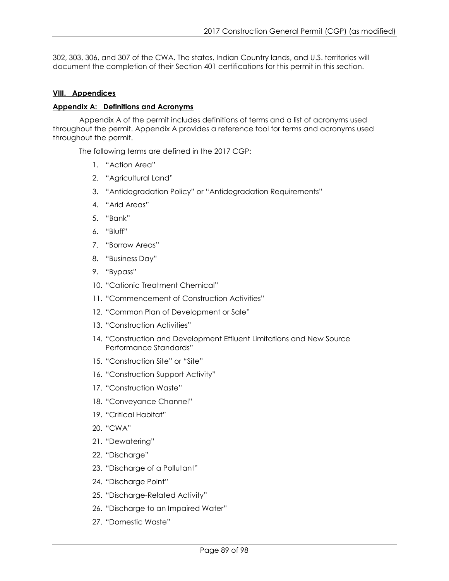302, 303, 306, and 307 of the CWA. The states, Indian Country lands, and U.S. territories will document the completion of their Section 401 certifications for this permit in this section.

#### **VIII. Appendices**

#### **Appendix A: Definitions and Acronyms**

Appendix A of the permit includes definitions of terms and a list of acronyms used throughout the permit. Appendix A provides a reference tool for terms and acronyms used throughout the permit.

The following terms are defined in the 2017 CGP:

- 1. "Action Area"
- 2. "Agricultural Land"
- 3. "Antidegradation Policy" or "Antidegradation Requirements"
- 4. "Arid Areas"
- 5. "Bank"
- 6. "Bluff"
- 7. "Borrow Areas"
- 8. "Business Day"
- 9. "Bypass"
- 10. "Cationic Treatment Chemical"
- 11. "Commencement of Construction Activities"
- 12. "Common Plan of Development or Sale"
- 13. "Construction Activities"
- 14. "Construction and Development Effluent Limitations and New Source Performance Standards"
- 15. "Construction Site" or "Site"
- 16. "Construction Support Activity"
- 17. "Construction Waste"
- 18. "Conveyance Channel"
- 19. "Critical Habitat"
- 20. "CWA"
- 21. "Dewatering"
- 22. "Discharge"
- 23. "Discharge of a Pollutant"
- 24. "Discharge Point"
- 25. "Discharge-Related Activity"
- 26. "Discharge to an Impaired Water"
- 27. "Domestic Waste"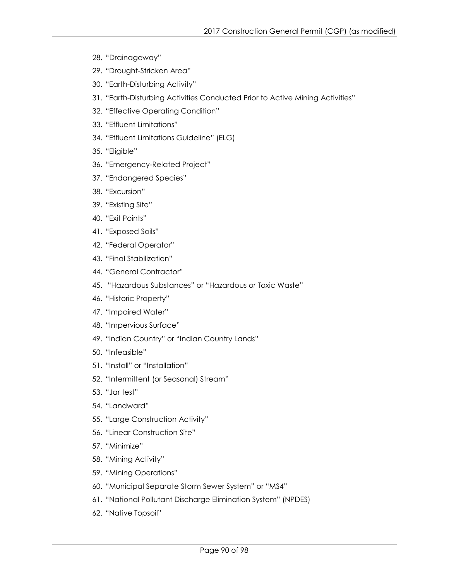- 28. "Drainageway"
- 29. "Drought-Stricken Area"
- 30. "Earth-Disturbing Activity"
- 31. "Earth-Disturbing Activities Conducted Prior to Active Mining Activities"
- 32. "Effective Operating Condition"
- 33. "Effluent Limitations"
- 34. "Effluent Limitations Guideline" (ELG)
- 35. "Eligible"
- 36. "Emergency-Related Project"
- 37. "Endangered Species"
- 38. "Excursion"
- 39. "Existing Site"
- 40. "Exit Points"
- 41. "Exposed Soils"
- 42. "Federal Operator"
- 43. "Final Stabilization"
- 44. "General Contractor"
- 45. "Hazardous Substances" or "Hazardous or Toxic Waste"
- 46. "Historic Property"
- 47. "Impaired Water"
- 48. "Impervious Surface"
- 49. "Indian Country" or "Indian Country Lands"
- 50. "Infeasible"
- 51. "Install" or "Installation"
- 52. "Intermittent (or Seasonal) Stream"
- 53. "Jar test"
- 54. "Landward"
- 55. "Large Construction Activity"
- 56. "Linear Construction Site"
- 57. "Minimize"
- 58. "Mining Activity"
- 59. "Mining Operations"
- 60. "Municipal Separate Storm Sewer System" or "MS4"
- 61. "National Pollutant Discharge Elimination System" (NPDES)
- 62. "Native Topsoil"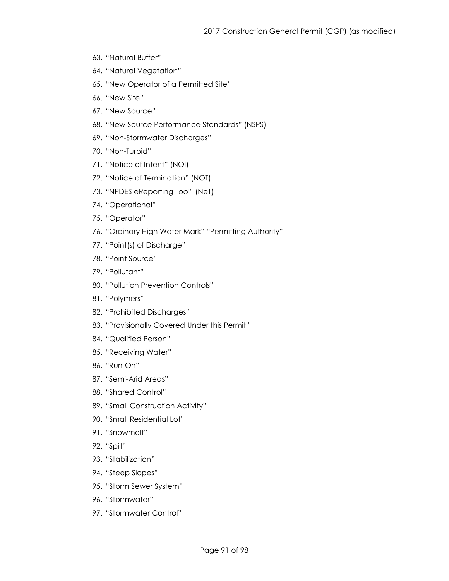- 63. "Natural Buffer"
- 64. "Natural Vegetation"
- 65. "New Operator of a Permitted Site"
- 66. "New Site"
- 67. "New Source"
- 68. "New Source Performance Standards" (NSPS)
- 69. "Non-Stormwater Discharges"
- 70. "Non-Turbid"
- 71. "Notice of Intent" (NOI)
- 72. "Notice of Termination" (NOT)
- 73. "NPDES eReporting Tool" (NeT)
- 74. "Operational"
- 75. "Operator"
- 76. "Ordinary High Water Mark" "Permitting Authority"
- 77. "Point(s) of Discharge"
- 78. "Point Source"
- 79. "Pollutant"
- 80. "Pollution Prevention Controls"
- 81. "Polymers"
- 82. "Prohibited Discharges"
- 83. "Provisionally Covered Under this Permit"
- 84. "Qualified Person"
- 85. "Receiving Water"
- 86. "Run-On"
- 87. "Semi-Arid Areas"
- 88. "Shared Control"
- 89. "Small Construction Activity"
- 90. "Small Residential Lot"
- 91. "Snowmelt"
- 92. "Spill"
- 93. "Stabilization"
- 94. "Steep Slopes"
- 95. "Storm Sewer System"
- 96. "Stormwater"
- 97. "Stormwater Control"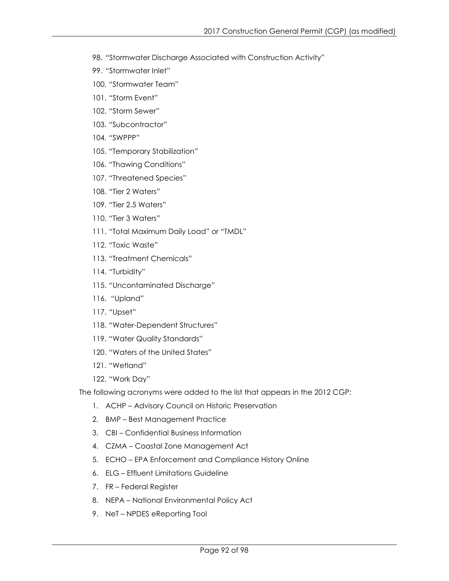- 98. "Stormwater Discharge Associated with Construction Activity"
- 99. "Stormwater Inlet"
- 100. "Stormwater Team"
- 101. "Storm Event"
- 102. "Storm Sewer"
- 103. "Subcontractor"
- 104. "SWPPP"
- 105. "Temporary Stabilization"
- 106. "Thawing Conditions"
- 107. "Threatened Species"
- 108. "Tier 2 Waters"
- 109. "Tier 2.5 Waters"
- 110. "Tier 3 Waters"
- 111. "Total Maximum Daily Load" or "TMDL"
- 112. "Toxic Waste"
- 113. "Treatment Chemicals"
- 114. "Turbidity"
- 115. "Uncontaminated Discharge"
- 116. "Upland"
- 117. "Upset"
- 118. "Water-Dependent Structures"
- 119. "Water Quality Standards"
- 120. "Waters of the United States"
- 121. "Wetland"
- 122. "Work Day"

The following acronyms were added to the list that appears in the 2012 CGP:

- 1. ACHP Advisory Council on Historic Preservation
- 2. BMP Best Management Practice
- 3. CBI Confidential Business Information
- 4. CZMA Coastal Zone Management Act
- 5. ECHO EPA Enforcement and Compliance History Online
- 6. ELG Effluent Limitations Guideline
- 7. FR Federal Register
- 8. NEPA National Environmental Policy Act
- 9. NeT NPDES eReporting Tool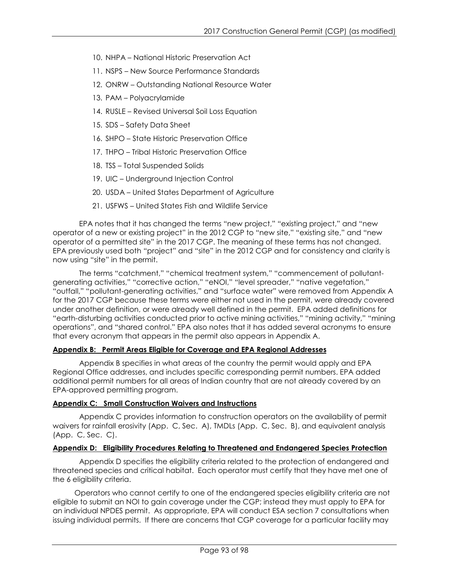- 10. NHPA National Historic Preservation Act
- 11. NSPS New Source Performance Standards
- 12. ONRW Outstanding National Resource Water
- 13. PAM Polyacrylamide
- 14. RUSLE Revised Universal Soil Loss Equation
- 15. SDS Safety Data Sheet
- 16. SHPO State Historic Preservation Office
- 17. THPO Tribal Historic Preservation Office
- 18. TSS Total Suspended Solids
- 19. UIC Underground Injection Control
- 20. USDA United States Department of Agriculture
- 21. USFWS United States Fish and Wildlife Service

EPA notes that it has changed the terms "new project," "existing project," and "new operator of a new or existing project" in the 2012 CGP to "new site," "existing site," and "new operator of a permitted site" in the 2017 CGP. The meaning of these terms has not changed. EPA previously used both "project" and "site" in the 2012 CGP and for consistency and clarity is now using "site" in the permit.

The terms "catchment," "chemical treatment system," "commencement of pollutantgenerating activities," "corrective action," "eNOI," "level spreader," "native vegetation," "outfall," "pollutant-generating activities," and "surface water" were removed from Appendix A for the 2017 CGP because these terms were either not used in the permit, were already covered under another definition, or were already well defined in the permit. EPA added definitions for "earth-disturbing activities conducted prior to active mining activities," "mining activity," "mining operations", and "shared control." EPA also notes that it has added several acronyms to ensure that every acronym that appears in the permit also appears in Appendix A.

#### **Appendix B: Permit Areas Eligible for Coverage and EPA Regional Addresses**

Appendix B specifies in what areas of the country the permit would apply and EPA Regional Office addresses, and includes specific corresponding permit numbers. EPA added additional permit numbers for all areas of Indian country that are not already covered by an EPA-approved permitting program.

#### **Appendix C: Small Construction Waivers and Instructions**

Appendix C provides information to construction operators on the availability of permit waivers for rainfall erosivity (App. C, Sec. A), TMDLs (App. C, Sec. B), and equivalent analysis (App. C, Sec. C).

# **Appendix D: Eligibility Procedures Relating to Threatened and Endangered Species Protection**

Appendix D specifies the eligibility criteria related to the protection of endangered and threatened species and critical habitat. Each operator must certify that they have met one of the 6 eligibility criteria.

Operators who cannot certify to one of the endangered species eligibility criteria are not eligible to submit an NOI to gain coverage under the CGP; instead they must apply to EPA for an individual NPDES permit. As appropriate, EPA will conduct ESA section 7 consultations when issuing individual permits. If there are concerns that CGP coverage for a particular facility may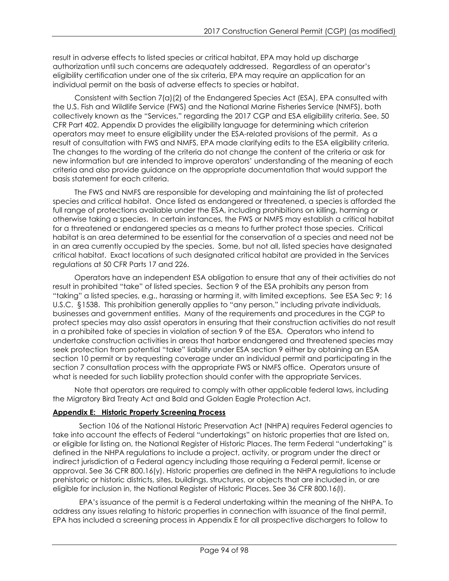result in adverse effects to listed species or critical habitat, EPA may hold up discharge authorization until such concerns are adequately addressed. Regardless of an operator's eligibility certification under one of the six criteria, EPA may require an application for an individual permit on the basis of adverse effects to species or habitat.

Consistent with Section 7(a)(2) of the Endangered Species Act (ESA), EPA consulted with the U.S. Fish and Wildlife Service (FWS) and the National Marine Fisheries Service (NMFS), both collectively known as the "Services," regarding the 2017 CGP and ESA eligibility criteria. See, 50 CFR Part 402. Appendix D provides the eligibility language for determining which criterion operators may meet to ensure eligibility under the ESA-related provisions of the permit. As a result of consultation with FWS and NMFS, EPA made clarifying edits to the ESA eligibility criteria. The changes to the wording of the criteria do not change the content of the criteria or ask for new information but are intended to improve operators' understanding of the meaning of each criteria and also provide guidance on the appropriate documentation that would support the basis statement for each criteria.

The FWS and NMFS are responsible for developing and maintaining the list of protected species and critical habitat. Once listed as endangered or threatened, a species is afforded the full range of protections available under the ESA, including prohibitions on killing, harming or otherwise taking a species. In certain instances, the FWS or NMFS may establish a critical habitat for a threatened or endangered species as a means to further protect those species. Critical habitat is an area determined to be essential for the conservation of a species and need not be in an area currently occupied by the species. Some, but not all, listed species have designated critical habitat. Exact locations of such designated critical habitat are provided in the Services regulations at 50 CFR Parts 17 and 226.

Operators have an independent ESA obligation to ensure that any of their activities do not result in prohibited "take" of listed species. Section 9 of the ESA prohibits any person from "taking" a listed species, e.g., harassing or harming it, with limited exceptions. See ESA Sec 9; 16 U.S.C. §1538. This prohibition generally applies to "any person," including private individuals, businesses and government entities. Many of the requirements and procedures in the CGP to protect species may also assist operators in ensuring that their construction activities do not result in a prohibited take of species in violation of section 9 of the ESA. Operators who intend to undertake construction activities in areas that harbor endangered and threatened species may seek protection from potential "take" liability under ESA section 9 either by obtaining an ESA section 10 permit or by requesting coverage under an individual permit and participating in the section 7 consultation process with the appropriate FWS or NMFS office. Operators unsure of what is needed for such liability protection should confer with the appropriate Services.

Note that operators are required to comply with other applicable federal laws, including the Migratory Bird Treaty Act and Bald and Golden Eagle Protection Act.

# **Appendix E: Historic Property Screening Process**

Section 106 of the National Historic Preservation Act (NHPA) requires Federal agencies to take into account the effects of Federal "undertakings" on historic properties that are listed on, or eligible for listing on, the National Register of Historic Places. The term Federal "undertaking" is defined in the NHPA regulations to include a project, activity, or program under the direct or indirect jurisdiction of a Federal agency including those requiring a Federal permit, license or approval. See 36 CFR 800.16(y). Historic properties are defined in the NHPA regulations to include prehistoric or historic districts, sites, buildings, structures, or objects that are included in, or are eligible for inclusion in, the National Register of Historic Places. See 36 CFR 800.16(l).

EPA's issuance of the permit is a Federal undertaking within the meaning of the NHPA. To address any issues relating to historic properties in connection with issuance of the final permit, EPA has included a screening process in Appendix E for all prospective dischargers to follow to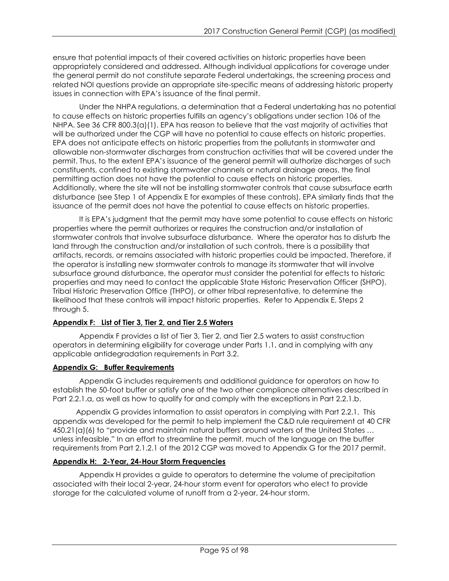ensure that potential impacts of their covered activities on historic properties have been appropriately considered and addressed. Although individual applications for coverage under the general permit do not constitute separate Federal undertakings, the screening process and related NOI questions provide an appropriate site-specific means of addressing historic property issues in connection with EPA's issuance of the final permit.

Under the NHPA regulations, a determination that a Federal undertaking has no potential to cause effects on historic properties fulfills an agency's obligations under section 106 of the NHPA. See 36 CFR 800.3(a)(1). EPA has reason to believe that the vast majority of activities that will be authorized under the CGP will have no potential to cause effects on historic properties. EPA does not anticipate effects on historic properties from the pollutants in stormwater and allowable non-stormwater discharges from construction activities that will be covered under the permit. Thus, to the extent EPA's issuance of the general permit will authorize discharges of such constituents, confined to existing stormwater channels or natural drainage areas, the final permitting action does not have the potential to cause effects on historic properties. Additionally, where the site will not be installing stormwater controls that cause subsurface earth disturbance (see Step 1 of Appendix E for examples of these controls), EPA similarly finds that the issuance of the permit does not have the potential to cause effects on historic properties.

It is EPA's judgment that the permit may have some potential to cause effects on historic properties where the permit authorizes or requires the construction and/or installation of stormwater controls that involve subsurface disturbance. Where the operator has to disturb the land through the construction and/or installation of such controls, there is a possibility that artifacts, records, or remains associated with historic properties could be impacted. Therefore, if the operator is installing new stormwater controls to manage its stormwater that will involve subsurface ground disturbance, the operator must consider the potential for effects to historic properties and may need to contact the applicable State Historic Preservation Officer (SHPO), Tribal Historic Preservation Office (THPO), or other tribal representative, to determine the likelihood that these controls will impact historic properties. Refer to Appendix E, Steps 2 through 5.

# **Appendix F: List of Tier 3, Tier 2, and Tier 2.5 Waters**

Appendix F provides a list of Tier 3, Tier 2, and Tier 2.5 waters to assist construction operators in determining eligibility for coverage under Parts 1.1, and in complying with any applicable antidegradation requirements in Part 3.2.

# **Appendix G: Buffer Requirements**

Appendix G includes requirements and additional guidance for operators on how to establish the 50-foot buffer or satisfy one of the two other compliance alternatives described in Part 2.2.1.a, as well as how to qualify for and comply with the exceptions in Part 2.2.1.b.

Appendix G provides information to assist operators in complying with Part 2.2.1. This appendix was developed for the permit to help implement the C&D rule requirement at 40 CFR 450.21(a)(6) to "provide and maintain natural buffers around waters of the United States … unless infeasible." In an effort to streamline the permit, much of the language on the buffer requirements from Part 2.1.2.1 of the 2012 CGP was moved to Appendix G for the 2017 permit.

# **Appendix H: 2-Year, 24-Hour Storm Frequencies**

Appendix H provides a guide to operators to determine the volume of precipitation associated with their local 2-year, 24-hour storm event for operators who elect to provide storage for the calculated volume of runoff from a 2-year, 24-hour storm.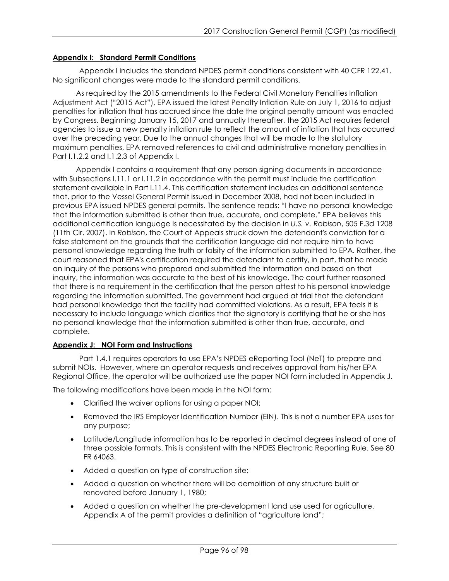# **Appendix I: Standard Permit Conditions**

Appendix I includes the standard NPDES permit conditions consistent with 40 CFR 122.41. No significant changes were made to the standard permit conditions.

As required by the 2015 amendments to the Federal Civil Monetary Penalties Inflation Adjustment Act ("2015 Act"), EPA issued the latest Penalty Inflation Rule on July 1, 2016 to adjust penalties for inflation that has accrued since the date the original penalty amount was enacted by Congress. Beginning January 15, 2017 and annually thereafter, the 2015 Act requires federal agencies to issue a new penalty inflation rule to reflect the amount of inflation that has occurred over the preceding year. Due to the annual changes that will be made to the statutory maximum penalties, EPA removed references to civil and administrative monetary penalties in Part I.1.2.2 and I.1.2.3 of Appendix I.

Appendix I contains a requirement that any person signing documents in accordance with Subsections I.11.1 or I.11.2 in accordance with the permit must include the certification statement available in Part I.11.4. This certification statement includes an additional sentence that, prior to the Vessel General Permit issued in December 2008, had not been included in previous EPA issued NPDES general permits. The sentence reads: "I have no personal knowledge that the information submitted is other than true, accurate, and complete." EPA believes this additional certification language is necessitated by the decision in *U.S. v. Robison*, 505 F.3d 1208 (11th Cir. 2007). In *Robison*, the Court of Appeals struck down the defendant's conviction for a false statement on the grounds that the certification language did not require him to have personal knowledge regarding the truth or falsity of the information submitted to EPA. Rather, the court reasoned that EPA's certification required the defendant to certify, in part, that he made an inquiry of the persons who prepared and submitted the information and based on that inquiry, the information was accurate to the best of his knowledge. The court further reasoned that there is no requirement in the certification that the person attest to his personal knowledge regarding the information submitted. The government had argued at trial that the defendant had personal knowledge that the facility had committed violations. As a result, EPA feels it is necessary to include language which clarifies that the signatory is certifying that he or she has no personal knowledge that the information submitted is other than true, accurate, and complete.

# **Appendix J: NOI Form and Instructions**

Part 1.4.1 requires operators to use EPA's NPDES eReporting Tool (NeT) to prepare and submit NOIs. However, where an operator requests and receives approval from his/her EPA Regional Office, the operator will be authorized use the paper NOI form included in Appendix J.

The following modifications have been made in the NOI form:

- Clarified the waiver options for using a paper NOI;
- Removed the IRS Employer Identification Number (EIN). This is not a number EPA uses for any purpose;
- Latitude/Longitude information has to be reported in decimal degrees instead of one of three possible formats. This is consistent with the NPDES Electronic Reporting Rule. See 80 FR 64063.
- Added a question on type of construction site;
- Added a question on whether there will be demolition of any structure built or renovated before January 1, 1980;
- Added a question on whether the pre-development land use used for agriculture. Appendix A of the permit provides a definition of "agriculture land";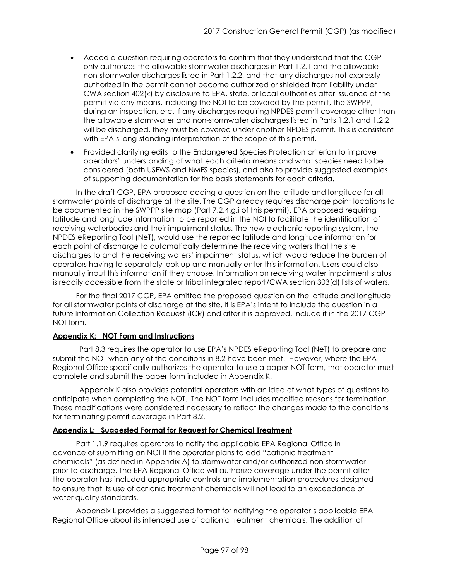- Added a question requiring operators to confirm that they understand that the CGP only authorizes the allowable stormwater discharges in Part 1.2.1 and the allowable non-stormwater discharges listed in Part 1.2.2, and that any discharges not expressly authorized in the permit cannot become authorized or shielded from liability under CWA section 402(k) by disclosure to EPA, state, or local authorities after issuance of the permit via any means, including the NOI to be covered by the permit, the SWPPP, during an inspection, etc. If any discharges requiring NPDES permit coverage other than the allowable stormwater and non-stormwater discharges listed in Parts 1.2.1 and 1.2.2 will be discharged, they must be covered under another NPDES permit. This is consistent with EPA's long-standing interpretation of the scope of this permit.
- Provided clarifying edits to the Endangered Species Protection criterion to improve operators' understanding of what each criteria means and what species need to be considered (both USFWS and NMFS species), and also to provide suggested examples of supporting documentation for the basis statements for each criteria.

In the draft CGP, EPA proposed adding a question on the latitude and longitude for all stormwater points of discharge at the site. The CGP already requires discharge point locations to be documented in the SWPPP site map (Part 7.2.4.g.i of this permit). EPA proposed requiring latitude and longitude information to be reported in the NOI to facilitate the identification of receiving waterbodies and their impairment status. The new electronic reporting system, the NPDES eReporting Tool (NeT), would use the reported latitude and longitude information for each point of discharge to automatically determine the receiving waters that the site discharges to and the receiving waters' impairment status, which would reduce the burden of operators having to separately look up and manually enter this information. Users could also manually input this information if they choose. Information on receiving water impairment status is readily accessible from the state or tribal integrated report/CWA section 303(d) lists of waters.

For the final 2017 CGP, EPA omitted the proposed question on the latitude and longitude for all stormwater points of discharge at the site. It is EPA's intent to include the question in a future Information Collection Request (ICR) and after it is approved, include it in the 2017 CGP NOI form.

# **Appendix K: NOT Form and Instructions**

Part 8.3 requires the operator to use EPA's NPDES eReporting Tool (NeT) to prepare and submit the NOT when any of the conditions in 8.2 have been met. However, where the EPA Regional Office specifically authorizes the operator to use a paper NOT form, that operator must complete and submit the paper form included in Appendix K.

Appendix K also provides potential operators with an idea of what types of questions to anticipate when completing the NOT. The NOT form includes modified reasons for termination. These modifications were considered necessary to reflect the changes made to the conditions for terminating permit coverage in Part 8.2.

# **Appendix L: Suggested Format for Request for Chemical Treatment**

Part 1.1.9 requires operators to notify the applicable EPA Regional Office in advance of submitting an NOI If the operator plans to add "cationic treatment chemicals" (as defined in Appendix A) to stormwater and/or authorized non-stormwater prior to discharge. The EPA Regional Office will authorize coverage under the permit after the operator has included appropriate controls and implementation procedures designed to ensure that its use of cationic treatment chemicals will not lead to an exceedance of water quality standards.

Appendix L provides a suggested format for notifying the operator's applicable EPA Regional Office about its intended use of cationic treatment chemicals. The addition of